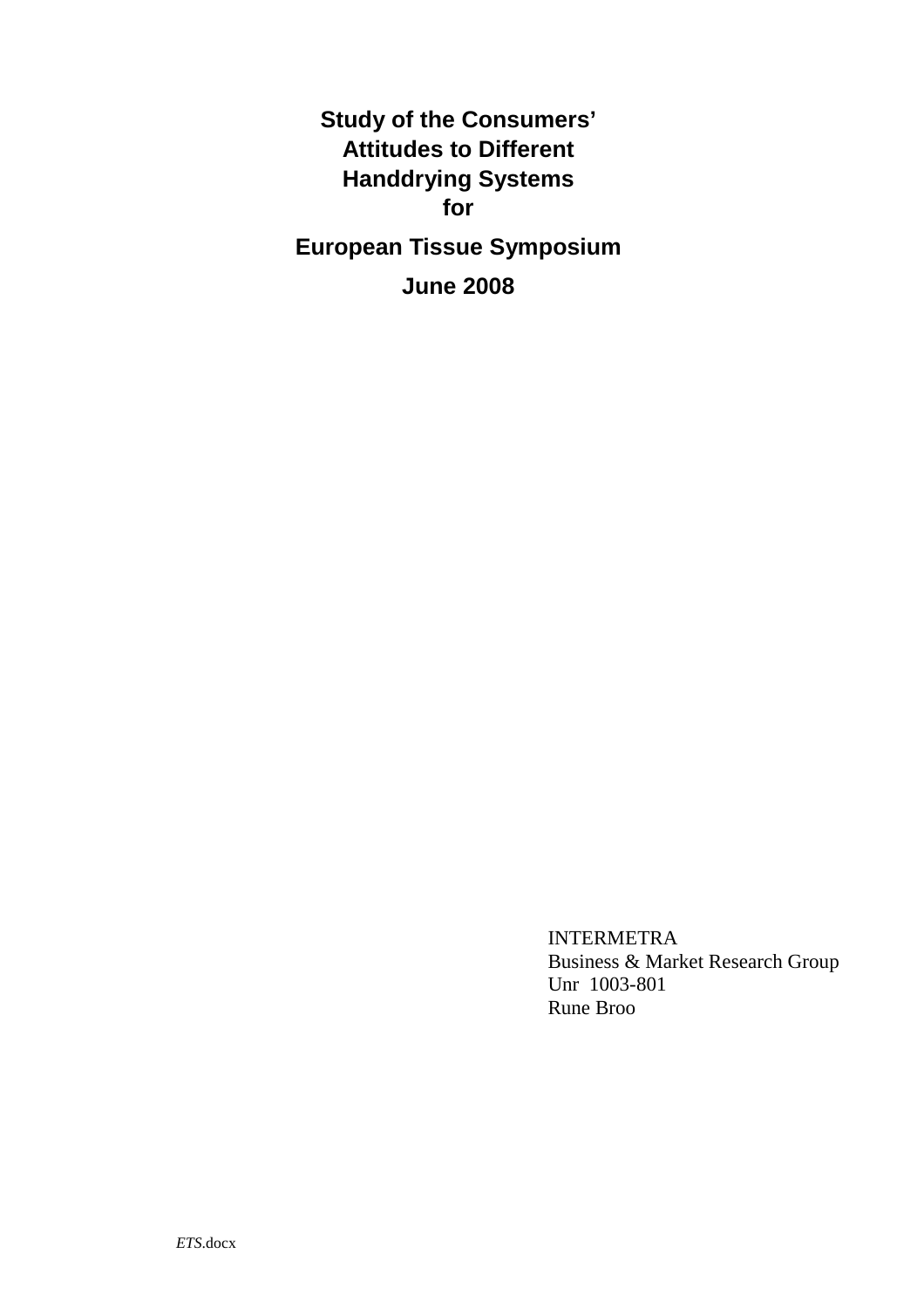**Study of the Consumers' Attitudes to Different Handdrying Systems for European Tissue Symposium June 2008** 

> INTERMETRA Business & Market Research Group Unr 1003-801 Rune Broo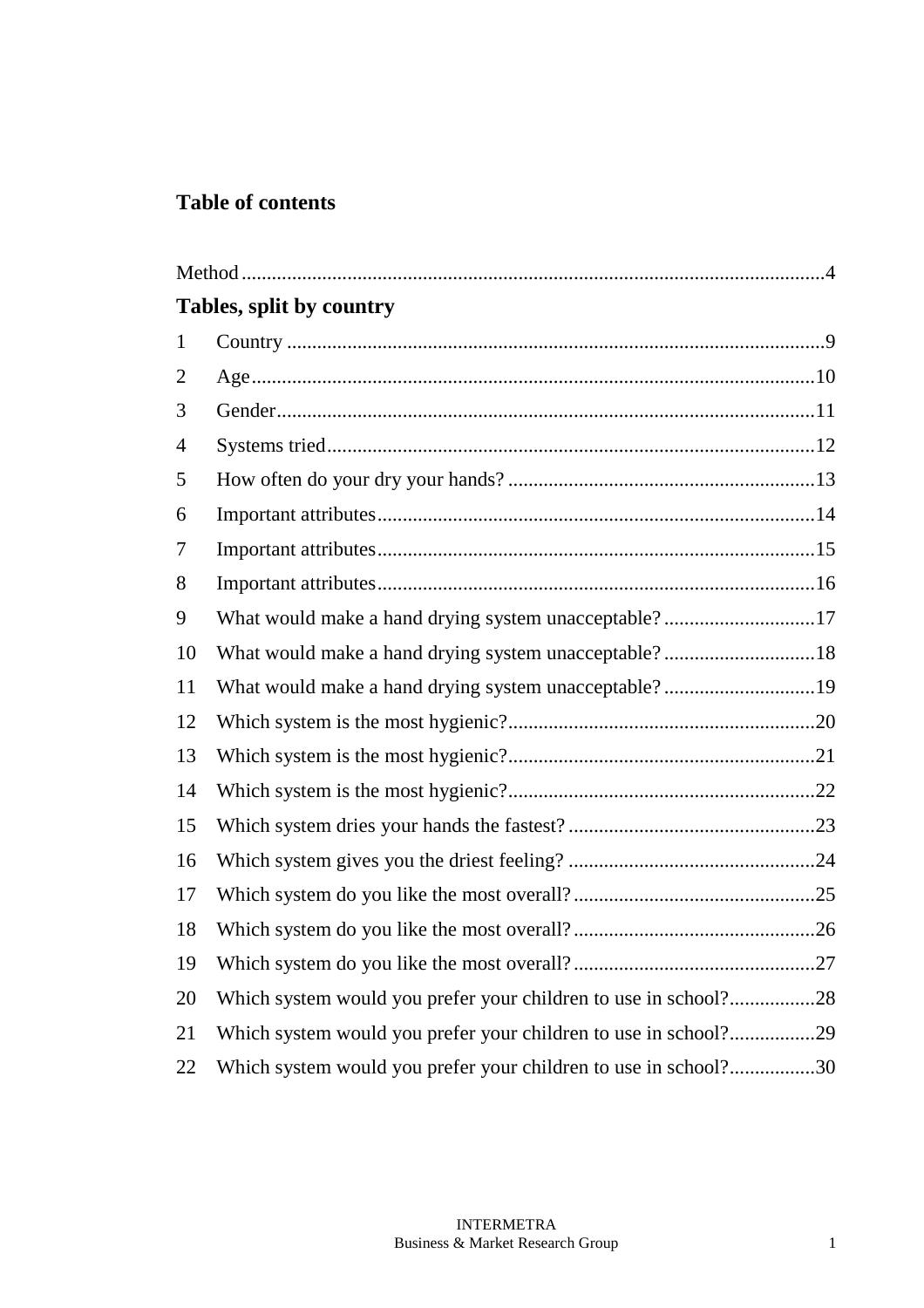## **Table of contents**

|                | Tables, split by country                                        |
|----------------|-----------------------------------------------------------------|
| $\mathbf{1}$   |                                                                 |
| $\overline{2}$ |                                                                 |
| 3              |                                                                 |
| $\overline{4}$ |                                                                 |
| 5              |                                                                 |
| 6              |                                                                 |
| 7              |                                                                 |
| 8              |                                                                 |
| 9              | What would make a hand drying system unacceptable?17            |
| 10             | What would make a hand drying system unacceptable?18            |
| 11             | What would make a hand drying system unacceptable?19            |
| 12             |                                                                 |
| 13             |                                                                 |
| 14             |                                                                 |
| 15             |                                                                 |
| 16             |                                                                 |
| 17             |                                                                 |
| 18             |                                                                 |
| 19             |                                                                 |
| 20             | Which system would you prefer your children to use in school?28 |
| 21             | Which system would you prefer your children to use in school?29 |
| 22             | Which system would you prefer your children to use in school?30 |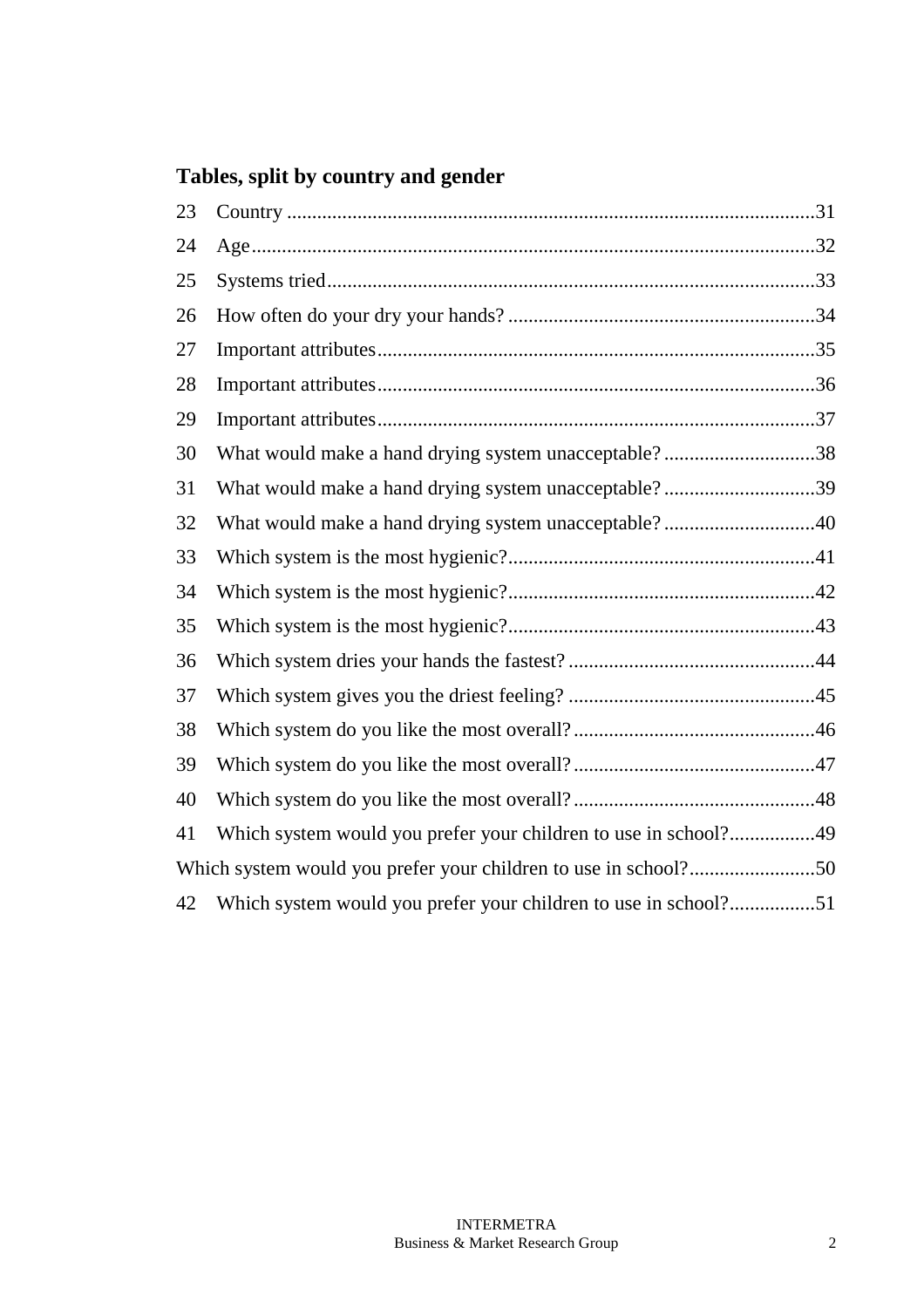# **Tables, split by country and gender**

| 23 |                                                                 |  |
|----|-----------------------------------------------------------------|--|
| 24 |                                                                 |  |
| 25 |                                                                 |  |
| 26 |                                                                 |  |
| 27 |                                                                 |  |
| 28 |                                                                 |  |
| 29 |                                                                 |  |
| 30 | What would make a hand drying system unacceptable?38            |  |
| 31 | What would make a hand drying system unacceptable?39            |  |
| 32 | What would make a hand drying system unacceptable?40            |  |
| 33 |                                                                 |  |
| 34 |                                                                 |  |
| 35 |                                                                 |  |
| 36 |                                                                 |  |
| 37 |                                                                 |  |
| 38 |                                                                 |  |
| 39 |                                                                 |  |
| 40 |                                                                 |  |
| 41 | Which system would you prefer your children to use in school?49 |  |
|    |                                                                 |  |
| 42 | Which system would you prefer your children to use in school?51 |  |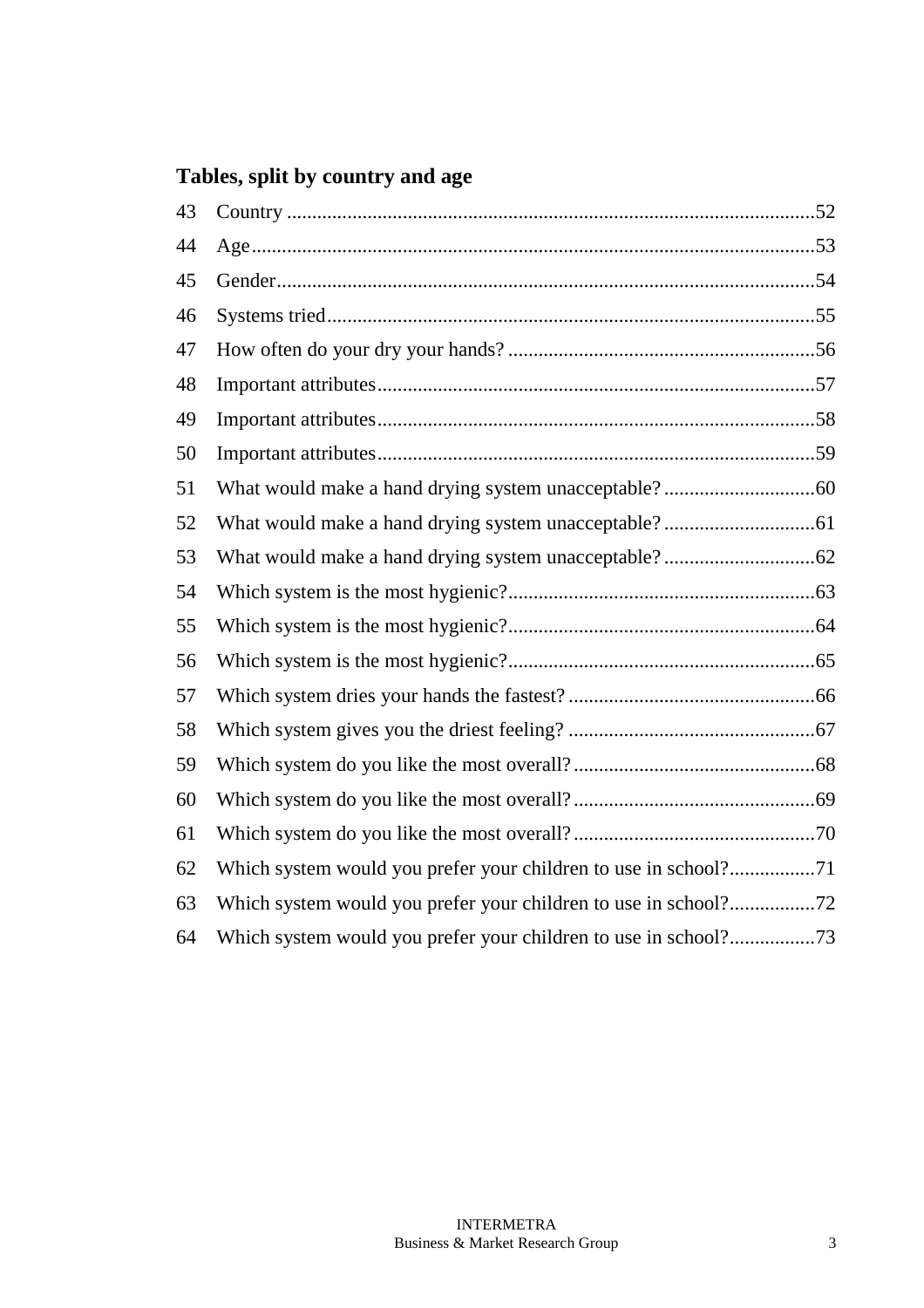# **Tables, split by country and age**

| 43 |                                                                 |  |
|----|-----------------------------------------------------------------|--|
| 44 |                                                                 |  |
| 45 |                                                                 |  |
| 46 |                                                                 |  |
| 47 |                                                                 |  |
| 48 |                                                                 |  |
| 49 |                                                                 |  |
| 50 |                                                                 |  |
| 51 |                                                                 |  |
| 52 |                                                                 |  |
| 53 |                                                                 |  |
| 54 |                                                                 |  |
| 55 |                                                                 |  |
| 56 |                                                                 |  |
| 57 |                                                                 |  |
| 58 |                                                                 |  |
| 59 |                                                                 |  |
| 60 |                                                                 |  |
| 61 |                                                                 |  |
| 62 |                                                                 |  |
| 63 |                                                                 |  |
| 64 | Which system would you prefer your children to use in school?73 |  |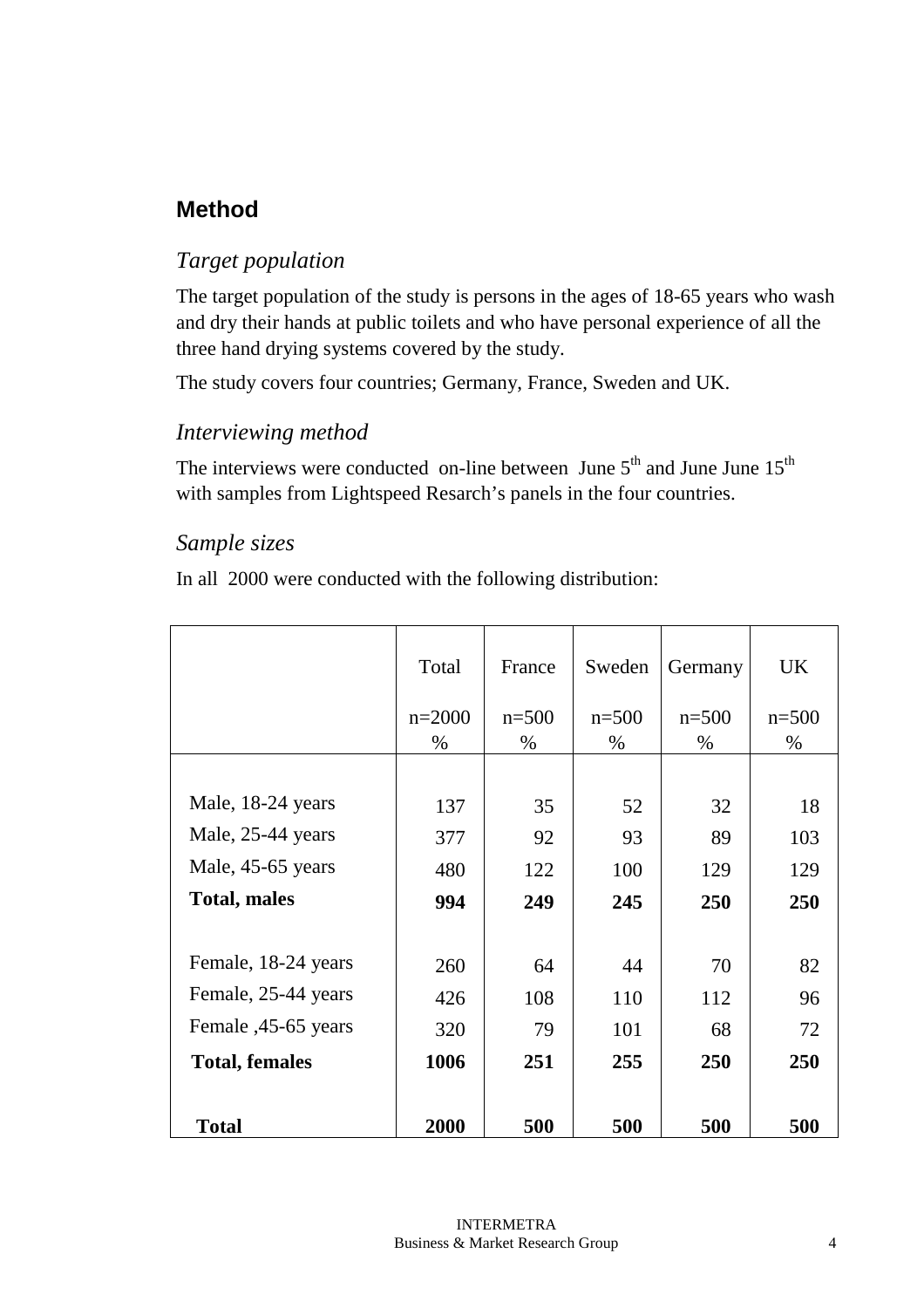# **Method**

### *Target population*

The target population of the study is persons in the ages of 18-65 years who wash and dry their hands at public toilets and who have personal experience of all the three hand drying systems covered by the study.

The study covers four countries; Germany, France, Sweden and UK.

### *Interviewing method*

The interviews were conducted on-line between June  $5<sup>th</sup>$  and June June  $15<sup>th</sup>$ with samples from Lightspeed Resarch's panels in the four countries.

### *Sample sizes*

In all 2000 were conducted with the following distribution:

|                       | Total    | France  | Sweden  | Germany | <b>UK</b> |
|-----------------------|----------|---------|---------|---------|-----------|
|                       | $n=2000$ | $n=500$ | $n=500$ | $n=500$ | $n=500$   |
|                       | $\%$     | $\%$    | $\%$    | $\%$    | $\%$      |
|                       |          |         |         |         |           |
| Male, 18-24 years     | 137      | 35      | 52      | 32      | 18        |
| Male, 25-44 years     | 377      | 92      | 93      | 89      | 103       |
| Male, 45-65 years     | 480      | 122     | 100     | 129     | 129       |
| <b>Total, males</b>   | 994      | 249     | 245     | 250     | 250       |
|                       |          |         |         |         |           |
| Female, 18-24 years   | 260      | 64      | 44      | 70      | 82        |
| Female, 25-44 years   | 426      | 108     | 110     | 112     | 96        |
| Female , 45-65 years  | 320      | 79      | 101     | 68      | 72        |
| <b>Total, females</b> | 1006     | 251     | 255     | 250     | 250       |
|                       |          |         |         |         |           |
| <b>Total</b>          | 2000     | 500     | 500     | 500     | 500       |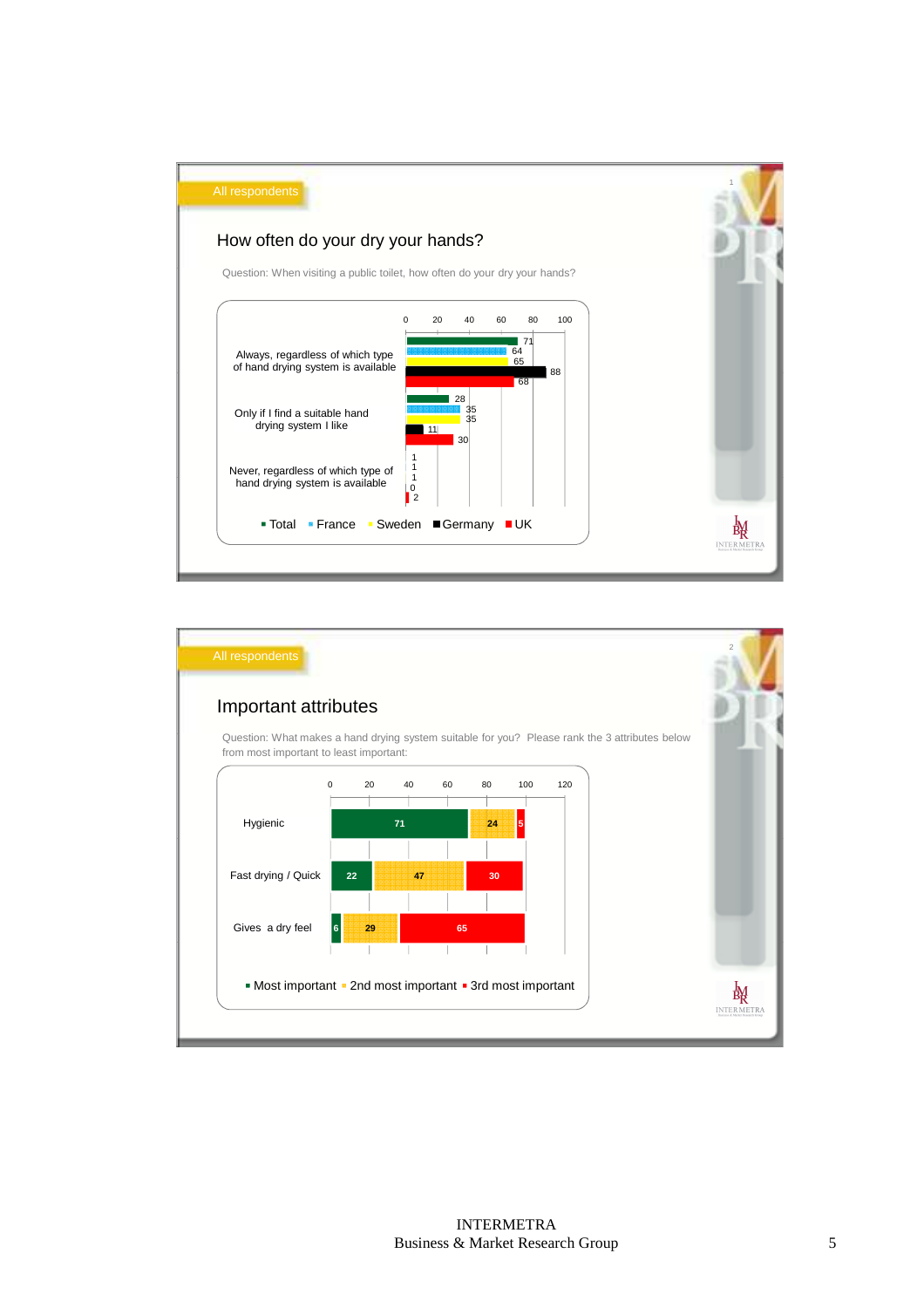

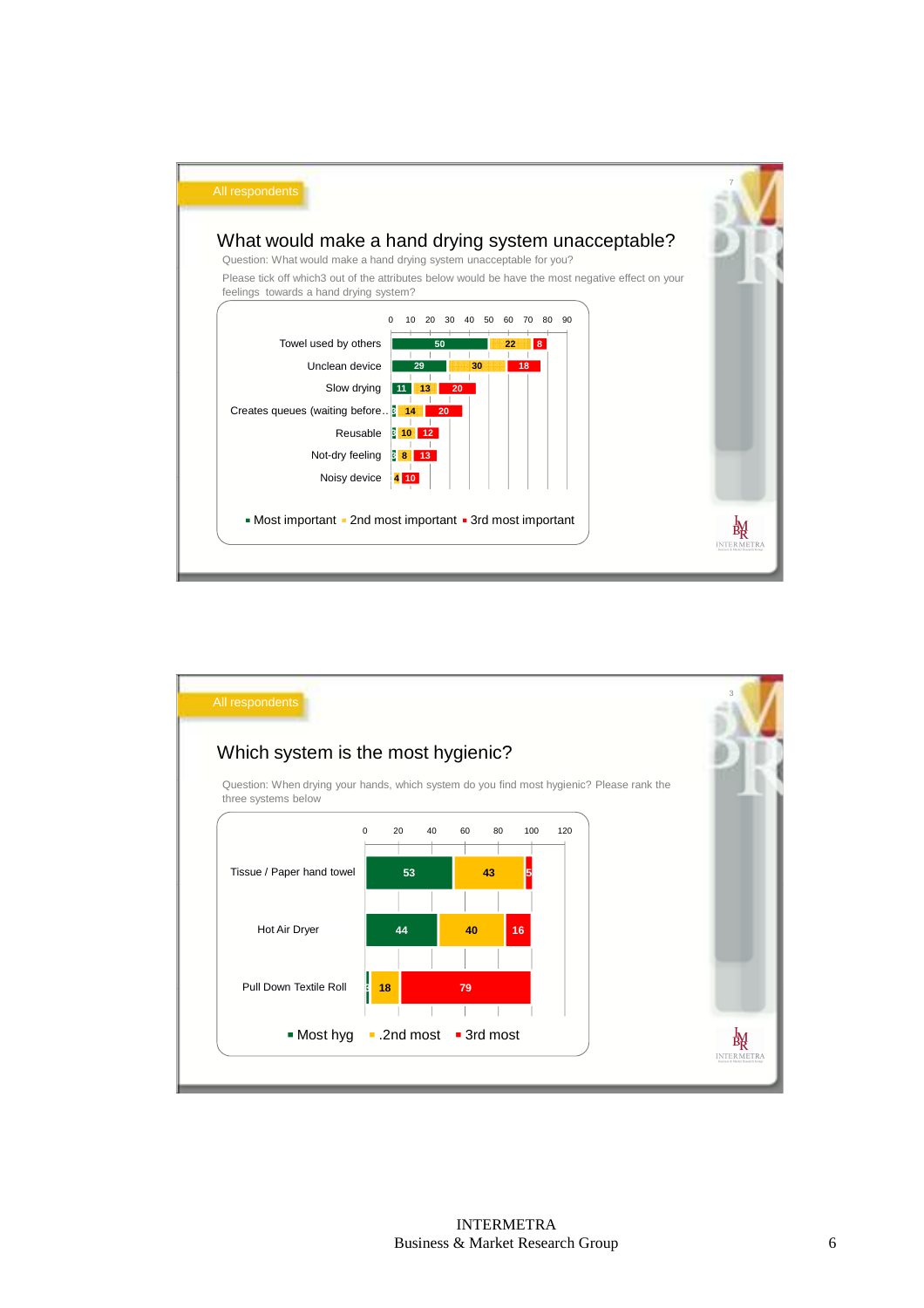

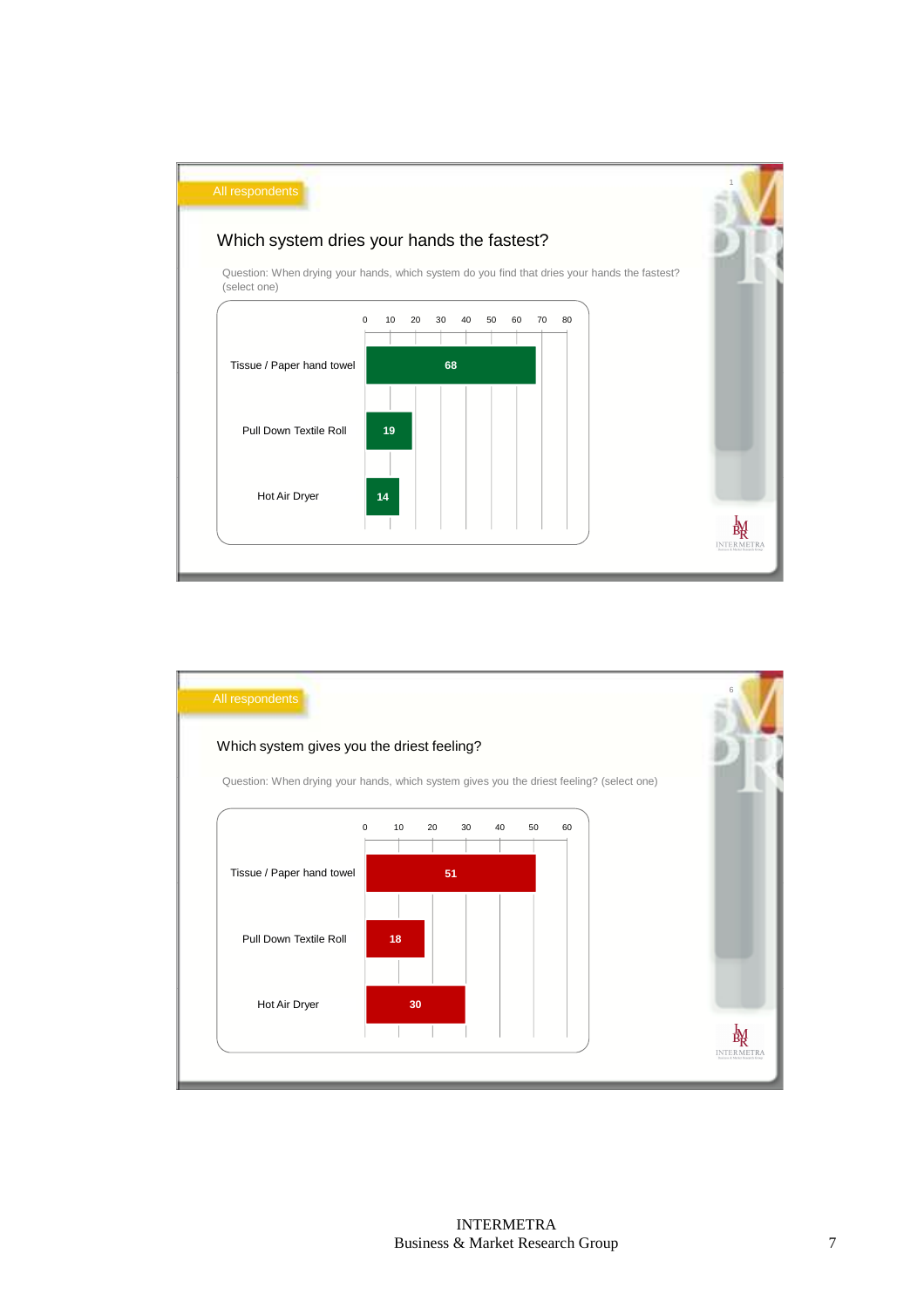

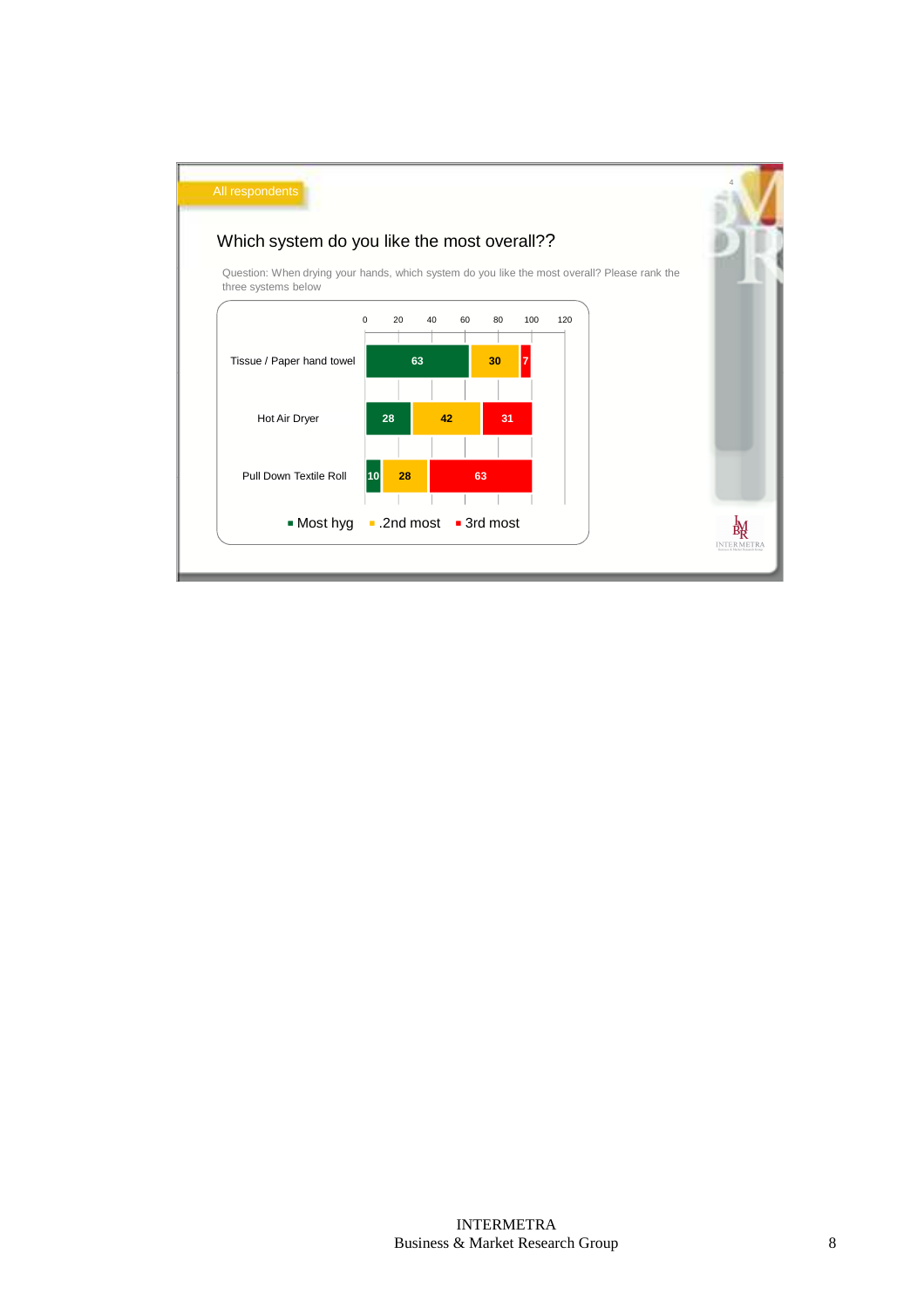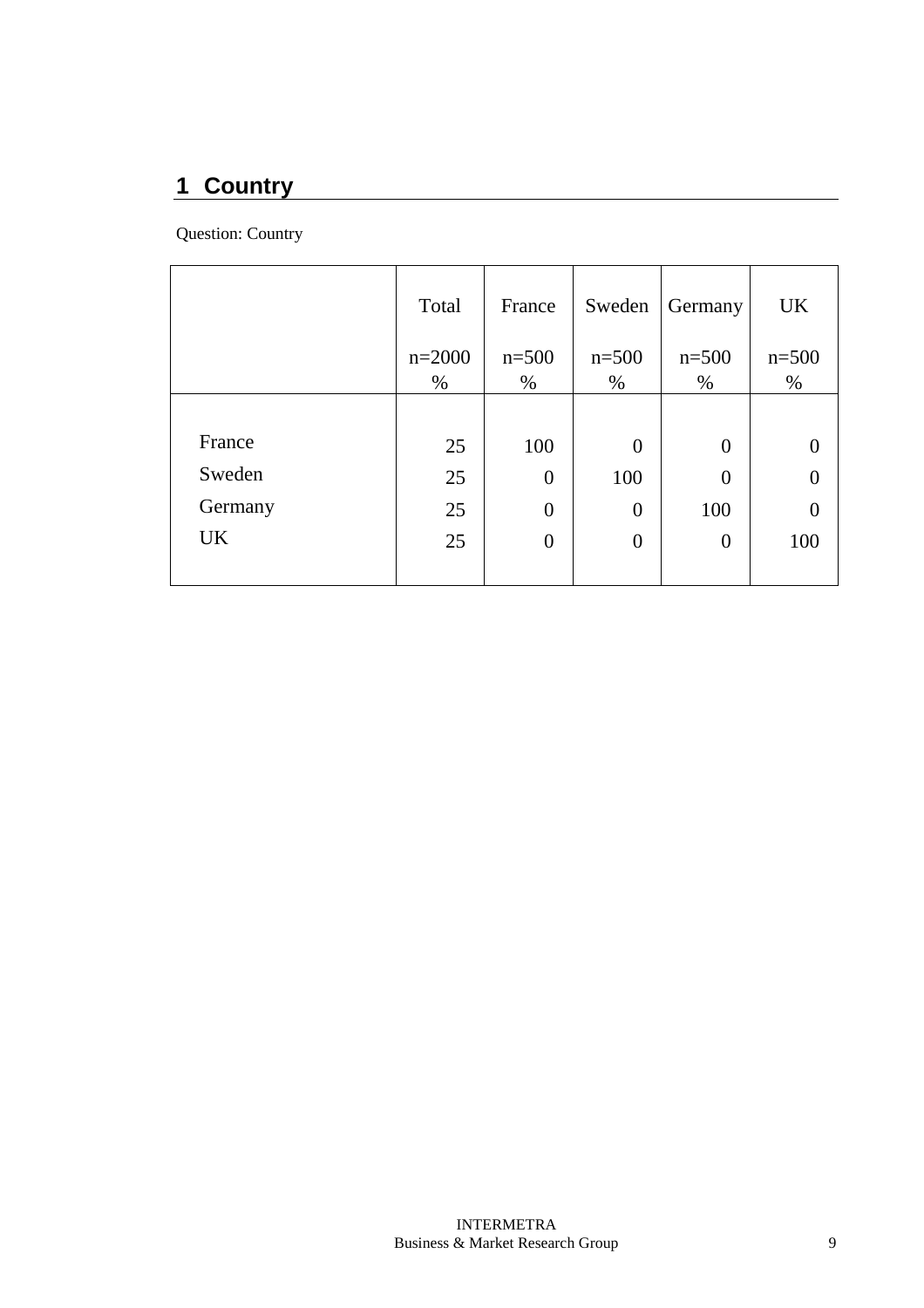# **1 Country**

Question: Country

|         | Total    | France         | Sweden           | Germany          | <b>UK</b> |
|---------|----------|----------------|------------------|------------------|-----------|
|         | $n=2000$ | $n = 500$      | $n = 500$        | $n = 500$        | $n = 500$ |
|         | $\%$     | $\%$           | $\%$             | $\%$             | $\%$      |
|         |          |                |                  |                  |           |
| France  | 25       | 100            | $\overline{0}$   | $\overline{0}$   |           |
| Sweden  | 25       | $\overline{0}$ | 100              | $\overline{0}$   |           |
| Germany | 25       | $\overline{0}$ | $\overline{0}$   | 100              |           |
| UK.     | 25       | $\overline{0}$ | $\boldsymbol{0}$ | $\boldsymbol{0}$ | 100       |
|         |          |                |                  |                  |           |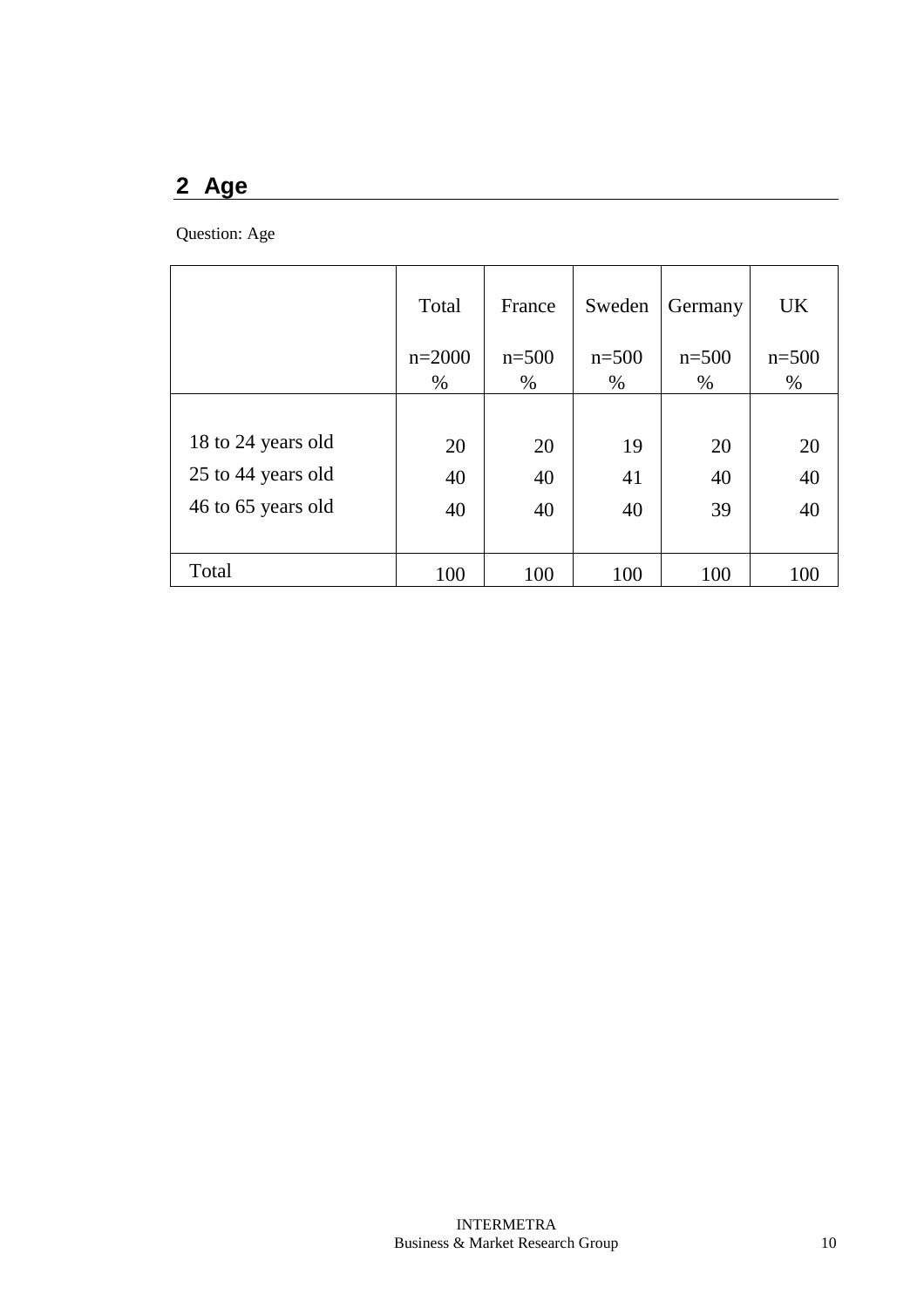## **2 Age**

Question: Age

|                    | Total            | France          | Sweden          | Germany           | <b>UK</b>       |
|--------------------|------------------|-----------------|-----------------|-------------------|-----------------|
|                    | $n=2000$<br>$\%$ | $n=500$<br>$\%$ | $n=500$<br>$\%$ | $n = 500$<br>$\%$ | $n=500$<br>$\%$ |
|                    |                  |                 |                 |                   |                 |
| 18 to 24 years old | 20               | 20              | 19              | 20                | 20              |
| 25 to 44 years old | 40               | 40              | 41              | 40                | 40              |
| 46 to 65 years old | 40               | 40              | 40              | 39                | 40              |
|                    |                  |                 |                 |                   |                 |
| Total              | 100              | 100             | 100             | 100               | 100             |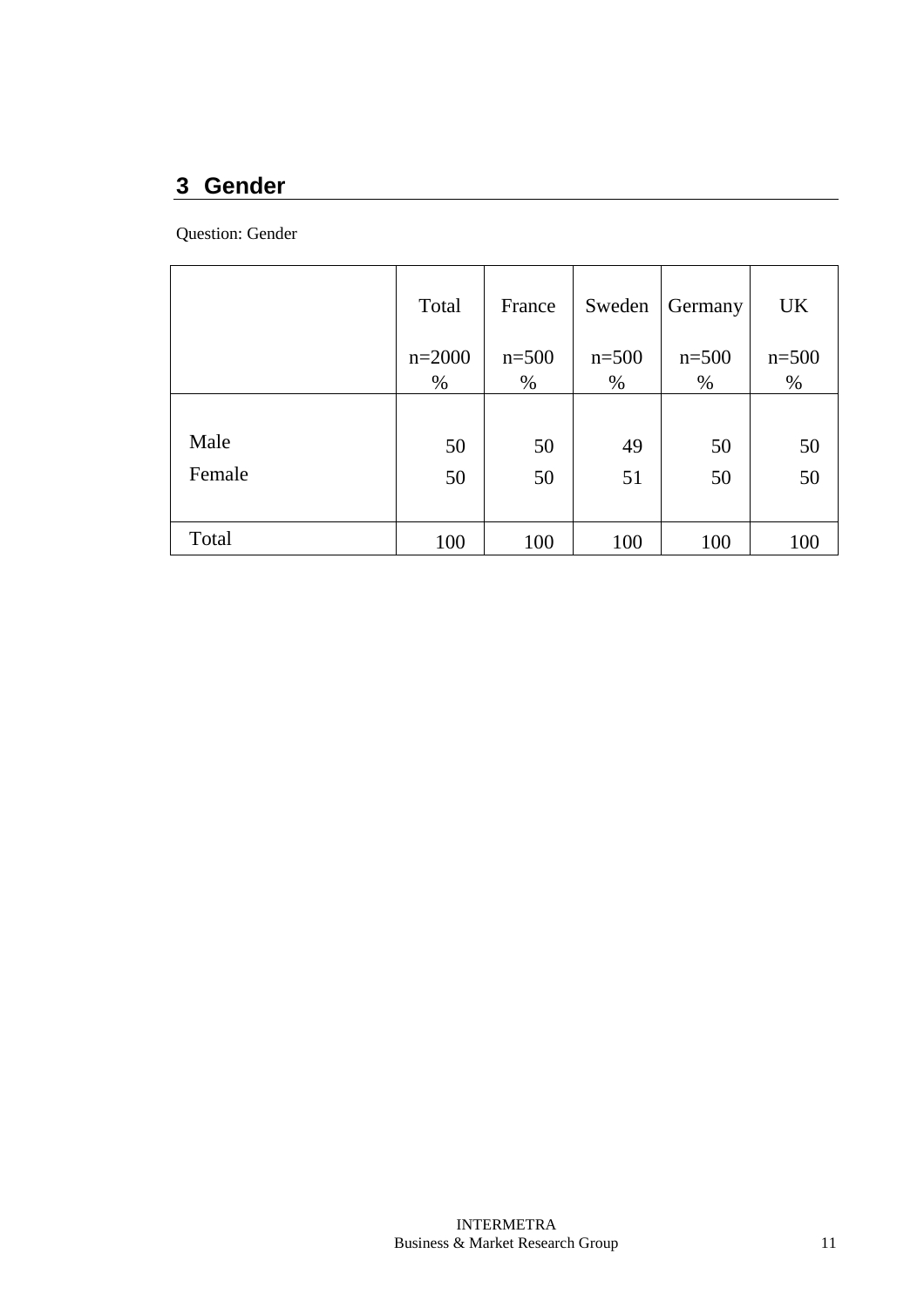# **3 Gender**

Question: Gender

|        | Total            | France         | Sweden         | Germany        | <b>UK</b>      |
|--------|------------------|----------------|----------------|----------------|----------------|
|        | $n=2000$<br>$\%$ | $n = 500$<br>% | $n = 500$<br>% | $n = 500$<br>% | $n = 500$<br>% |
|        |                  |                |                |                |                |
| Male   | 50               | 50             | 49             | 50             | 50             |
| Female | 50               | 50             | 51             | 50             | 50             |
|        |                  |                |                |                |                |
| Total  | 100              | 100            | 100            | 100            | 100            |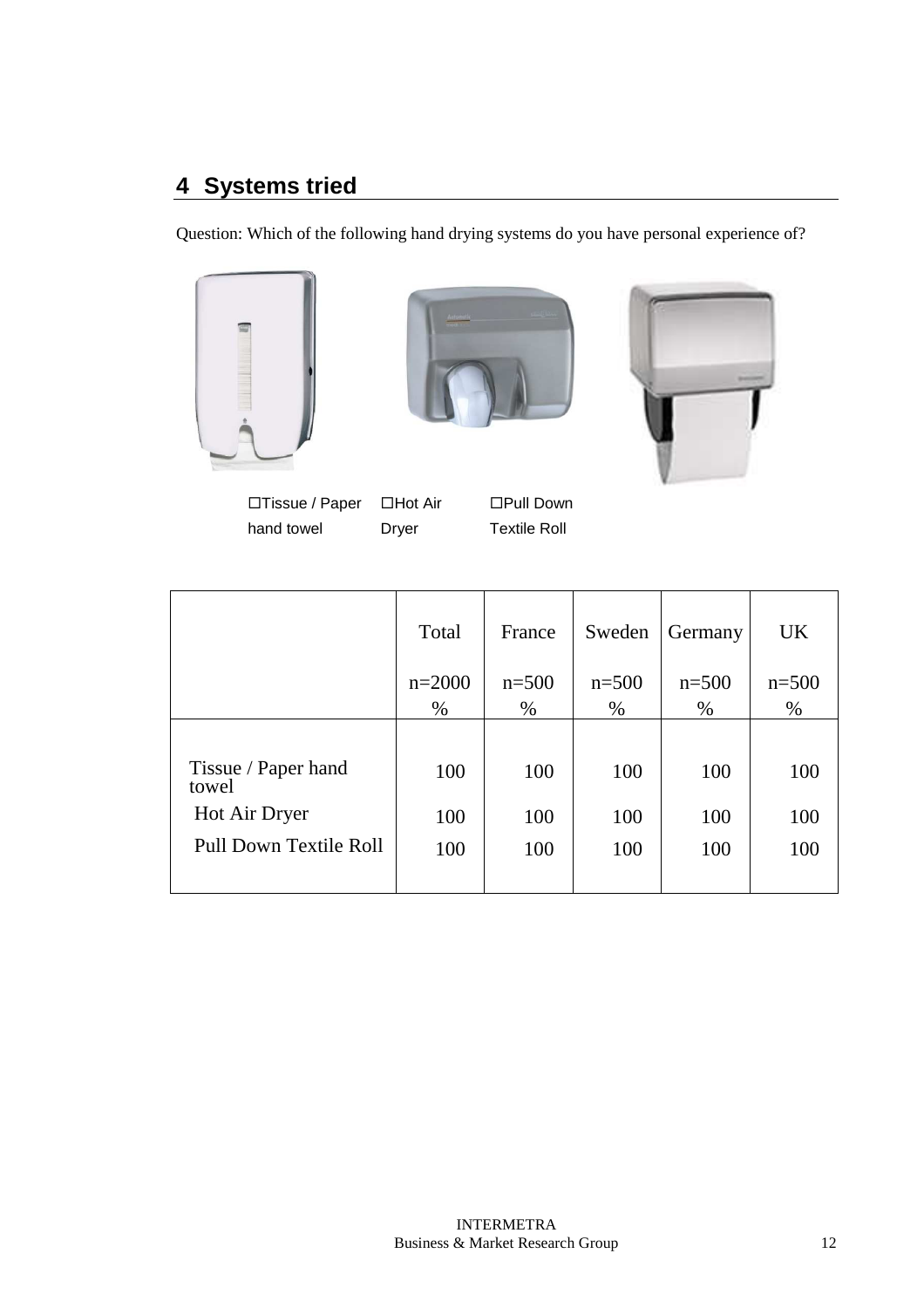# **4 Systems tried**

Question: Which of the following hand drying systems do you have personal experience of?







□Tissue / Paper hand towel

□Hot Air Dryer

□Pull Down Textile Roll

|                        | Total    | France  | Sweden  | Germany | UK      |
|------------------------|----------|---------|---------|---------|---------|
|                        | $n=2000$ | $n=500$ | $n=500$ | $n=500$ | $n=500$ |
|                        | $\%$     | $\%$    | $\%$    | $\%$    | $\%$    |
| Tissue / Paper hand    | 100      | 100     | 100     | 100     | 100     |
| towel<br>Hot Air Dryer | 100      | 100     | 100     | 100     | 100     |
| Pull Down Textile Roll | 100      | 100     | 100     | 100     | 100     |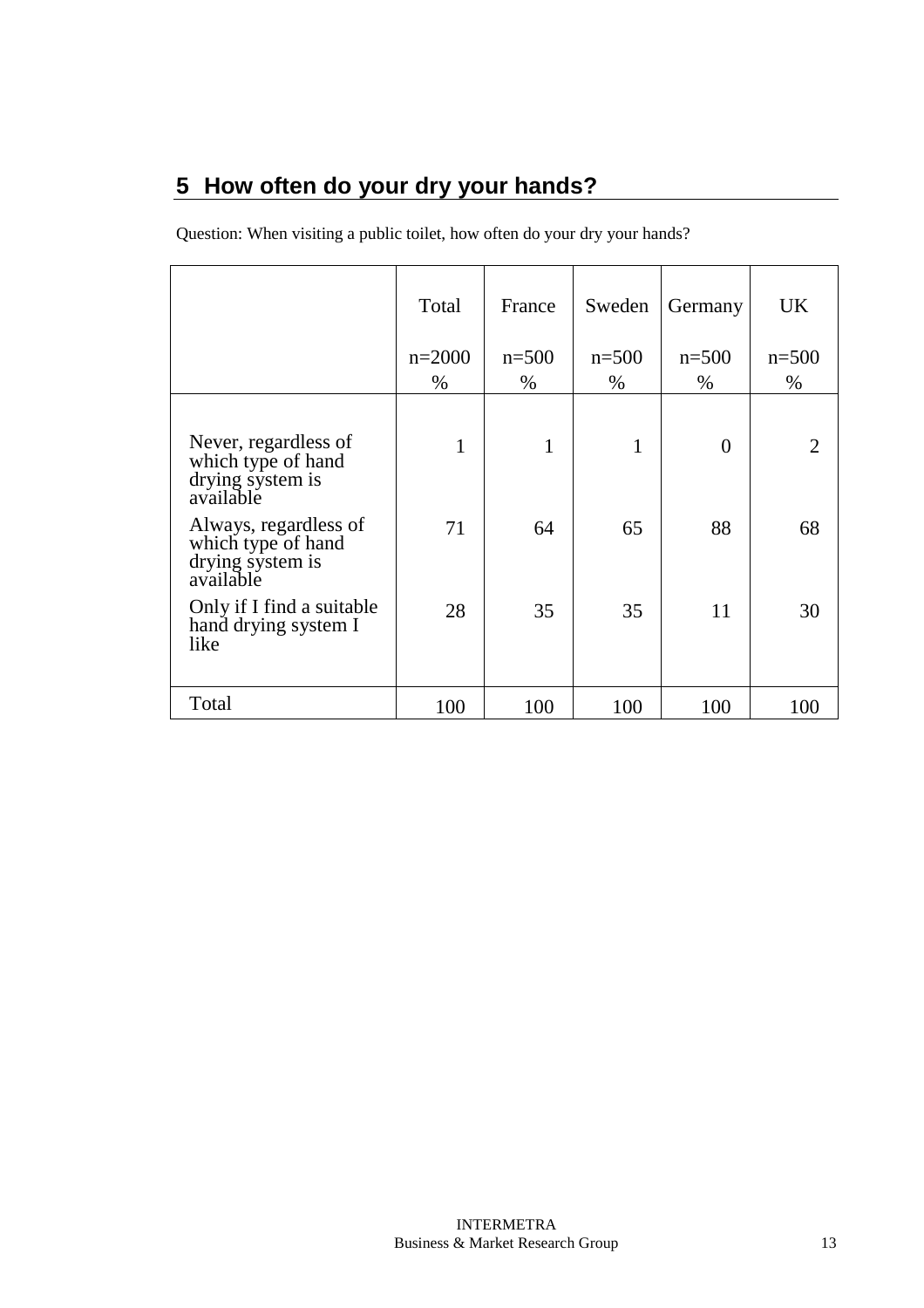# **5 How often do your dry your hands?**

Question: When visiting a public toilet, how often do your dry your hands?

|                                                                              | Total        | France  | Sweden       | Germany        | <b>UK</b>                   |
|------------------------------------------------------------------------------|--------------|---------|--------------|----------------|-----------------------------|
|                                                                              | $n=2000$     | $n=500$ | $n=500$      | $n=500$        | $n=500$                     |
|                                                                              | $\%$         | %       | $\%$         | $\%$           | $\%$                        |
| Never, regardless of<br>which type of hand<br>drying system is<br>available  | $\mathbf{1}$ | 1       | $\mathbf{1}$ | $\overline{0}$ | $\mathcal{D}_{\mathcal{A}}$ |
| Always, regardless of<br>which type of hand<br>drying system is<br>available | 71           | 64      | 65           | 88             | 68                          |
| Only if I find a suitable<br>hand drying system I<br>like                    | 28           | 35      | 35           | 11             | 30                          |
| Total                                                                        | 100          | 100     | 100          | 100            | 100                         |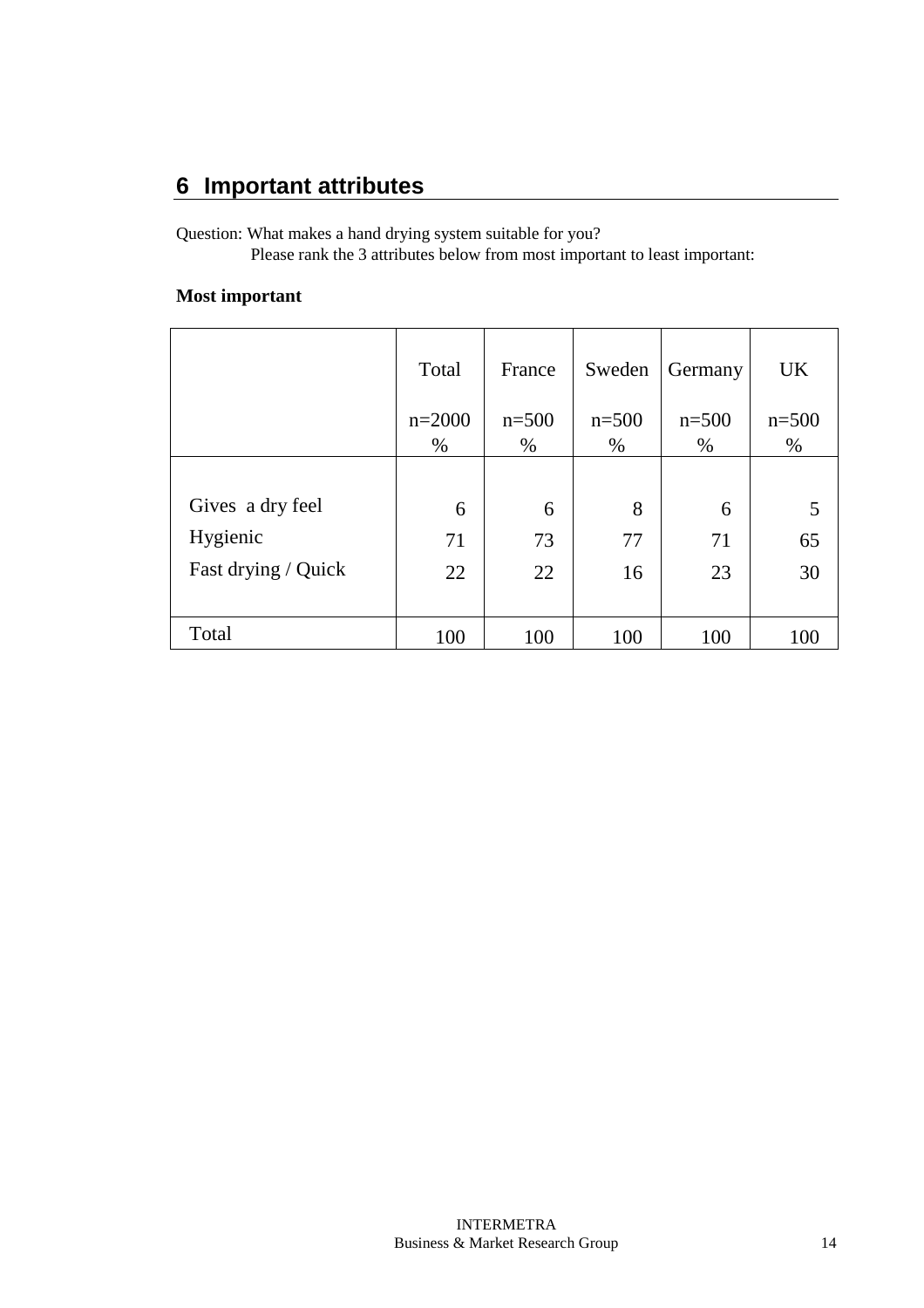Question: What makes a hand drying system suitable for you? Please rank the 3 attributes below from most important to least important:

#### **Most important**

|                     | Total    | France  | Sweden  | Germany | <b>UK</b> |
|---------------------|----------|---------|---------|---------|-----------|
|                     | $n=2000$ | $n=500$ | $n=500$ | $n=500$ | $n=500$   |
|                     | $\%$     | $\%$    | $\%$    | $\%$    | $\%$      |
|                     |          |         |         |         |           |
| Gives a dry feel    | 6        | 6       | 8       | 6       |           |
| Hygienic            | 71       | 73      | 77      | 71      | 65        |
| Fast drying / Quick | 22       | 22      | 16      | 23      | 30        |
|                     |          |         |         |         |           |
| Total               | 100      | 100     | 100     | 100     | 100       |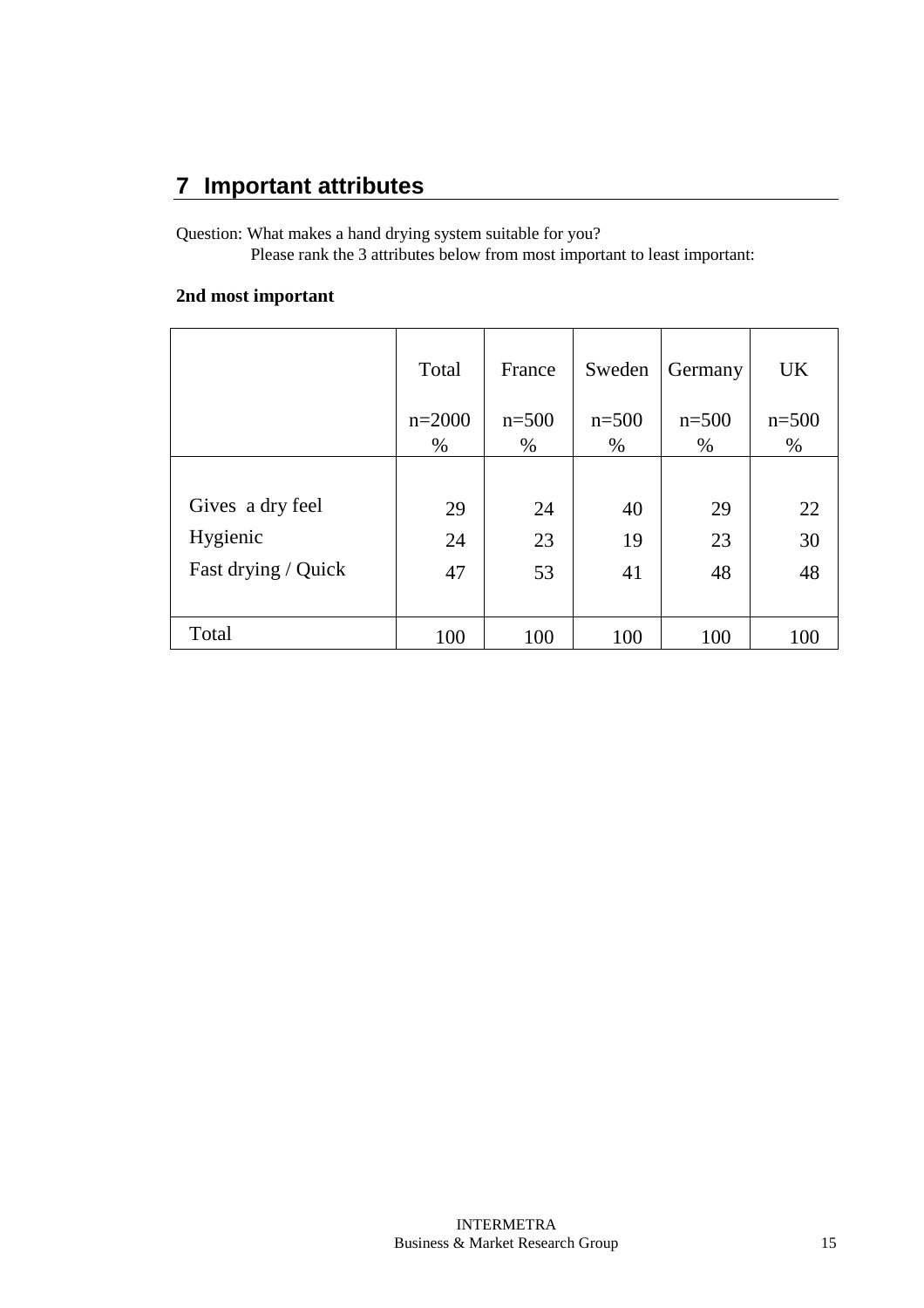Question: What makes a hand drying system suitable for you? Please rank the 3 attributes below from most important to least important:

#### **2nd most important**

|                     | Total    | France  | Sweden  | Germany | <b>UK</b> |
|---------------------|----------|---------|---------|---------|-----------|
|                     | $n=2000$ | $n=500$ | $n=500$ | $n=500$ | $n = 500$ |
|                     | $\%$     | $\%$    | $\%$    | $\%$    | $\%$      |
|                     |          |         |         |         |           |
| Gives a dry feel    | 29       | 24      | 40      | 29      | 22        |
| Hygienic            | 24       | 23      | 19      | 23      | 30        |
| Fast drying / Quick | 47       | 53      | 41      | 48      | 48        |
|                     |          |         |         |         |           |
| Total               | 100      | 100     | 100     | 100     | 100       |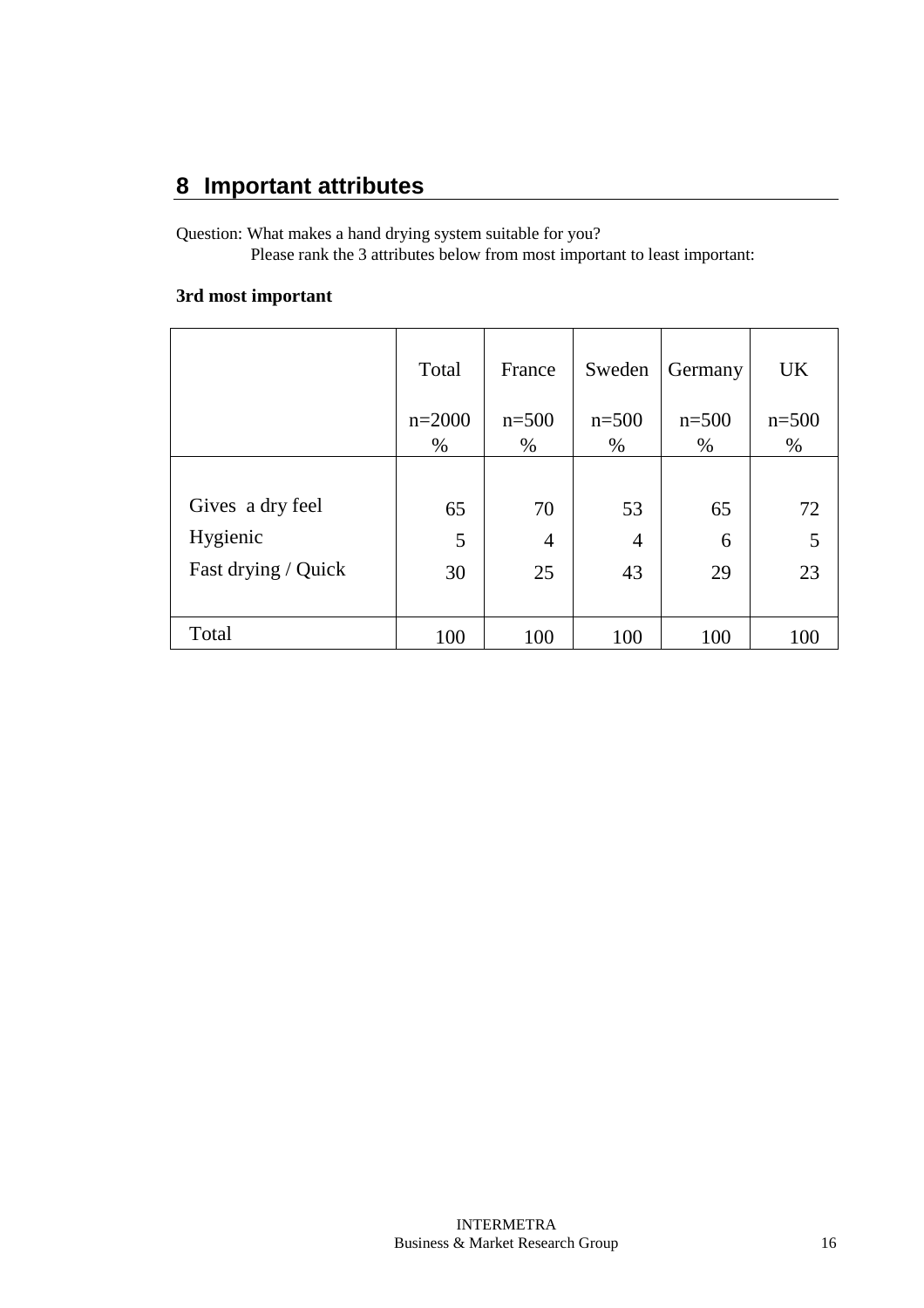Question: What makes a hand drying system suitable for you? Please rank the 3 attributes below from most important to least important:

#### **3rd most important**

|                     | Total    | France         | Sweden         | Germany | <b>UK</b> |
|---------------------|----------|----------------|----------------|---------|-----------|
|                     | $n=2000$ | $n=500$        | $n=500$        | $n=500$ | $n = 500$ |
|                     | $\%$     | $\%$           | $\%$           | $\%$    | $\%$      |
|                     |          |                |                |         |           |
| Gives a dry feel    | 65       | 70             | 53             | 65      | 72        |
| Hygienic            | 5        | $\overline{4}$ | $\overline{4}$ | 6       | 5         |
| Fast drying / Quick | 30       | 25             | 43             | 29      | 23        |
|                     |          |                |                |         |           |
| Total               | 100      | 100            | 100            | 100     | 100       |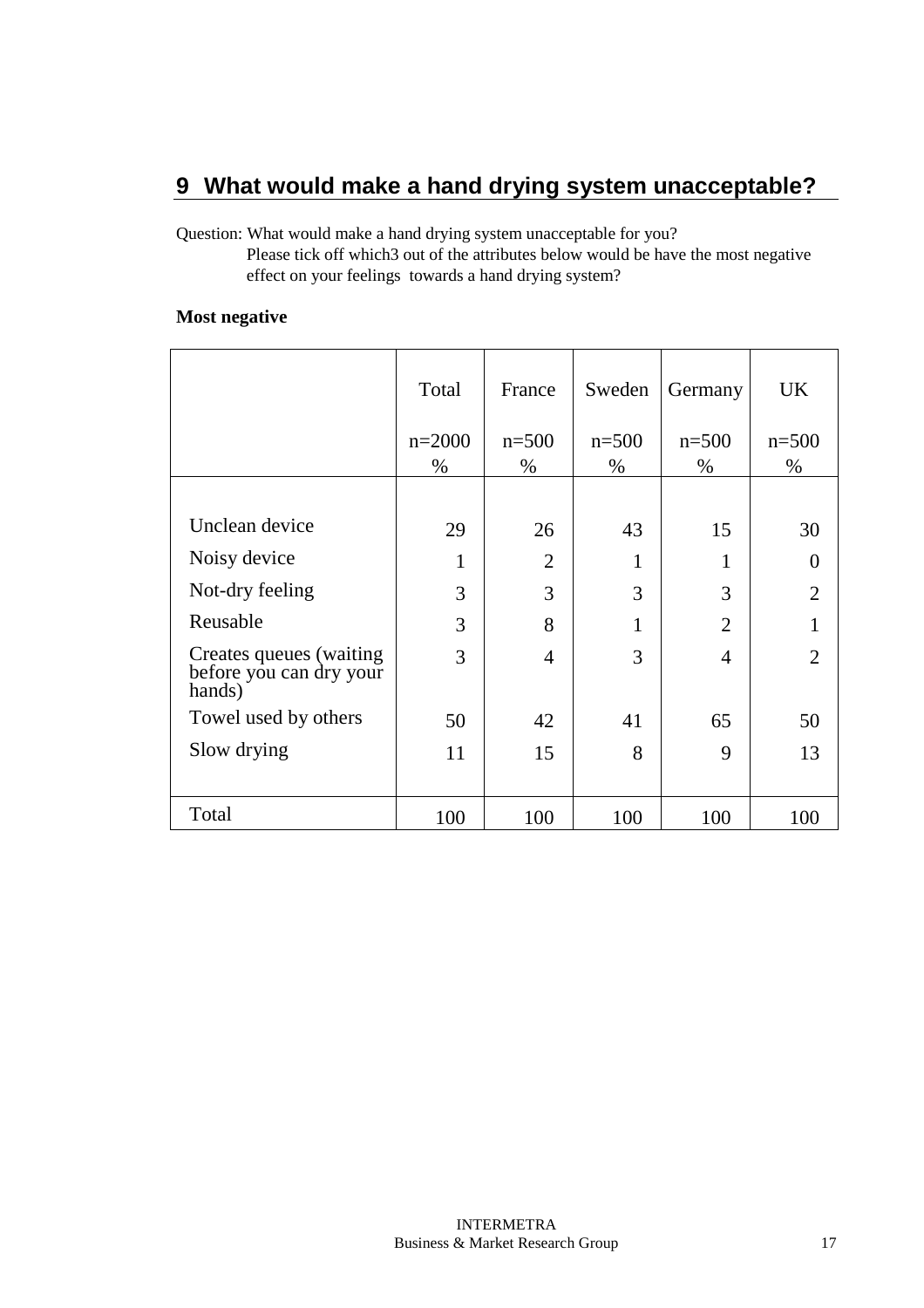### **9 What would make a hand drying system unacceptable?**

Question: What would make a hand drying system unacceptable for you?

 Please tick off which3 out of the attributes below would be have the most negative effect on your feelings towards a hand drying system?

#### **Most negative**

|                                                               | Total    | France         | Sweden    | Germany        | <b>UK</b>      |
|---------------------------------------------------------------|----------|----------------|-----------|----------------|----------------|
|                                                               | $n=2000$ | $n=500$        | $n = 500$ | $n=500$        | $n = 500$      |
|                                                               | %        | $\%$           | $\%$      | $\%$           | $\%$           |
|                                                               |          |                |           |                |                |
| Unclean device                                                | 29       | 26             | 43        | 15             | 30             |
| Noisy device                                                  | 1        | $\overline{2}$ | 1         | 1              |                |
| Not-dry feeling                                               | 3        | 3              | 3         | 3              | $\overline{2}$ |
| Reusable                                                      | 3        | 8              | 1         | $\overline{2}$ |                |
| Creates queues (waiting)<br>before you can dry your<br>hands) | 3        | $\overline{4}$ | 3         | $\overline{4}$ | $\overline{2}$ |
| Towel used by others                                          | 50       | 42             | 41        | 65             | 50             |
| Slow drying                                                   | 11       | 15             | 8         | 9              | 13             |
|                                                               |          |                |           |                |                |
| Total                                                         | 100      | 100            | 100       | 100            | 100            |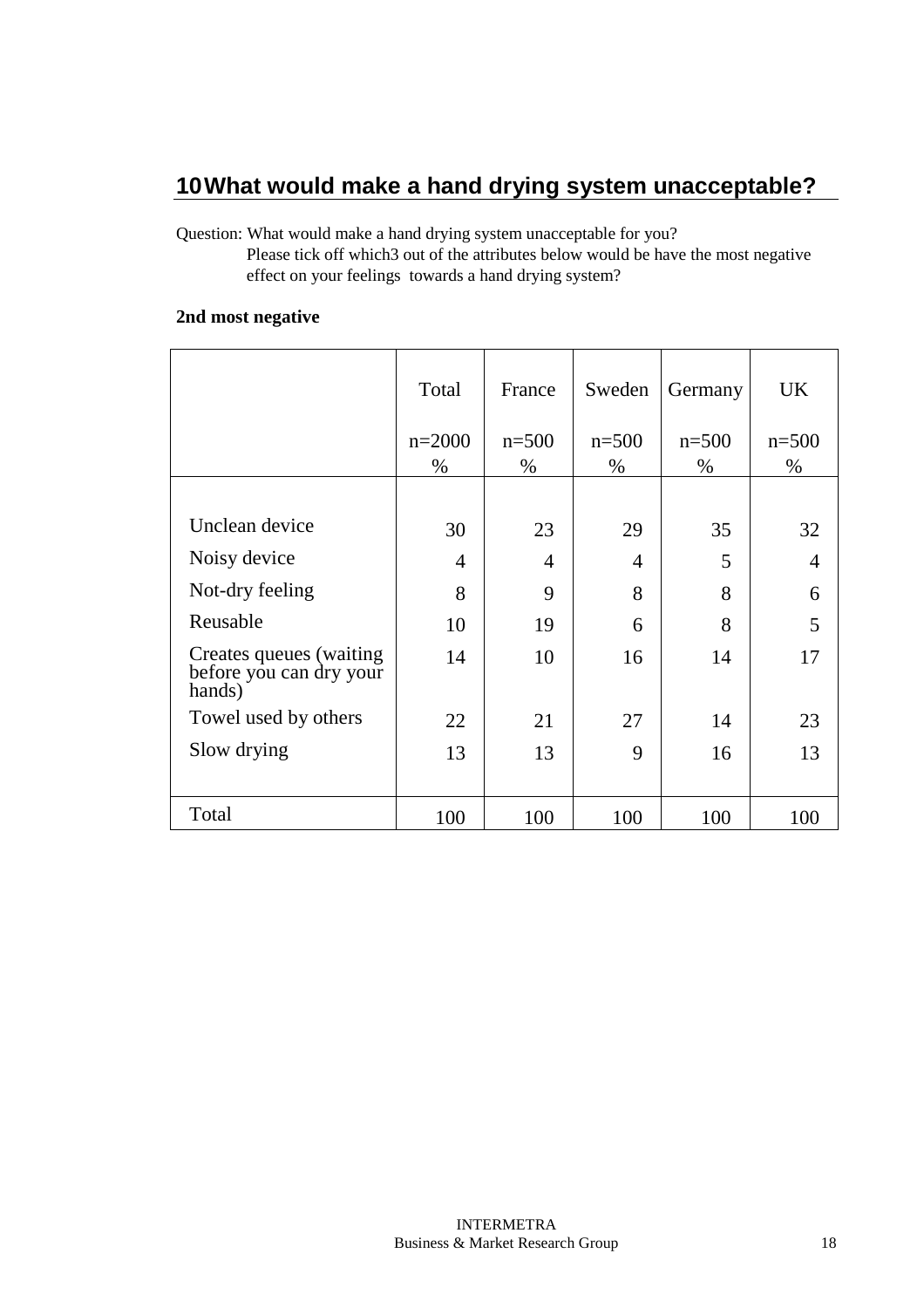### **10 What would make a hand drying system unacceptable?**

Question: What would make a hand drying system unacceptable for you?

 Please tick off which3 out of the attributes below would be have the most negative effect on your feelings towards a hand drying system?

#### **2nd most negative**

|                                                               | Total          | France    | Sweden  | Germany | <b>UK</b> |
|---------------------------------------------------------------|----------------|-----------|---------|---------|-----------|
|                                                               | $n=2000$       | $n = 500$ | $n=500$ | $n=500$ | $n = 500$ |
|                                                               | %              | $\%$      | $\%$    | $\%$    | $\%$      |
|                                                               |                |           |         |         |           |
| Unclean device                                                | 30             | 23        | 29      | 35      | 32        |
| Noisy device                                                  | $\overline{4}$ | 4         | 4       | 5       | 4         |
| Not-dry feeling                                               | 8              | 9         | 8       | 8       | 6         |
| Reusable                                                      | 10             | 19        | 6       | 8       | 5         |
| Creates queues (waiting)<br>before you can dry your<br>hands) | 14             | 10        | 16      | 14      | 17        |
| Towel used by others                                          | 22             | 21        | 27      | 14      | 23        |
| Slow drying                                                   | 13             | 13        | 9       | 16      | 13        |
|                                                               |                |           |         |         |           |
| Total                                                         | 100            | 100       | 100     | 100     | 100       |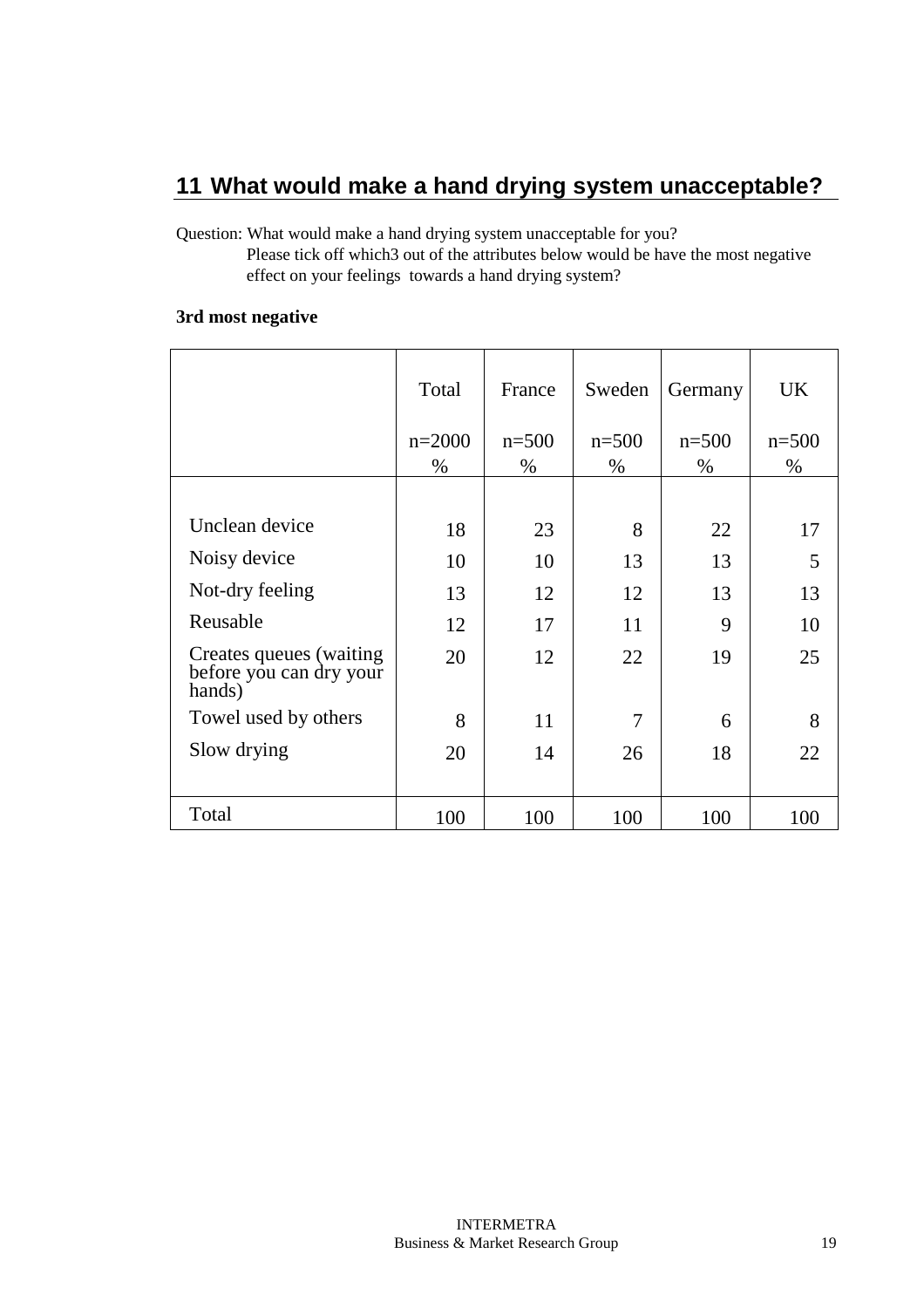## **11 What would make a hand drying system unacceptable?**

Question: What would make a hand drying system unacceptable for you?

 Please tick off which3 out of the attributes below would be have the most negative effect on your feelings towards a hand drying system?

#### **3rd most negative**

|                                                              | Total    | France    | Sweden  | Germany | <b>UK</b> |
|--------------------------------------------------------------|----------|-----------|---------|---------|-----------|
|                                                              | $n=2000$ | $n = 500$ | $n=500$ | $n=500$ | $n = 500$ |
|                                                              | %        | $\%$      | $\%$    | $\%$    | $\%$      |
|                                                              |          |           |         |         |           |
| Unclean device                                               | 18       | 23        | 8       | 22      | 17        |
| Noisy device                                                 | 10       | 10        | 13      | 13      | 5         |
| Not-dry feeling                                              | 13       | 12        | 12      | 13      | 13        |
| Reusable                                                     | 12       | 17        | 11      | 9       | 10        |
| Creates queues (waiting<br>before you can dry your<br>hands) | 20       | 12        | 22      | 19      | 25        |
| Towel used by others                                         | 8        | 11        | 7       | 6       | 8         |
| Slow drying                                                  | 20       | 14        | 26      | 18      | 22        |
|                                                              |          |           |         |         |           |
| Total                                                        | 100      | 100       | 100     | 100     | 100       |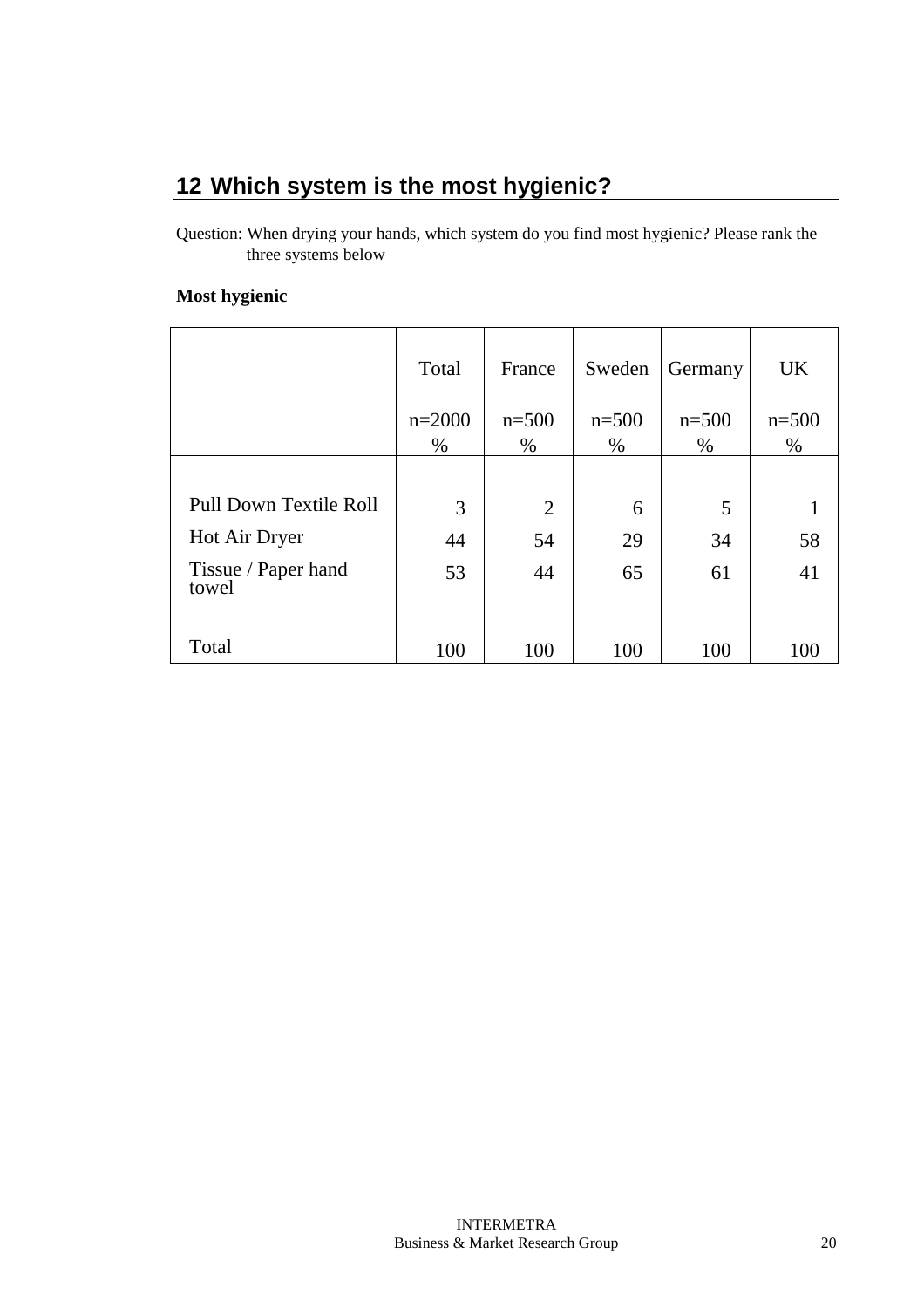# **12 Which system is the most hygienic?**

Question: When drying your hands, which system do you find most hygienic? Please rank the three systems below

#### **Most hygienic**

|                               | Total    | France  | Sweden  | Germany | <b>UK</b> |
|-------------------------------|----------|---------|---------|---------|-----------|
|                               | $n=2000$ | $n=500$ | $n=500$ | $n=500$ | $n=500$   |
|                               | $\%$     | %       | $\%$    | $\%$    | %         |
|                               |          |         |         |         |           |
| <b>Pull Down Textile Roll</b> | 3        | 2       | 6       | 5       |           |
| Hot Air Dryer                 | 44       | 54      | 29      | 34      | 58        |
| Tissue / Paper hand<br>towel  | 53       | 44      | 65      | 61      | 41        |
|                               |          |         |         |         |           |
| Total                         | 100      | 100     | 100     | 100     | 100       |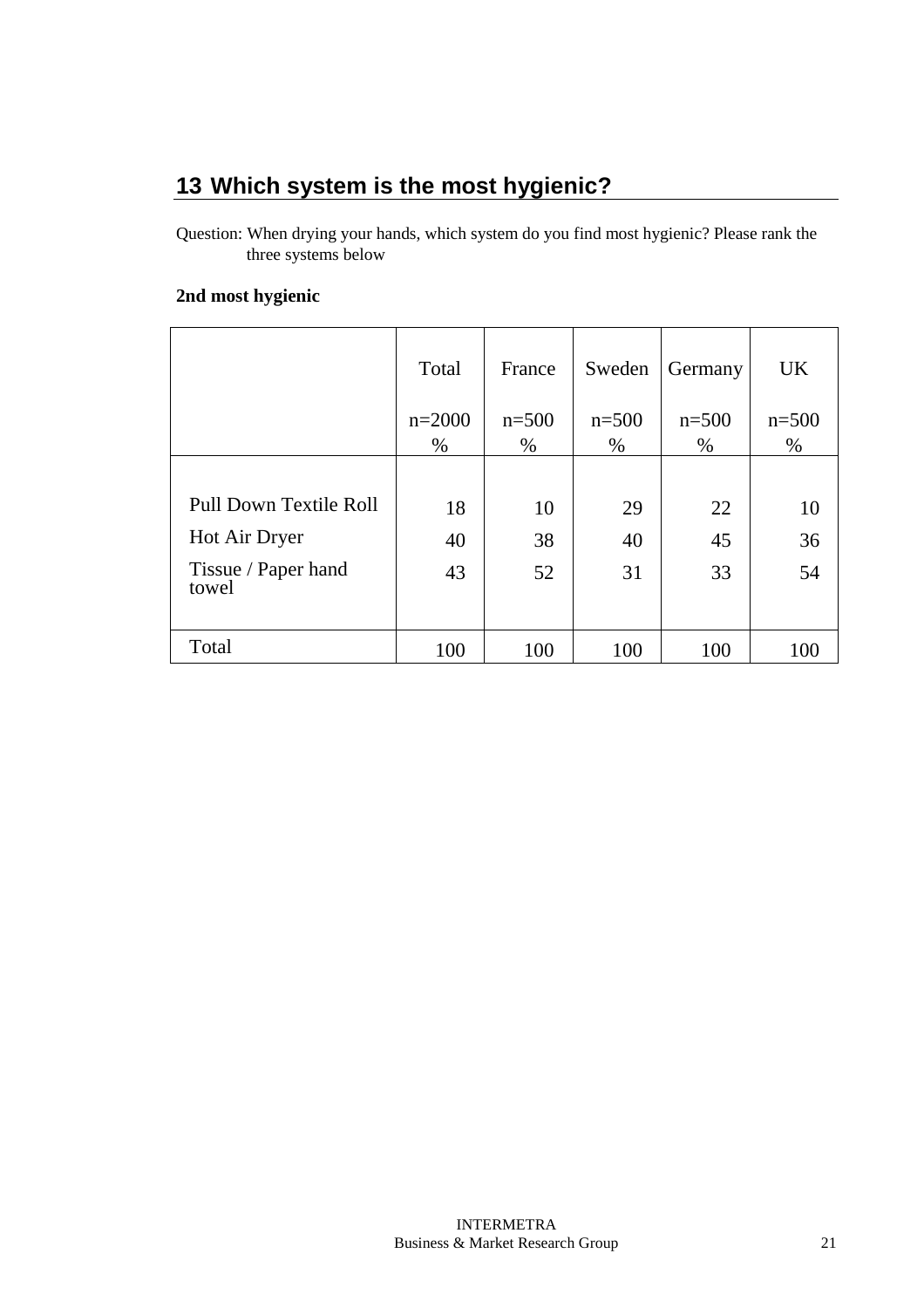# **13 Which system is the most hygienic?**

Question: When drying your hands, which system do you find most hygienic? Please rank the three systems below

#### **2nd most hygienic**

|                              | Total    | France  | Sweden  | Germany | <b>UK</b> |
|------------------------------|----------|---------|---------|---------|-----------|
|                              | $n=2000$ | $n=500$ | $n=500$ | $n=500$ | $n=500$   |
|                              | $\%$     | $\%$    | $\%$    | $\%$    | $\%$      |
|                              |          |         |         |         |           |
| Pull Down Textile Roll       | 18       | 10      | 29      | 22      | 10        |
| Hot Air Dryer                | 40       | 38      | 40      | 45      | 36        |
| Tissue / Paper hand<br>towel | 43       | 52      | 31      | 33      | 54        |
|                              |          |         |         |         |           |
| Total                        | 100      | 100     | 100     | 100     | 100       |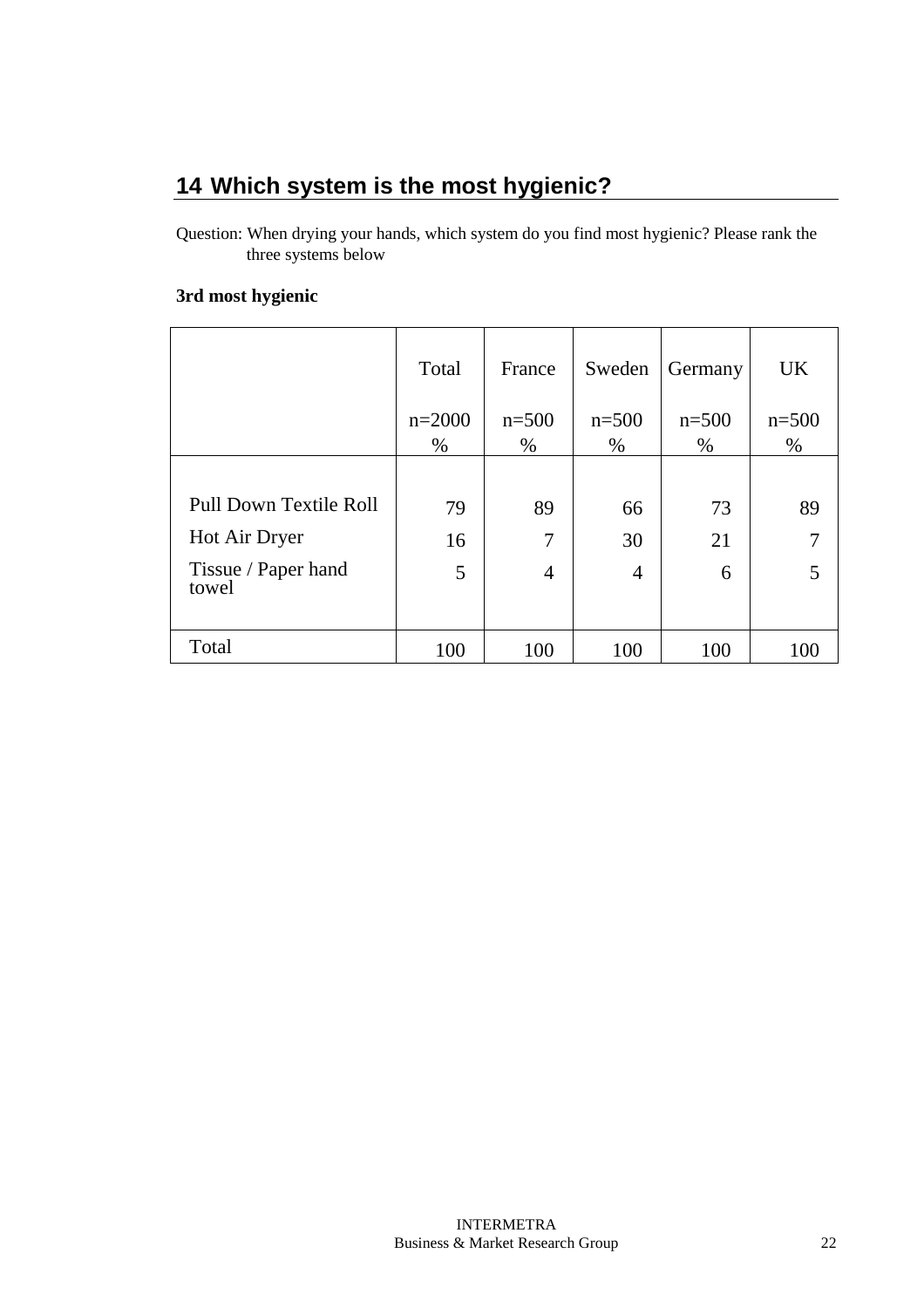# **14 Which system is the most hygienic?**

Question: When drying your hands, which system do you find most hygienic? Please rank the three systems below

#### **3rd most hygienic**

|                              | Total    | France         | Sweden         | Germany | <b>UK</b> |
|------------------------------|----------|----------------|----------------|---------|-----------|
|                              | $n=2000$ | $n=500$        | $n=500$        | $n=500$ | $n = 500$ |
|                              | $\%$     | $\%$           | $\%$           | $\%$    | $\%$      |
|                              |          |                |                |         |           |
| Pull Down Textile Roll       | 79       | 89             | 66             | 73      | 89        |
| Hot Air Dryer                | 16       | 7              | 30             | 21      |           |
| Tissue / Paper hand<br>towel | 5        | $\overline{4}$ | $\overline{4}$ | 6       |           |
| Total                        | 100      | 100            | 100            | 100     | 100       |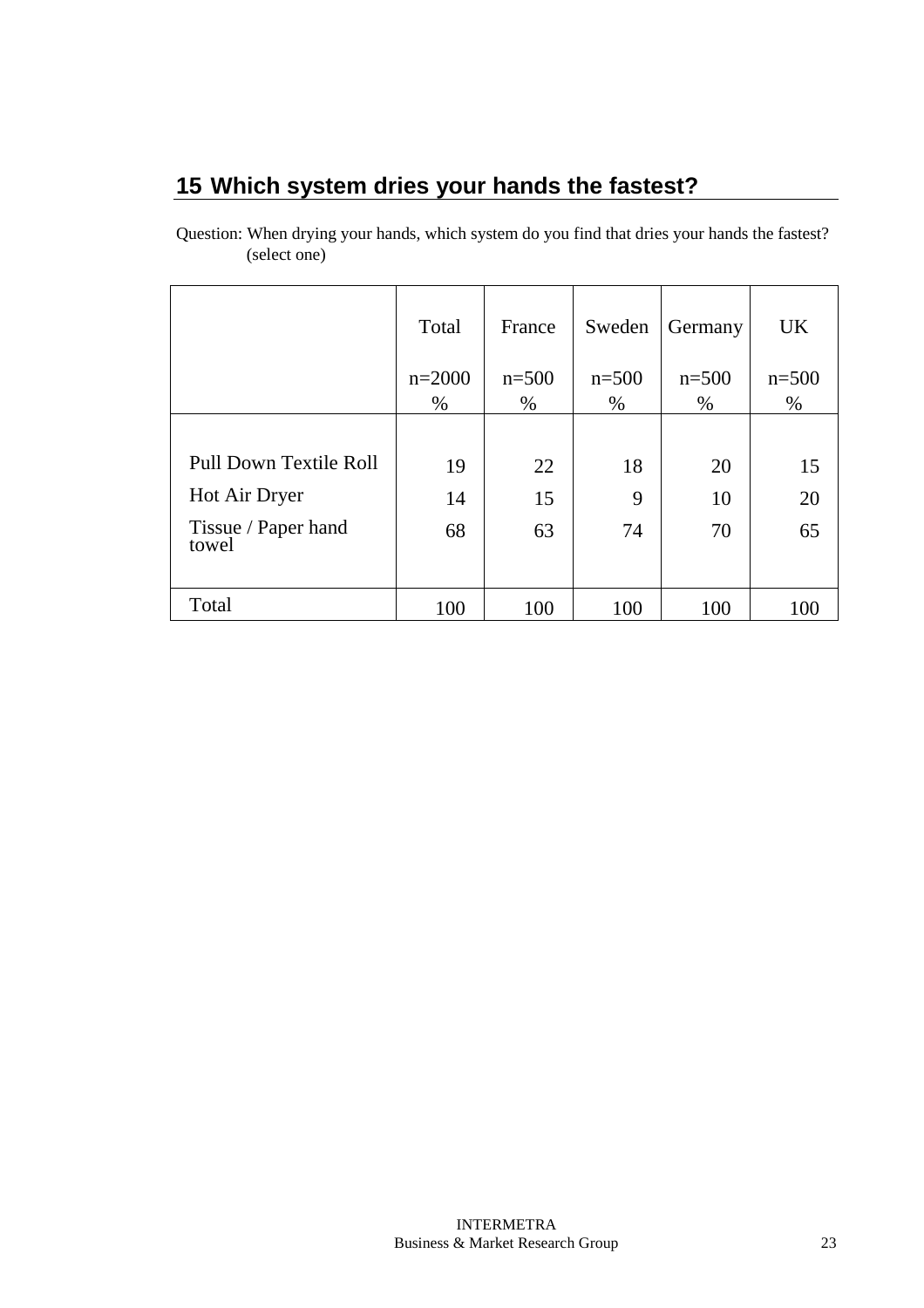# **15 Which system dries your hands the fastest?**

| Question: When drying your hands, which system do you find that dries your hands the fastest? |  |  |
|-----------------------------------------------------------------------------------------------|--|--|
| (select one)                                                                                  |  |  |

|                              | Total    | France  | Sweden  | Germany | <b>UK</b> |
|------------------------------|----------|---------|---------|---------|-----------|
|                              | $n=2000$ | $n=500$ | $n=500$ | $n=500$ | $n = 500$ |
|                              | $\%$     | $\%$    | $\%$    | $\%$    | $\%$      |
|                              |          |         |         |         |           |
| Pull Down Textile Roll       | 19       | 22      | 18      | 20      | 15        |
| Hot Air Dryer                | 14       | 15      | 9       | 10      | 20        |
| Tissue / Paper hand<br>towel | 68       | 63      | 74      | 70      | 65        |
| Total                        | 100      | 100     | 100     | 100     | 100       |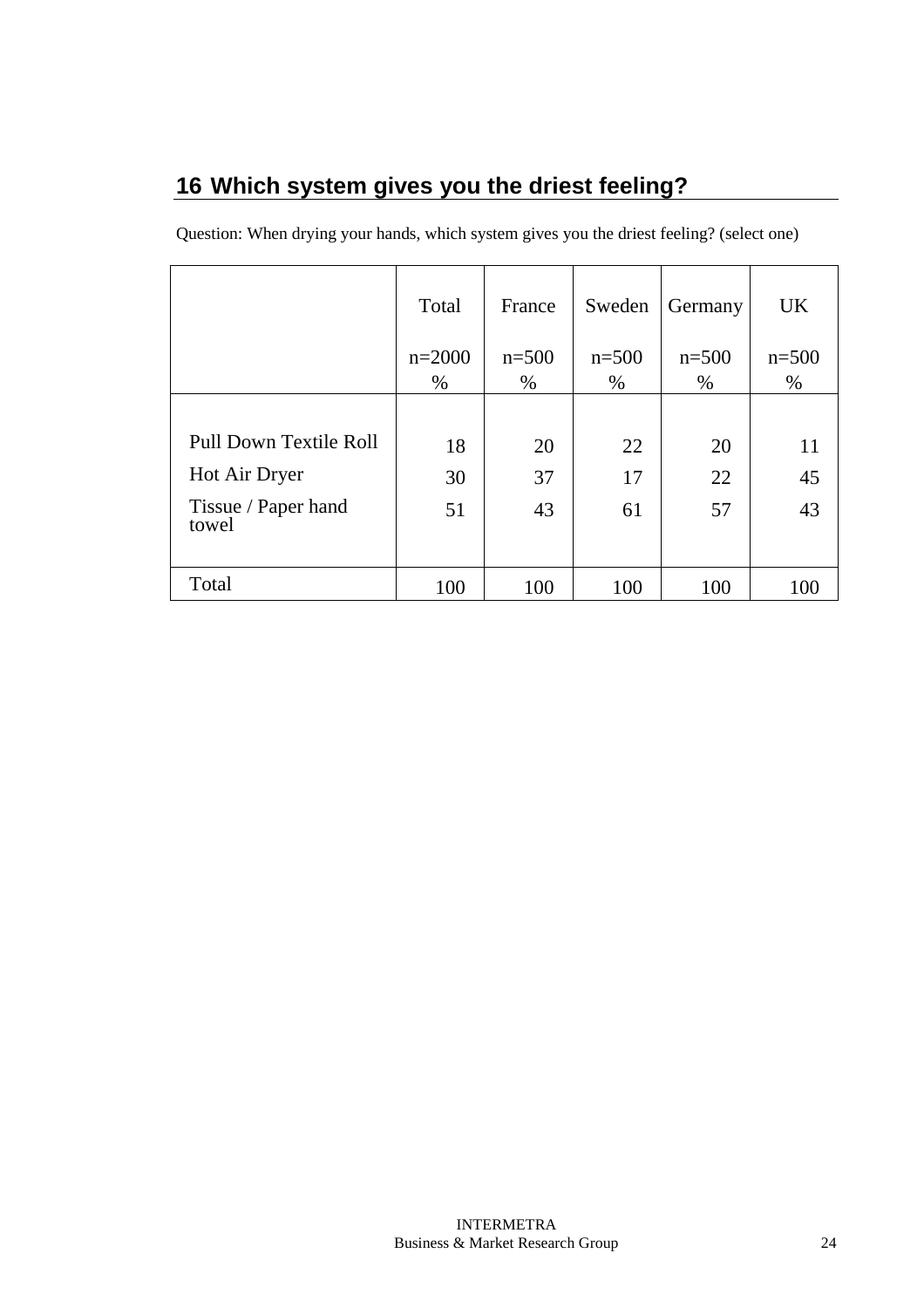# **16 Which system gives you the driest feeling?**

|                              | Total    | France    | Sweden  | Germany | <b>UK</b> |
|------------------------------|----------|-----------|---------|---------|-----------|
|                              | $n=2000$ | $n = 500$ | $n=500$ | $n=500$ | $n = 500$ |
|                              | $\%$     | %         | $\%$    | $\%$    | $\%$      |
|                              |          |           |         |         |           |
| Pull Down Textile Roll       | 18       | 20        | 22      | 20      | 11        |
| Hot Air Dryer                | 30       | 37        | 17      | 22      | 45        |
| Tissue / Paper hand<br>towel | 51       | 43        | 61      | 57      | 43        |
| Total                        | 100      | 100       | 100     | 100     | 100       |

Question: When drying your hands, which system gives you the driest feeling? (select one)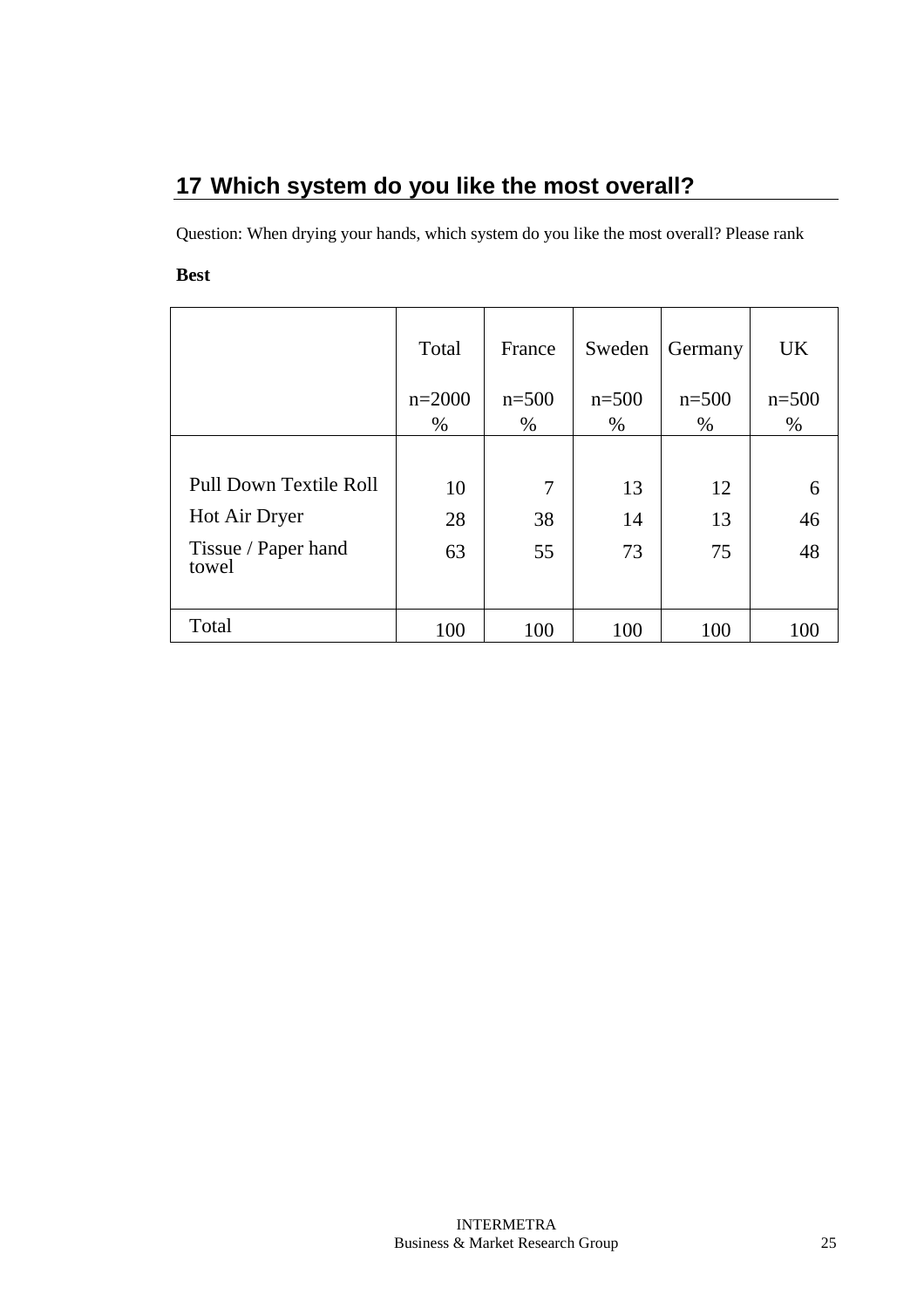# **17 Which system do you like the most overall?**

Question: When drying your hands, which system do you like the most overall? Please rank

#### **Best**

|                               | Total    | France  | Sweden  | Germany | <b>UK</b> |
|-------------------------------|----------|---------|---------|---------|-----------|
|                               | $n=2000$ | $n=500$ | $n=500$ | $n=500$ | $n=500$   |
|                               | $\%$     | %       | $\%$    | $\%$    | $\%$      |
|                               |          |         |         |         |           |
| <b>Pull Down Textile Roll</b> | 10       | 7       | 13      | 12      | 6         |
| Hot Air Dryer                 | 28       | 38      | 14      | 13      | 46        |
| Tissue / Paper hand<br>towel  | 63       | 55      | 73      | 75      | 48        |
|                               |          |         |         |         |           |
| Total                         | 100      | 100     | 100     | 100     | 100       |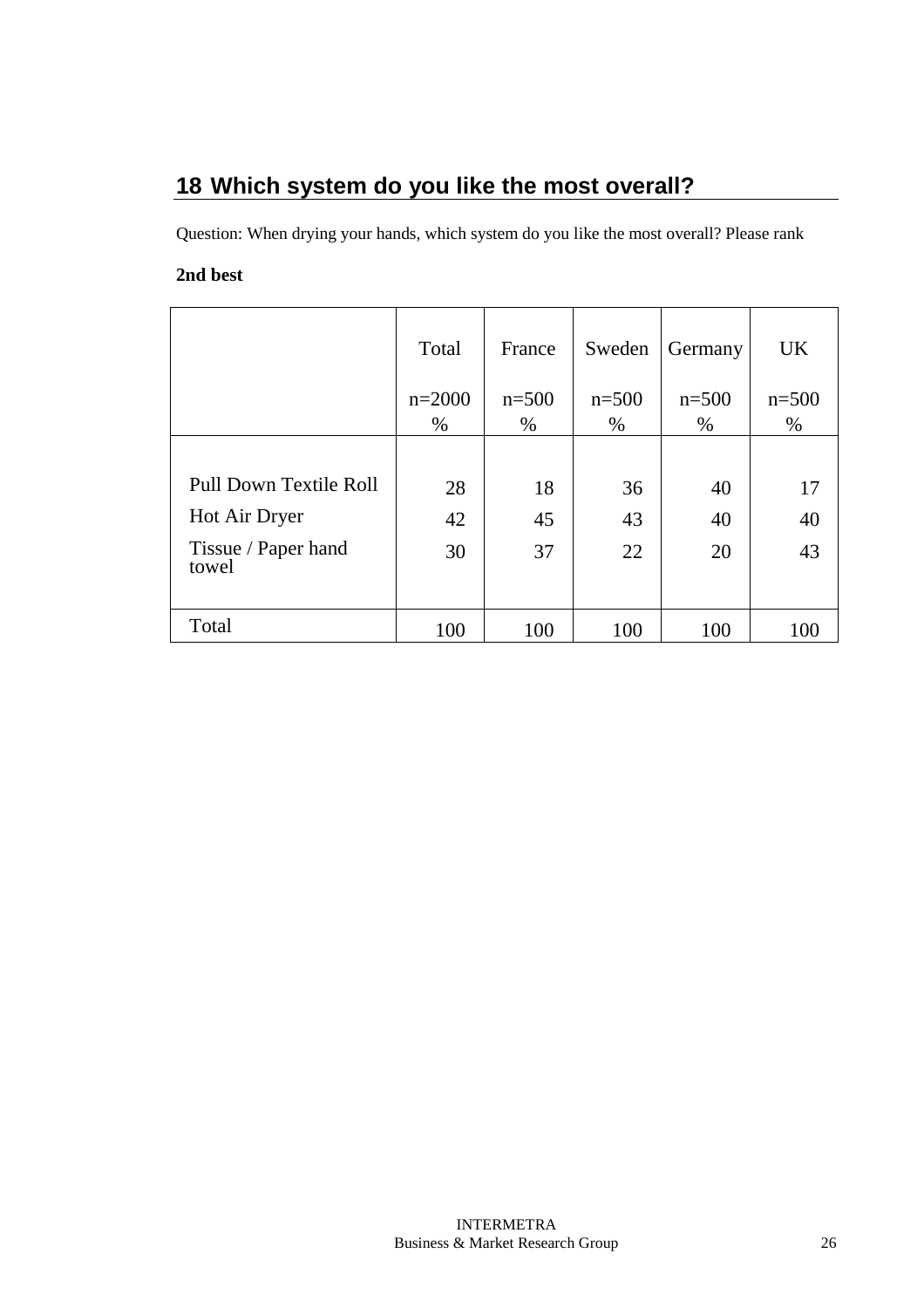# **18 Which system do you like the most overall?**

Question: When drying your hands, which system do you like the most overall? Please rank

#### **2nd best**

|                              | Total            | France       | Sweden          | Germany         | <b>UK</b>       |
|------------------------------|------------------|--------------|-----------------|-----------------|-----------------|
|                              | $n=2000$<br>$\%$ | $n=500$<br>% | $n=500$<br>$\%$ | $n=500$<br>$\%$ | $n=500$<br>$\%$ |
|                              |                  |              |                 |                 |                 |
| Pull Down Textile Roll       | 28               | 18           | 36              | 40              | 17              |
| Hot Air Dryer                | 42               | 45           | 43              | 40              | 40              |
| Tissue / Paper hand<br>towel | 30               | 37           | 22              | 20              | 43              |
|                              |                  |              |                 |                 |                 |
| Total                        | 100              | 100          | 100             | 100             | 100             |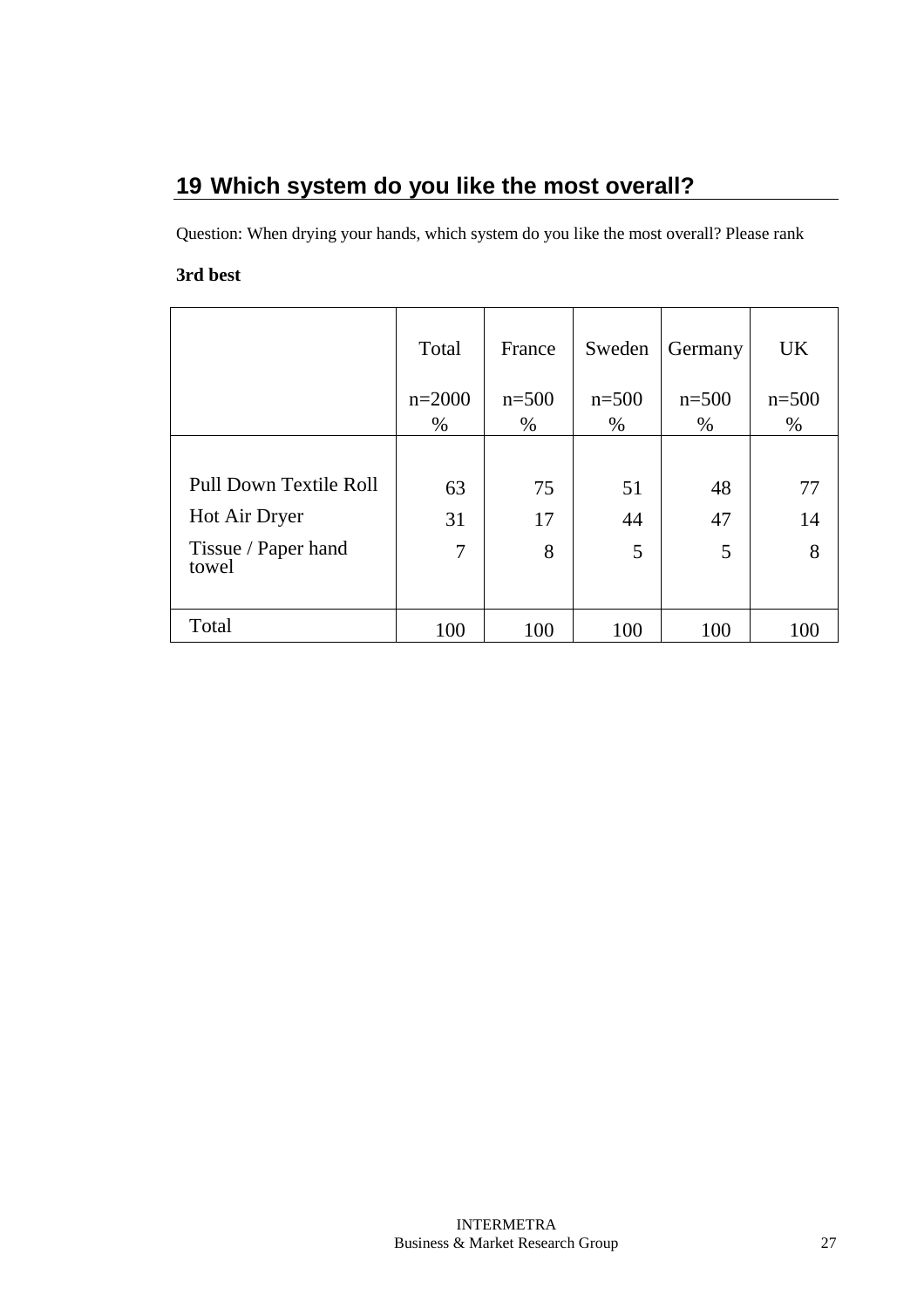# **19 Which system do you like the most overall?**

Question: When drying your hands, which system do you like the most overall? Please rank

#### **3rd best**

|                              | Total    | France  | Sweden  | Germany | <b>UK</b> |
|------------------------------|----------|---------|---------|---------|-----------|
|                              | $n=2000$ | $n=500$ | $n=500$ | $n=500$ | $n=500$   |
|                              | $\%$     | %       | $\%$    | $\%$    | $\%$      |
|                              |          |         |         |         |           |
| Pull Down Textile Roll       | 63       | 75      | 51      | 48      | 77        |
| Hot Air Dryer                | 31       | 17      | 44      | 47      | 14        |
| Tissue / Paper hand<br>towel | 7        | 8       | 5       | 5       | 8         |
| Total                        | 100      | 100     | 100     | 100     | 100       |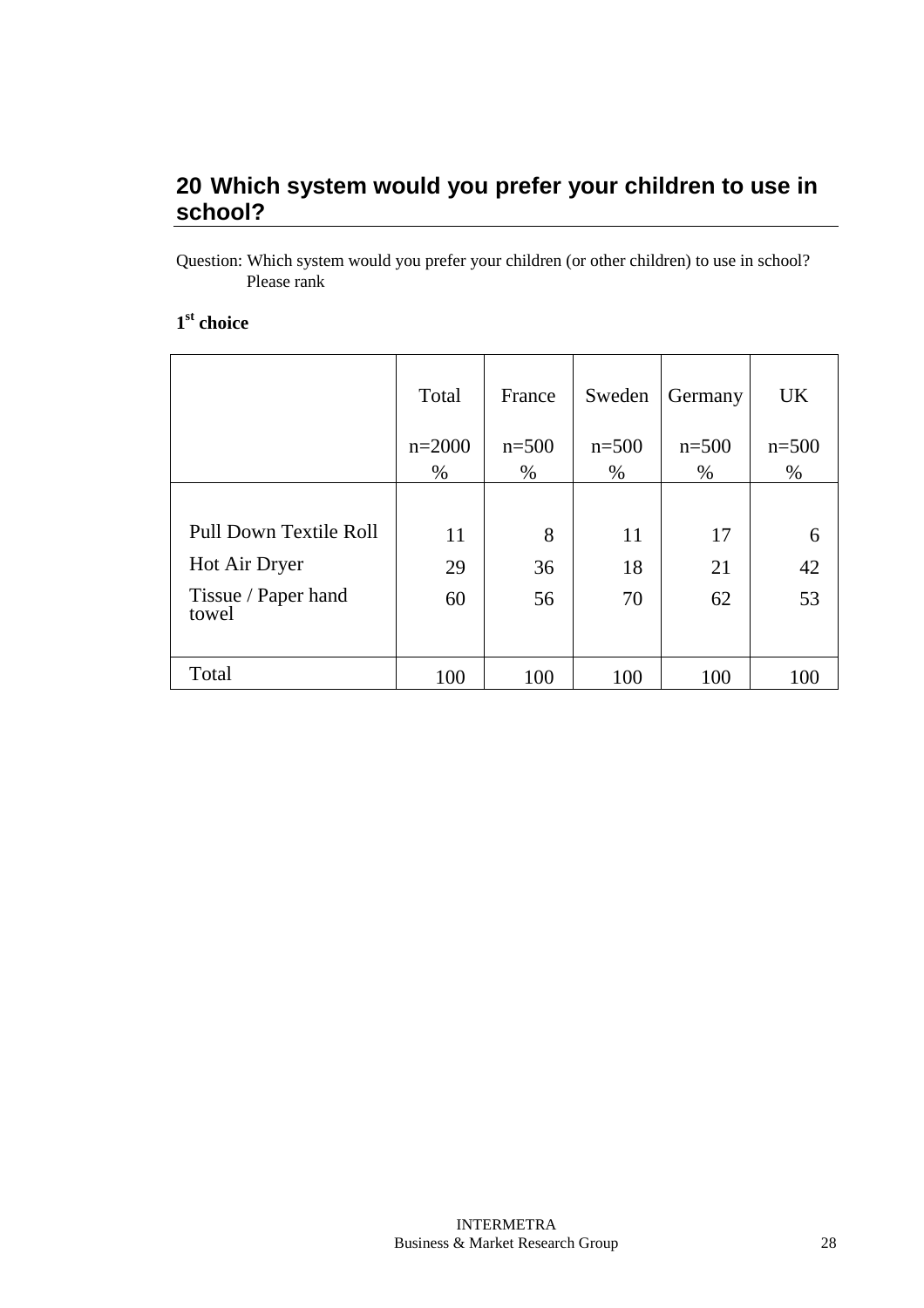### **20 Which system would you prefer your children to use in school?**

Question: Which system would you prefer your children (or other children) to use in school? Please rank

#### **1 st choice**

|                               | Total    | France  | Sweden  | Germany | <b>UK</b> |
|-------------------------------|----------|---------|---------|---------|-----------|
|                               | $n=2000$ | $n=500$ | $n=500$ | $n=500$ | $n=500$   |
|                               | $\%$     | $\%$    | $\%$    | $\%$    | $\%$      |
|                               |          |         |         |         |           |
| <b>Pull Down Textile Roll</b> | 11       | 8       | 11      | 17      | 6         |
| Hot Air Dryer                 | 29       | 36      | 18      | 21      | 42        |
| Tissue / Paper hand<br>towel  | 60       | 56      | 70      | 62      | 53        |
| Total                         | 100      | 100     | 100     | 100     | 100       |
|                               |          |         |         |         |           |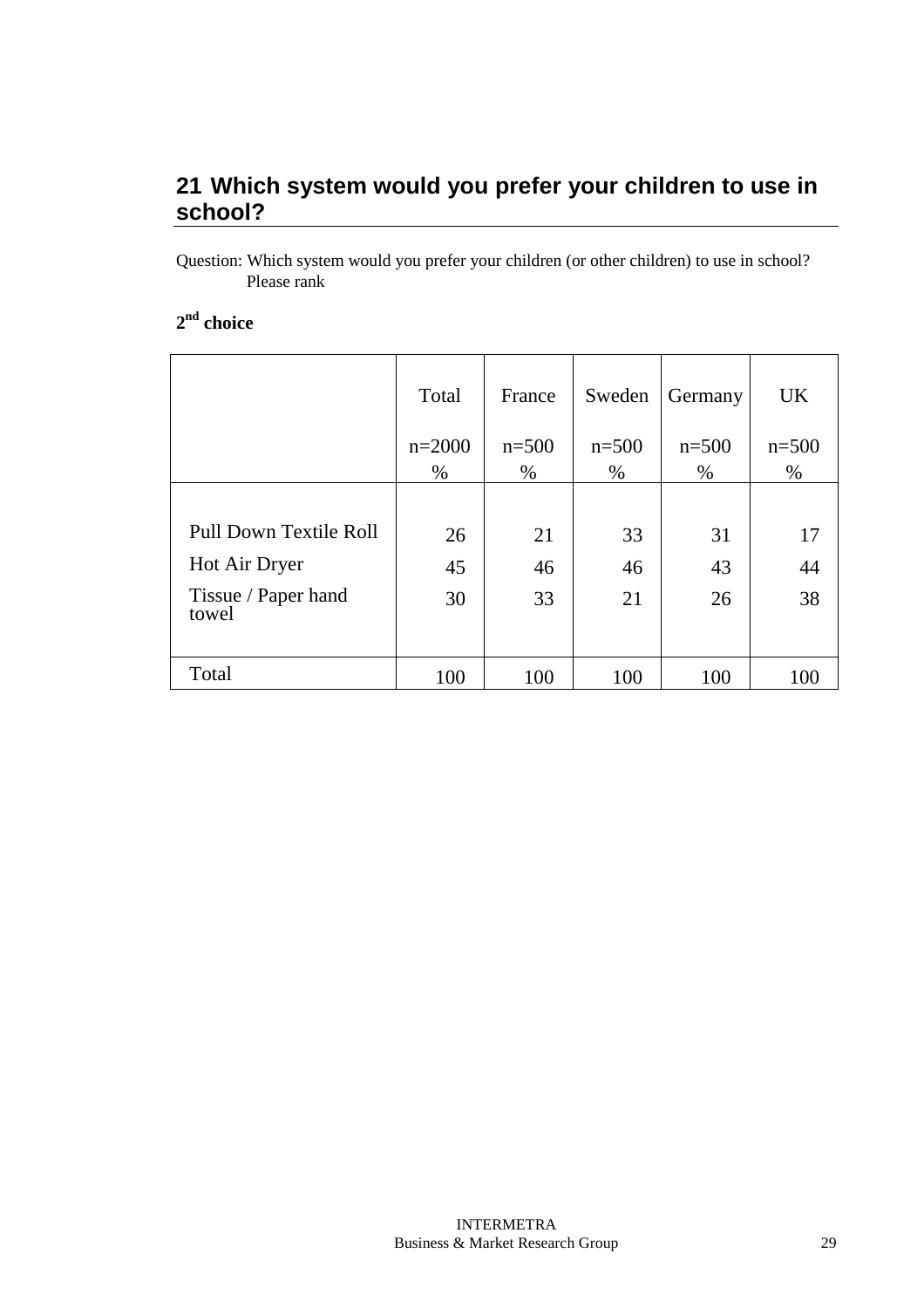### **21 Which system would you prefer your children to use in school?**

Question: Which system would you prefer your children (or other children) to use in school? Please rank

#### **2 nd choice**

|                               | Total            | France          | Sweden          | Germany         | <b>UK</b>       |
|-------------------------------|------------------|-----------------|-----------------|-----------------|-----------------|
|                               | $n=2000$<br>$\%$ | $n=500$<br>$\%$ | $n=500$<br>$\%$ | $n=500$<br>$\%$ | $n=500$<br>$\%$ |
|                               |                  |                 |                 |                 |                 |
| <b>Pull Down Textile Roll</b> | 26               | 21              | 33              | 31              | 17              |
| Hot Air Dryer                 | 45               | 46              | 46              | 43              | 44              |
| Tissue / Paper hand<br>towel  | 30               | 33              | 21              | 26              | 38              |
|                               |                  |                 |                 |                 |                 |
| Total                         | 100              | 100             | 100             | 100             | 100             |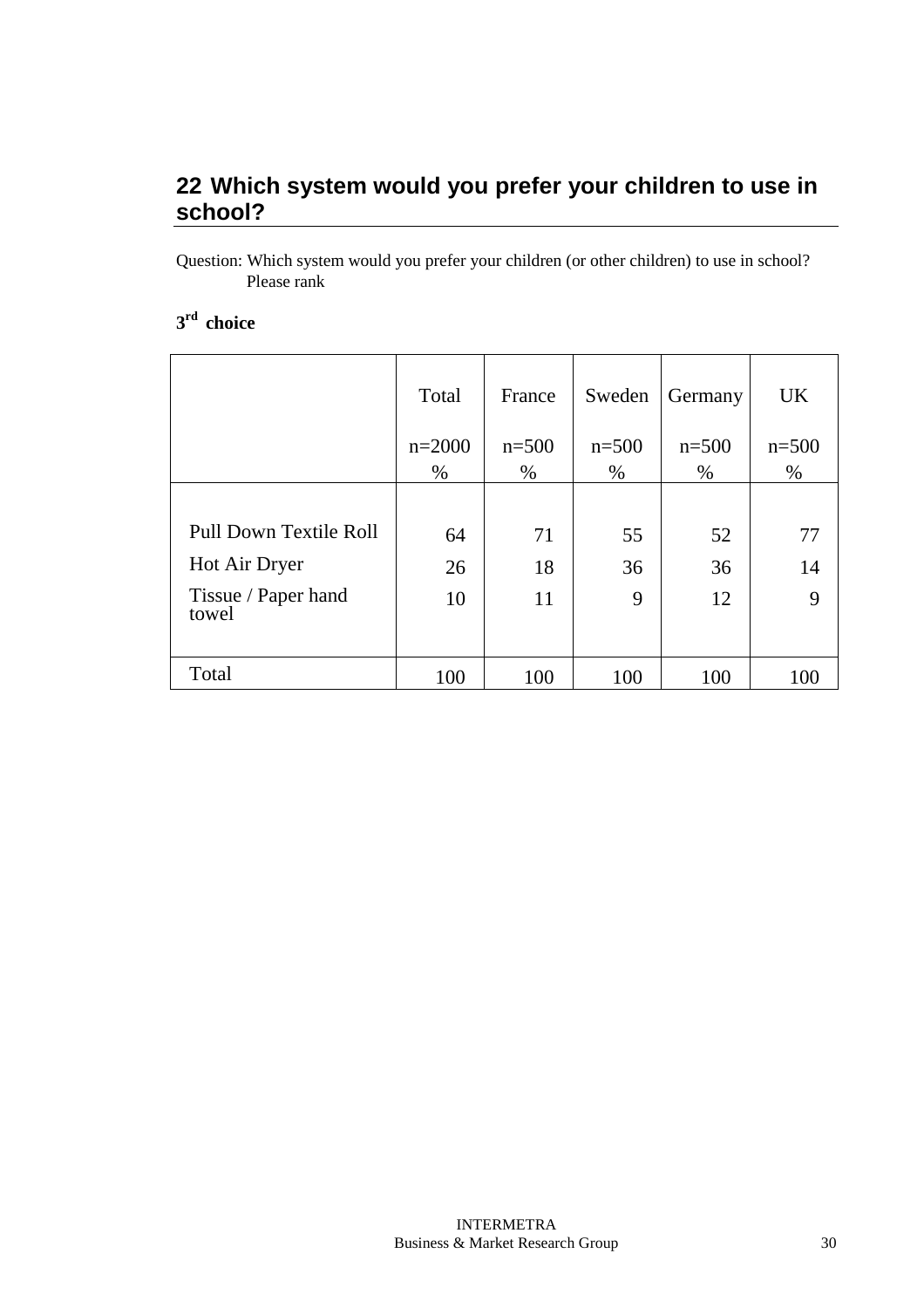### **22 Which system would you prefer your children to use in school?**

Question: Which system would you prefer your children (or other children) to use in school? Please rank

#### **3 rd choice**

|                              | Total    | France  | Sweden  | Germany | <b>UK</b> |
|------------------------------|----------|---------|---------|---------|-----------|
|                              | $n=2000$ | $n=500$ | $n=500$ | $n=500$ | $n = 500$ |
|                              | $\%$     | $\%$    | $\%$    | $\%$    | $\%$      |
|                              |          |         |         |         |           |
| Pull Down Textile Roll       | 64       | 71      | 55      | 52      | 77        |
| Hot Air Dryer                | 26       | 18      | 36      | 36      | 14        |
| Tissue / Paper hand<br>towel | 10       | 11      | 9       | 12      | 9         |
| Total                        | 100      | 100     | 100     | 100     | 100       |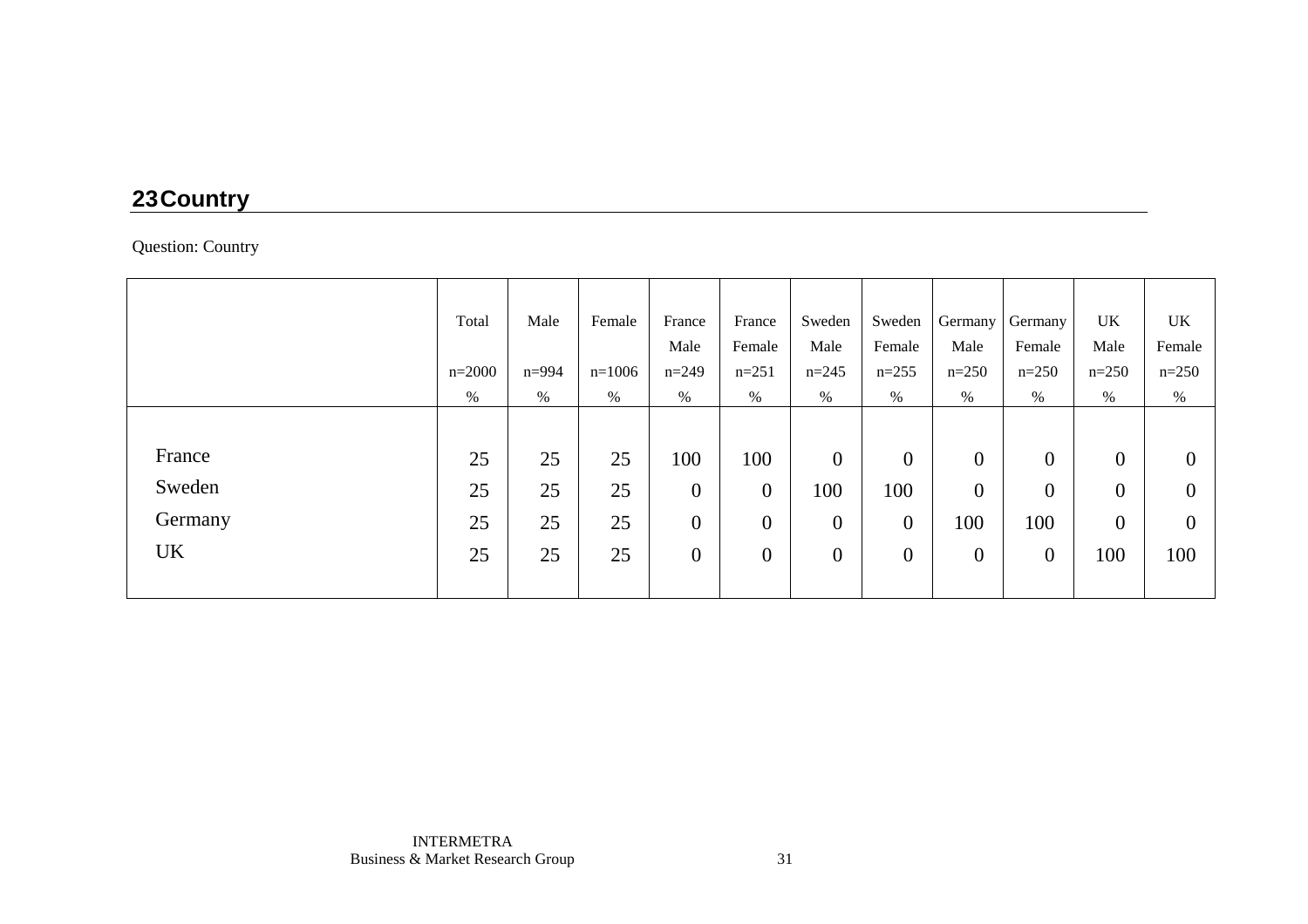# **23 Country**

#### Question: Country

|           | Total      | Male      | Female   | France           | France           | Sweden   | Sweden         | Germany          | Germany          | UK               | UK             |
|-----------|------------|-----------|----------|------------------|------------------|----------|----------------|------------------|------------------|------------------|----------------|
|           |            |           |          | Male             | Female           | Male     | Female         | Male             | Female           | Male             | Female         |
|           | $n = 2000$ | $n = 994$ | $n=1006$ | $n=249$          | $n=251$          | $n=245$  | $n=255$        | $n=250$          | $n=250$          | $n=250$          | $n=250$        |
|           | $\%$       | %         | $\%$     | $\%$             | $\%$             | $\%$     | %              | $\%$             | $\%$             | $\%$             | $\%$           |
|           |            |           |          |                  |                  |          |                |                  |                  |                  |                |
| France    | 25         | 25        | 25       | 100              | 100              | $\theta$ | $\overline{0}$ | $\boldsymbol{0}$ | $\overline{0}$   | $\boldsymbol{0}$ | $\theta$       |
| Sweden    | 25         | 25        | 25       | $\boldsymbol{0}$ | $\boldsymbol{0}$ | 100      | 100            | $\mathbf{0}$     | $\boldsymbol{0}$ | $\boldsymbol{0}$ | $\overline{0}$ |
| Germany   | 25         | 25        | 25       | $\overline{0}$   | $\boldsymbol{0}$ | $\theta$ | $\overline{0}$ | 100              | 100              | $\boldsymbol{0}$ | $\theta$       |
| <b>UK</b> | 25         | 25        | 25       | $\overline{0}$   | $\overline{0}$   | $\theta$ | $\overline{0}$ | $\overline{0}$   | $\theta$         | 100              | 100            |
|           |            |           |          |                  |                  |          |                |                  |                  |                  |                |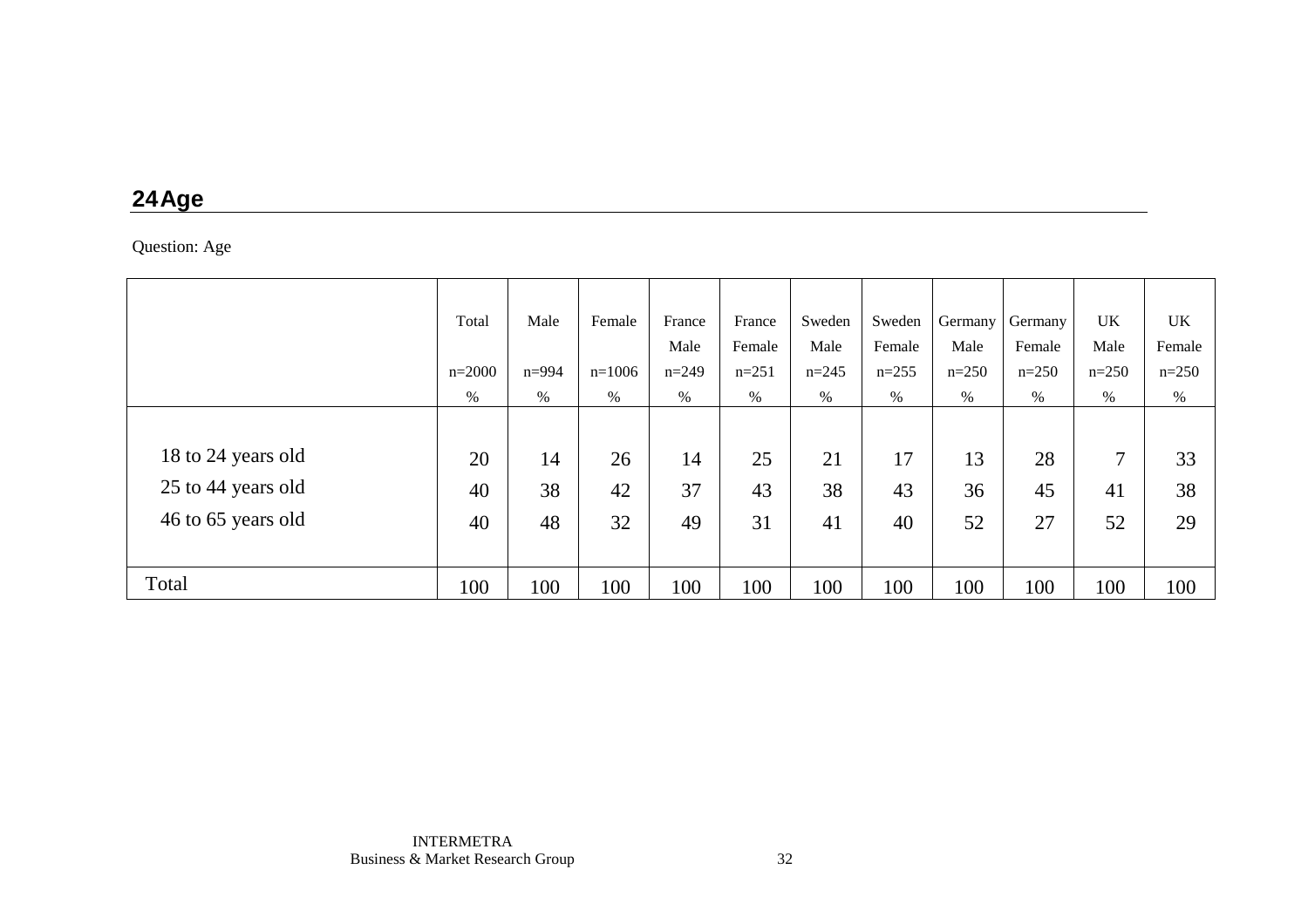## **24 Age**

Question: Age

|                    | Total      | Male      | Female   | France  | France  | Sweden  | Sweden  | Germany | Germany | UK             | <b>UK</b> |
|--------------------|------------|-----------|----------|---------|---------|---------|---------|---------|---------|----------------|-----------|
|                    |            |           |          | Male    | Female  | Male    | Female  | Male    | Female  | Male           | Female    |
|                    | $n = 2000$ | $n = 994$ | $n=1006$ | $n=249$ | $n=251$ | $n=245$ | $n=255$ | $n=250$ | $n=250$ | $n=250$        | $n=250$   |
|                    | $\%$       | %         | %        | $\%$    | $\%$    | $\%$    | $\%$    | $\%$    | %       | $\%$           | $\%$      |
|                    |            |           |          |         |         |         |         |         |         |                |           |
| 18 to 24 years old | 20         | 14        | 26       | 14      | 25      | 21      | 17      | 13      | 28      | $\overline{7}$ | 33        |
| 25 to 44 years old | 40         | 38        | 42       | 37      | 43      | 38      | 43      | 36      | 45      | 41             | 38        |
| 46 to 65 years old | 40         | 48        | 32       | 49      | 31      | 41      | 40      | 52      | 27      | 52             | 29        |
|                    |            |           |          |         |         |         |         |         |         |                |           |
| Total              | 100        | 100       | 100      | 100     | 100     | 100     | 100     | 100     | 100     | 100            | 100       |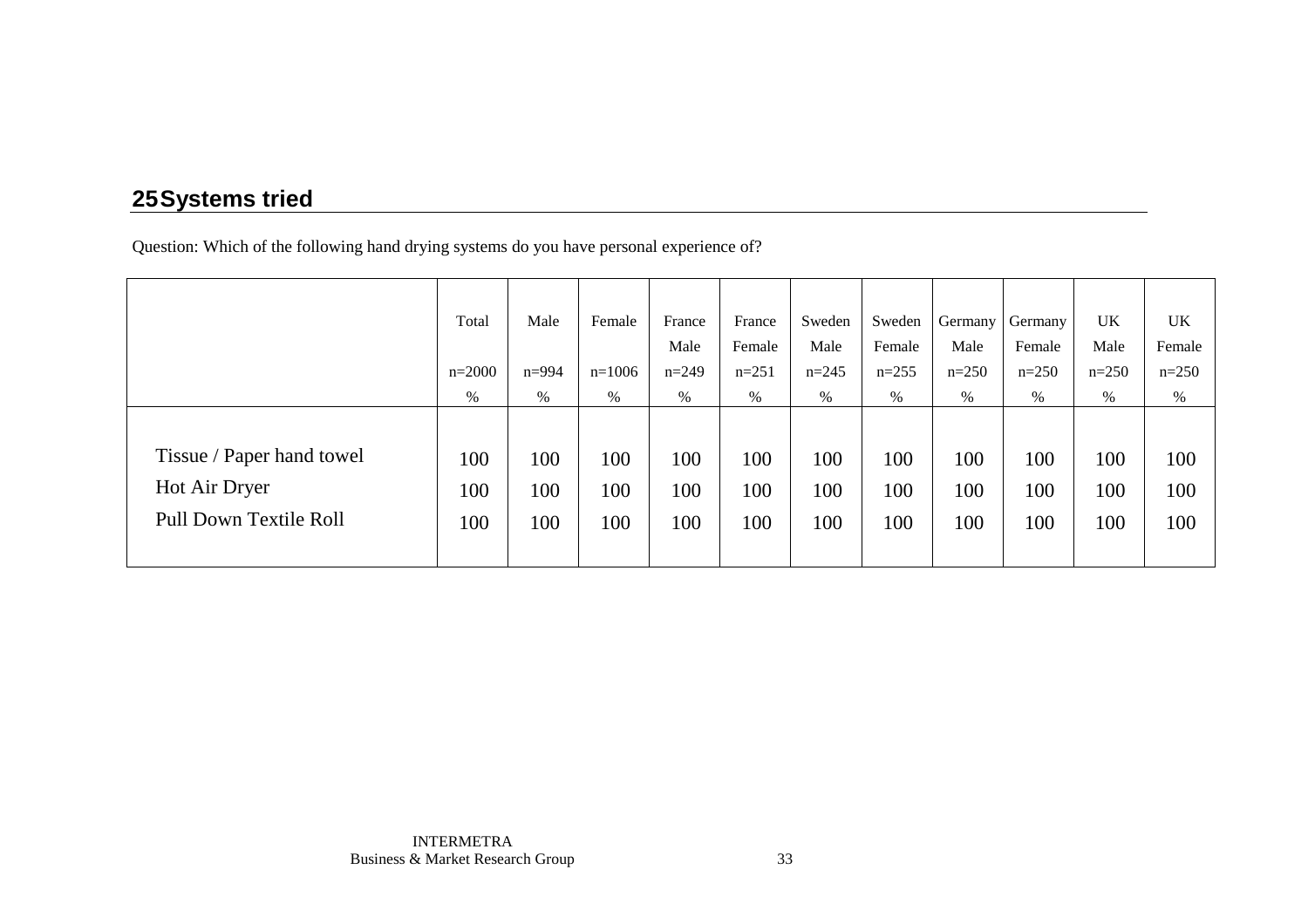# **25 Systems tried**

Question: Which of the following hand drying systems do you have personal experience of?

|                           | Total    | Male      | Female   | France  | France  | Sweden  | Sweden  | Germany | Germany | <b>UK</b> | UK      |
|---------------------------|----------|-----------|----------|---------|---------|---------|---------|---------|---------|-----------|---------|
|                           |          |           |          | Male    | Female  | Male    | Female  | Male    | Female  | Male      | Female  |
|                           | $n=2000$ | $n = 994$ | $n=1006$ | $n=249$ | $n=251$ | $n=245$ | $n=255$ | $n=250$ | $n=250$ | $n=250$   | $n=250$ |
|                           | $\%$     | $\%$      | %        | %       | $\%$    | %       | %       | %       | %       | %         | %       |
|                           |          |           |          |         |         |         |         |         |         |           |         |
| Tissue / Paper hand towel | 100      | 100       | 100      | 100     | 100     | 100     | 100     | 100     | 100     | 100       | 100     |
| Hot Air Dryer             | 100      | 100       | 100      | 100     | 100     | 100     | 100     | 100     | 100     | 100       | 100     |
| Pull Down Textile Roll    | 100      | 100       | 100      | 100     | 100     | 100     | 100     | 100     | 100     | 100       | 100     |
|                           |          |           |          |         |         |         |         |         |         |           |         |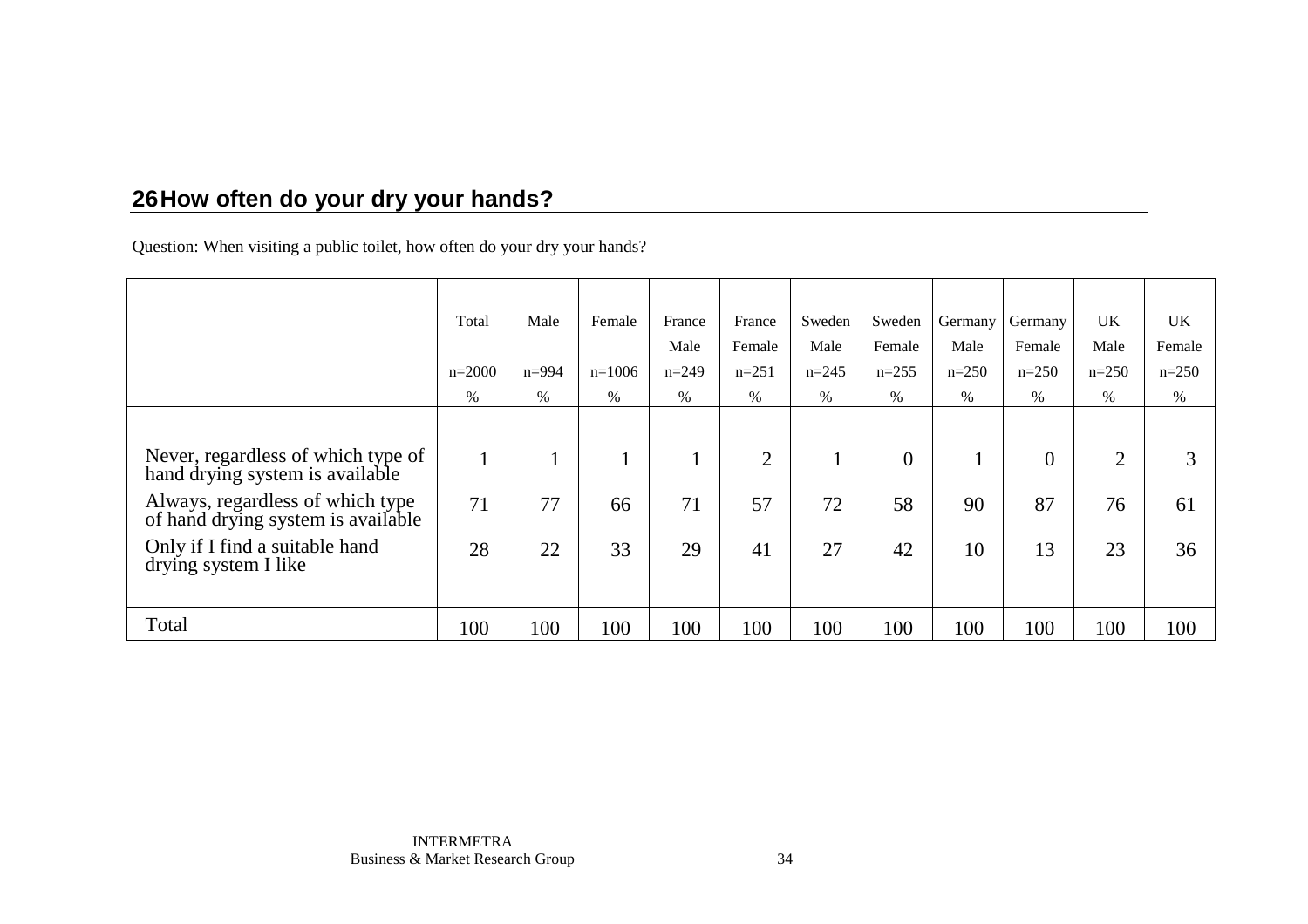# **26 How often do your dry your hands?**

Question: When visiting a public toilet, how often do your dry your hands?

|                                                                        | Total    | Male      | Female   | France  | France         | Sweden  | Sweden         | Germany | Germany        | <b>UK</b>      | <b>UK</b> |
|------------------------------------------------------------------------|----------|-----------|----------|---------|----------------|---------|----------------|---------|----------------|----------------|-----------|
|                                                                        |          |           |          | Male    | Female         | Male    | Female         | Male    | Female         | Male           | Female    |
|                                                                        | $n=2000$ | $n = 994$ | $n=1006$ | $n=249$ | $n=251$        | $n=245$ | $n=255$        | $n=250$ | $n=250$        | $n=250$        | $n=250$   |
|                                                                        | $\%$     | $\%$      | $\%$     | %       | $\%$           | $\%$    | $\%$           | $\%$    | $\%$           | $\%$           | $\%$      |
|                                                                        |          |           |          |         |                |         |                |         |                |                |           |
| Never, regardless of which type of<br>hand drying system is available  |          |           |          |         | $\overline{2}$ |         | $\overline{0}$ |         | $\overline{0}$ | $\overline{2}$ |           |
| Always, regardless of which type<br>of hand drying system is available | 71       | 77        | 66       | 71      | 57             | 72      | 58             | 90      | 87             | 76             | 61        |
| Only if I find a suitable hand<br>drying system I like                 | 28       | 22        | 33       | 29      | 41             | 27      | 42             | 10      | 13             | 23             | 36        |
|                                                                        |          |           |          |         |                |         |                |         |                |                |           |
| Total                                                                  | 100      | 100       | 100      | 100     | 100            | 100     | 100            | 100     | 100            | 100            | 100       |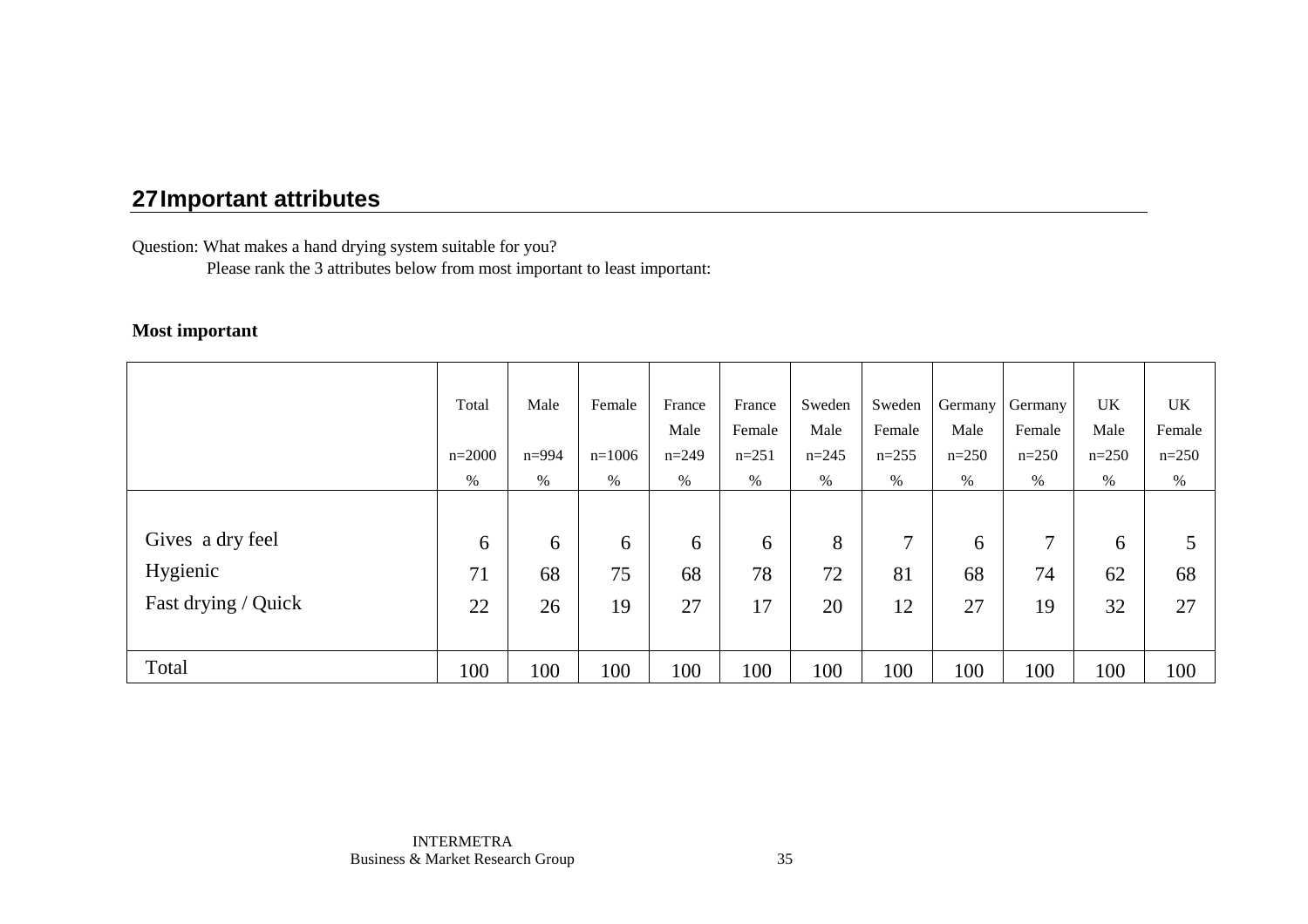Question: What makes a hand drying system suitable for you?

Please rank the 3 attributes below from most important to least important:

#### **Most important**

|                     | Total    | Male      | Female   | France  | France  | Sweden  | Sweden  | Germany | Germany | <b>UK</b> | UK      |
|---------------------|----------|-----------|----------|---------|---------|---------|---------|---------|---------|-----------|---------|
|                     |          |           |          | Male    | Female  | Male    | Female  | Male    | Female  | Male      | Female  |
|                     | $n=2000$ | $n = 994$ | $n=1006$ | $n=249$ | $n=251$ | $n=245$ | $n=255$ | $n=250$ | $n=250$ | $n=250$   | $n=250$ |
|                     | %        | %         | $\%$     | %       | $\%$    | $\%$    | $\%$    | $\%$    | %       | %         | %       |
|                     |          |           |          |         |         |         |         |         |         |           |         |
| Gives a dry feel    | 6        | 6         | 6        | 6       | 6       | 8       | $\tau$  | 6       | ┑       | 6         |         |
| Hygienic            | 71       | 68        | 75       | 68      | 78      | 72      | 81      | 68      | 74      | 62        | 68      |
| Fast drying / Quick | 22       | 26        | 19       | 27      | 17      | 20      | 12      | 27      | 19      | 32        | 27      |
|                     |          |           |          |         |         |         |         |         |         |           |         |
| Total               | 100      | 100       | 100      | 100     | 100     | 100     | 100     | 100     | 100     | 100       | 100     |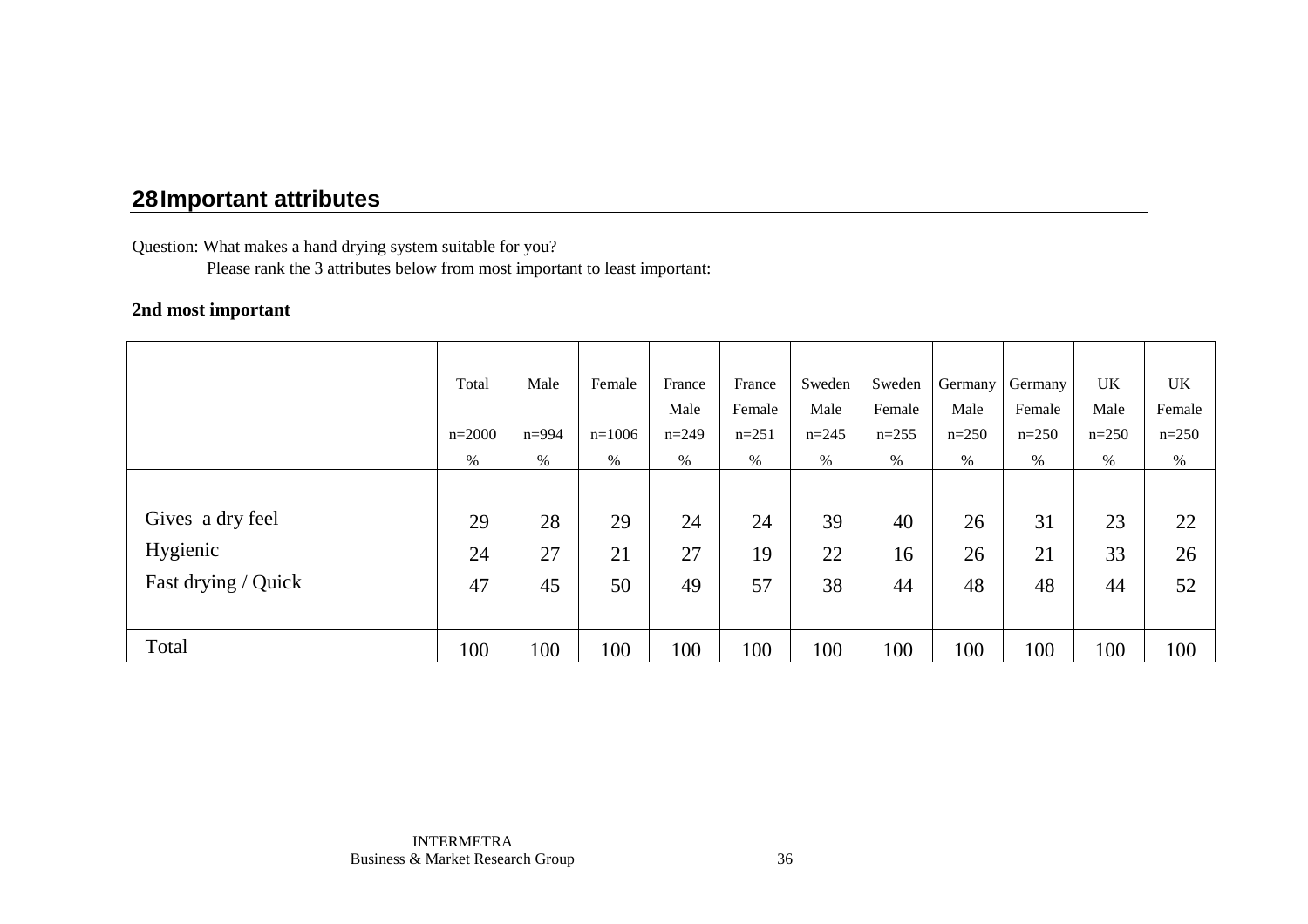Question: What makes a hand drying system suitable for you?

Please rank the 3 attributes below from most important to least important:

#### **2nd most important**

|                     | Total    | Male      | Female   | France  | France  | Sweden    | Sweden  | Germany | Germany | UK      | UK      |
|---------------------|----------|-----------|----------|---------|---------|-----------|---------|---------|---------|---------|---------|
|                     |          |           |          | Male    | Female  | Male      | Female  | Male    | Female  | Male    | Female  |
|                     | $n=2000$ | $n = 994$ | $n=1006$ | $n=249$ | $n=251$ | $n = 245$ | $n=255$ | $n=250$ | $n=250$ | $n=250$ | $n=250$ |
|                     | %        | %         | %        | $\%$    | $\%$    | $\%$      | $\%$    | %       | %       | $\%$    | %       |
|                     |          |           |          |         |         |           |         |         |         |         |         |
| Gives a dry feel    | 29       | 28        | 29       | 24      | 24      | 39        | 40      | 26      | 31      | 23      | 22      |
| Hygienic            | 24       | 27        | 21       | 27      | 19      | 22        | 16      | 26      | 21      | 33      | 26      |
| Fast drying / Quick | 47       | 45        | 50       | 49      | 57      | 38        | 44      | 48      | 48      | 44      | 52      |
|                     |          |           |          |         |         |           |         |         |         |         |         |
| Total               | 100      | 100       | 100      | 100     | 100     | 100       | 100     | 100     | 100     | 100     | 100     |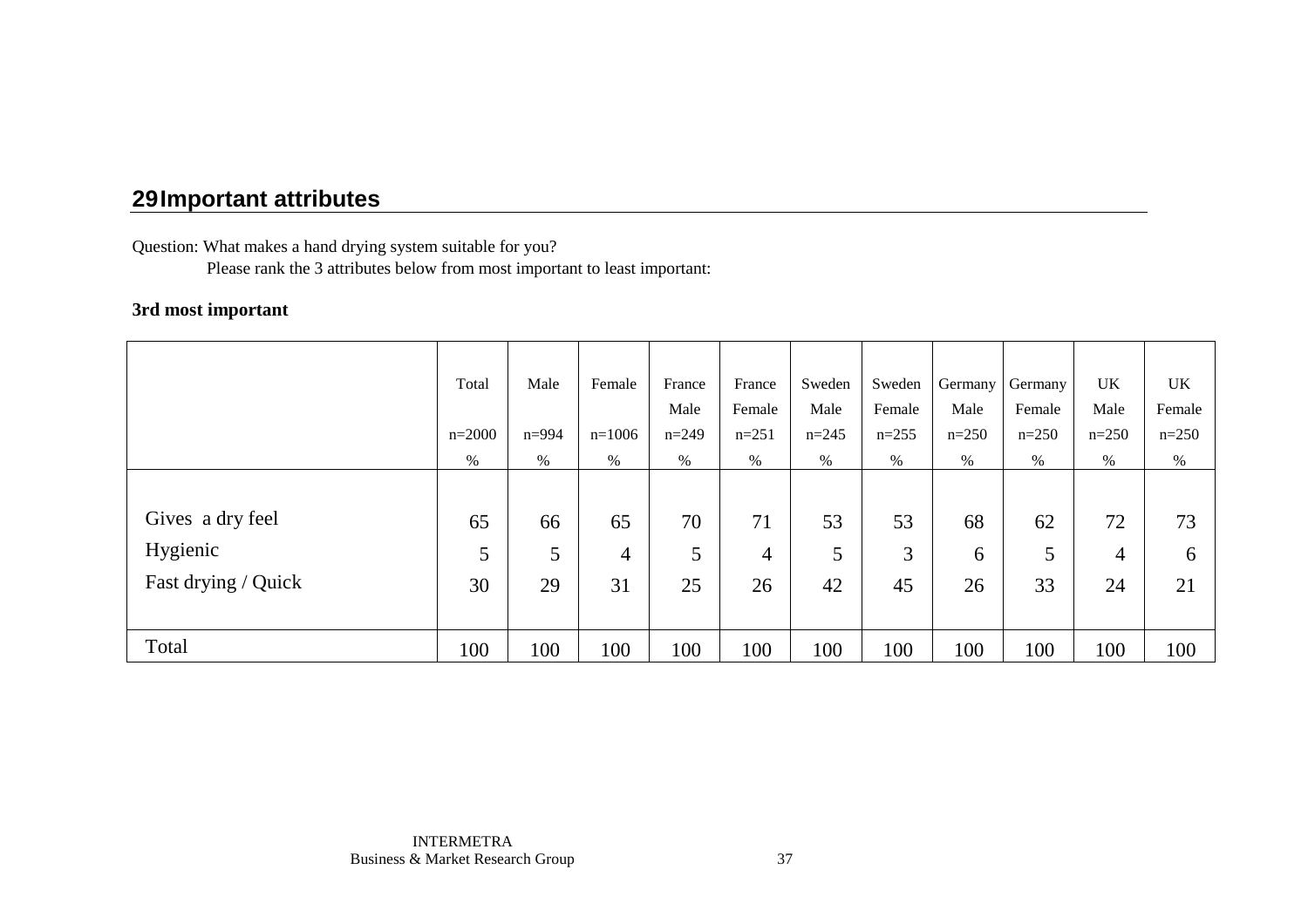Question: What makes a hand drying system suitable for you?

Please rank the 3 attributes below from most important to least important:

#### **3rd most important**

|                     | Total    | Male      | Female   | France  | France  | Sweden    | Sweden  | Germany | Germany | UK             | UK      |
|---------------------|----------|-----------|----------|---------|---------|-----------|---------|---------|---------|----------------|---------|
|                     |          |           |          | Male    | Female  | Male      | Female  | Male    | Female  | Male           | Female  |
|                     | $n=2000$ | $n = 994$ | $n=1006$ | $n=249$ | $n=251$ | $n = 245$ | $n=255$ | $n=250$ | $n=250$ | $n=250$        | $n=250$ |
|                     | %        | %         | %        | $\%$    | $\%$    | $\%$      | $\%$    | %       | %       | $\%$           | %       |
|                     |          |           |          |         |         |           |         |         |         |                |         |
| Gives a dry feel    | 65       | 66        | 65       | 70      | 71      | 53        | 53      | 68      | 62      | 72             | 73      |
| Hygienic            | 5        | 5         | 4        | 5       | 4       | 5         | 3       | 6       | 5       | $\overline{4}$ | 6       |
| Fast drying / Quick | 30       | 29        | 31       | 25      | 26      | 42        | 45      | 26      | 33      | 24             | 21      |
|                     |          |           |          |         |         |           |         |         |         |                |         |
| Total               | 100      | 100       | 100      | 100     | 100     | 100       | 100     | 100     | 100     | 100            | 100     |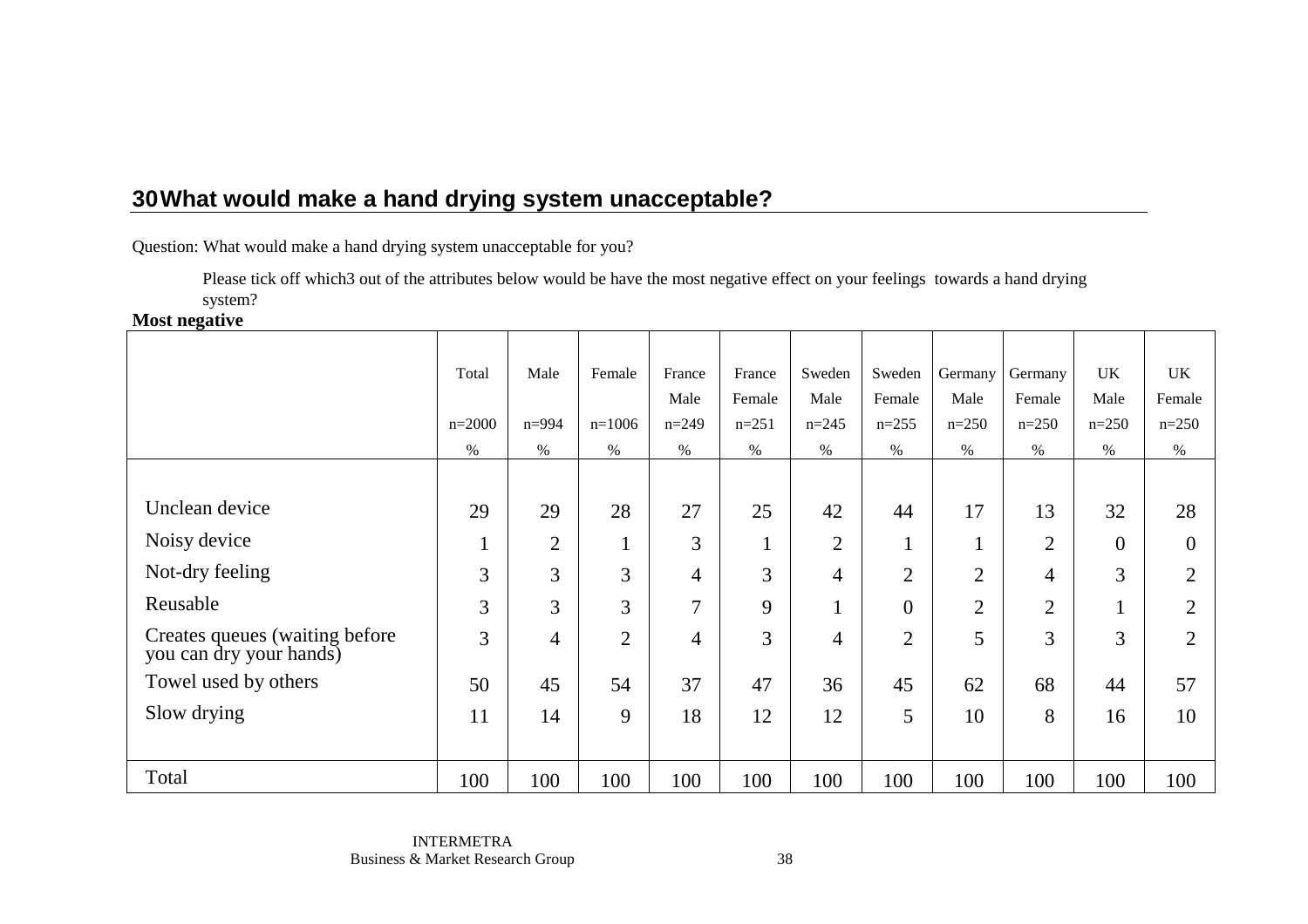Question: What would make a hand drying system unacceptable for you?

 Please tick off which3 out of the attributes below would be have the most negative effect on your feelings towards a hand drying system?

**Most negative** 

|                                                            | Total    | Male           | Female         | France<br>Male | France<br>Female | Sweden<br>Male | Sweden<br>Female | Germany<br>Male    | Germany<br>Female | <b>UK</b><br>Male    | UK<br>Female   |
|------------------------------------------------------------|----------|----------------|----------------|----------------|------------------|----------------|------------------|--------------------|-------------------|----------------------|----------------|
|                                                            | $n=2000$ | $n = 994$      | $n=1006$       | $n = 249$      | $n = 251$        | $n=245$        | $n=255$          | $n=250$            | $n=250$           | $n=250$              | $n = 250$      |
|                                                            | %        | $\%$           | $\%$           | $\%$           | $\%$             | $\%$           | $\%$             | $\%$               | $\%$              | $\%$                 | $\%$           |
|                                                            |          |                |                |                |                  |                |                  |                    |                   |                      |                |
| Unclean device                                             | 29       | 29             | 28             | 27             | 25               | 42             | 44               | 17                 | 13                | 32                   | 28             |
| Noisy device                                               | $\perp$  | $\overline{2}$ | $\mathbf{1}$   | 3              | $\bf{l}$         | $\overline{2}$ | $\mathbf{1}$     | -1<br>$\mathbf{I}$ | $\overline{2}$    | $\overline{0}$       | $\overline{0}$ |
| Not-dry feeling                                            | 3        | 3              | 3              | $\overline{4}$ | 3                | 4              | $\overline{2}$   | $\overline{2}$     | $\overline{4}$    | 3                    | $\overline{2}$ |
| Reusable                                                   | 3        | 3              | 3              | $\tau$         | 9                | $\mathbf{1}$   | $\Omega$         | $\overline{2}$     | $\overline{2}$    | $\blacktriangleleft$ | $\overline{2}$ |
| Creates queues (waiting before)<br>you can dry your hands) | 3        | $\overline{4}$ | $\overline{2}$ | $\overline{4}$ | 3                | 4              | $\overline{2}$   | 5                  | 3                 | 3                    | $\overline{2}$ |
| Towel used by others                                       | 50       | 45             | 54             | 37             | 47               | 36             | 45               | 62                 | 68                | 44                   | 57             |
| Slow drying                                                | 11       | 14             | 9              | 18             | 12               | 12             | 5                | 10                 | 8                 | 16                   | 10             |
|                                                            |          |                |                |                |                  |                |                  |                    |                   |                      |                |
| Total                                                      | 100      | 100            | 100            | 100            | 100              | 100            | 100              | 100                | 100               | 100                  | 100            |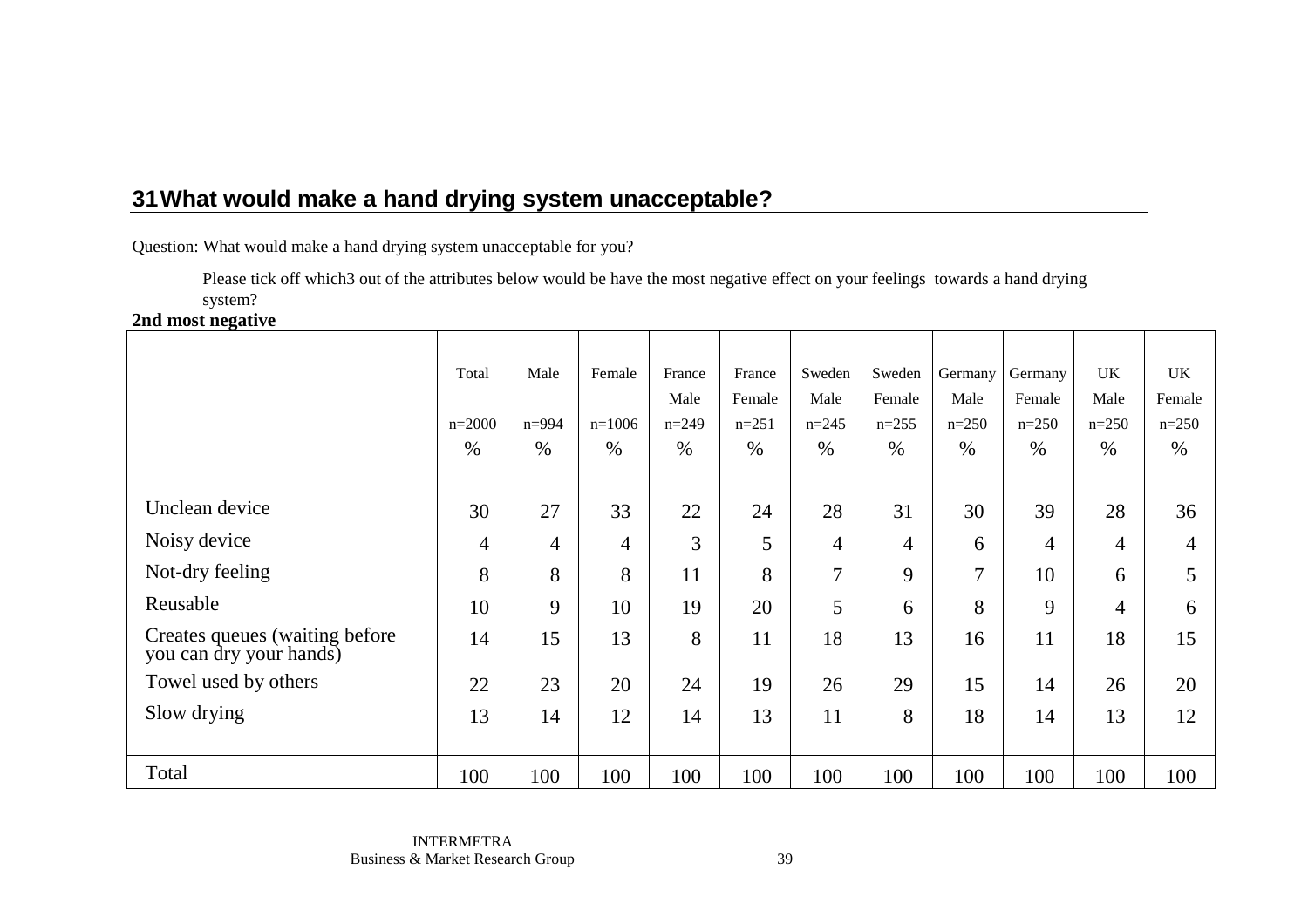Question: What would make a hand drying system unacceptable for you?

 Please tick off which3 out of the attributes below would be have the most negative effect on your feelings towards a hand drying system?

**2nd most negative** 

|                                                            | Total    | Male           | Female         | France  | France    | Sweden         | Sweden         | Germany | Germany | <b>UK</b>      | <b>UK</b> |
|------------------------------------------------------------|----------|----------------|----------------|---------|-----------|----------------|----------------|---------|---------|----------------|-----------|
|                                                            |          |                |                | Male    | Female    | Male           | Female         | Male    | Female  | Male           | Female    |
|                                                            | $n=2000$ | $n = 994$      | $n=1006$       | $n=249$ | $n = 251$ | $n=245$        | $n=255$        | $n=250$ | $n=250$ | $n=250$        | $n=250$   |
|                                                            | $\%$     | $\%$           | $\%$           | %       | $\%$      | $\%$           | $\%$           | $\%$    | $\%$    | $\%$           | $\%$      |
|                                                            |          |                |                |         |           |                |                |         |         |                |           |
| Unclean device                                             | 30       | 27             | 33             | 22      | 24        | 28             | 31             | 30      | 39      | 28             | 36        |
| Noisy device                                               | 4        | $\overline{4}$ | $\overline{4}$ | 3       | 5         | $\overline{4}$ | $\overline{4}$ | 6       | 4       | $\overline{4}$ | 4         |
| Not-dry feeling                                            | 8        | 8              | 8              | 11      | 8         | 7              | 9              | 7       | 10      | 6              | 5         |
| Reusable                                                   | 10       | 9              | 10             | 19      | 20        | 5              | 6              | 8       | 9       | 4              | 6         |
| Creates queues (waiting before)<br>you can dry your hands) | 14       | 15             | 13             | 8       | 11        | 18             | 13             | 16      | 11      | 18             | 15        |
| Towel used by others                                       | 22       | 23             | 20             | 24      | 19        | 26             | 29             | 15      | 14      | 26             | 20        |
| Slow drying                                                | 13       | 14             | 12             | 14      | 13        | 11             | 8              | 18      | 14      | 13             | 12        |
| Total                                                      | 100      | 100            | 100            | 100     | 100       | 100            | 100            | 100     | 100     | 100            | 100       |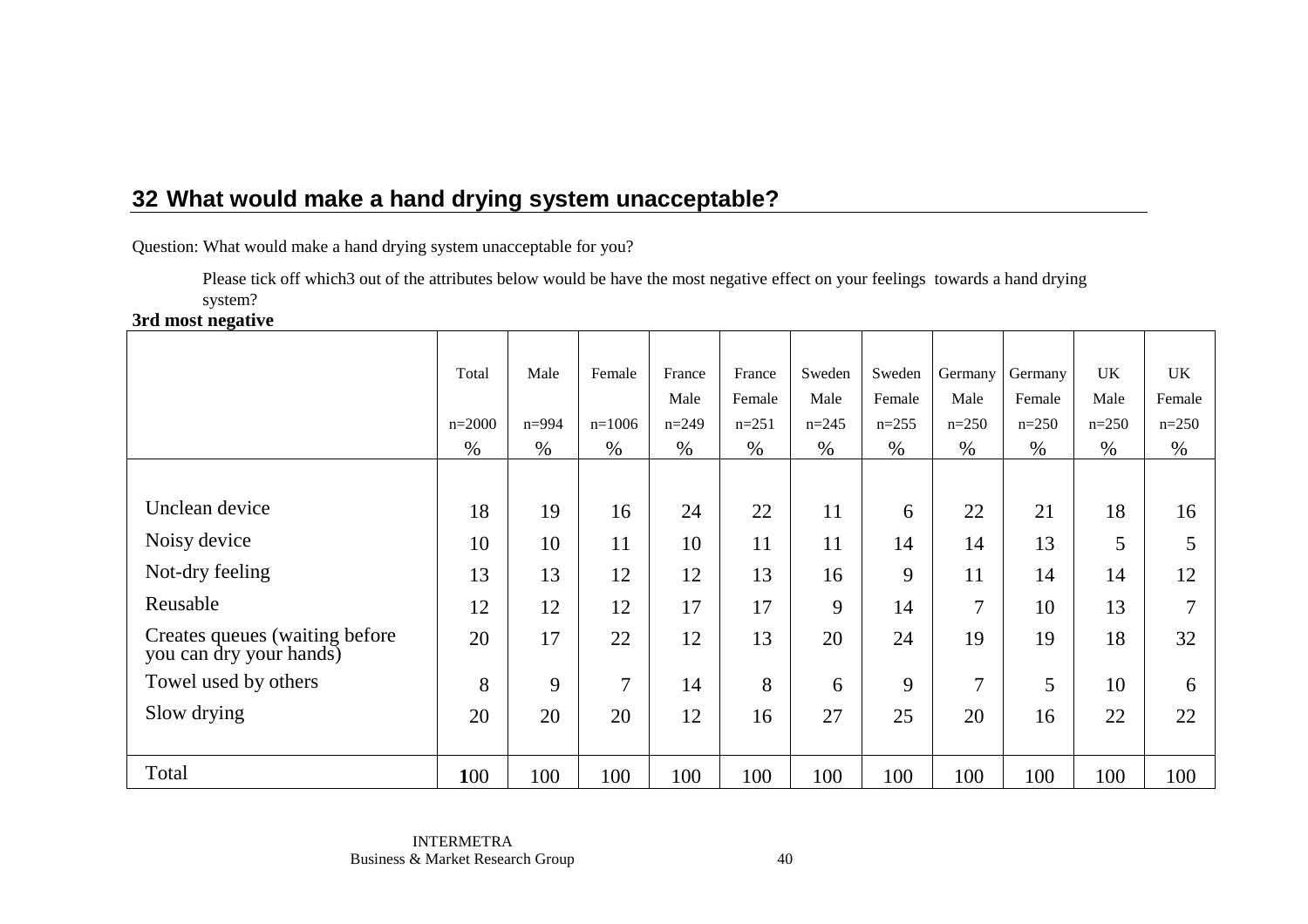Question: What would make a hand drying system unacceptable for you?

 Please tick off which3 out of the attributes below would be have the most negative effect on your feelings towards a hand drying system?

**3rd most negative** 

|                                                           | Total    | Male      | Female   | France  | France    | Sweden  | Sweden  | Germany        | Germany | <b>UK</b> | UK            |
|-----------------------------------------------------------|----------|-----------|----------|---------|-----------|---------|---------|----------------|---------|-----------|---------------|
|                                                           |          |           |          | Male    | Female    | Male    | Female  | Male           | Female  | Male      | Female        |
|                                                           | $n=2000$ | $n = 994$ | $n=1006$ | $n=249$ | $n = 251$ | $n=245$ | $n=255$ | $n=250$        | $n=250$ | $n=250$   | $n=250$       |
|                                                           | $\%$     | $\%$      | $\%$     | %       | $\%$      | $\%$    | $\%$    | $\%$           | $\%$    | $\%$      | %             |
|                                                           |          |           |          |         |           |         |         |                |         |           |               |
| Unclean device                                            | 18       | 19        | 16       | 24      | 22        | 11      | 6       | 22             | 21      | 18        | 16            |
| Noisy device                                              | 10       | 10        | 11       | 10      | 11        | 11      | 14      | 14             | 13      | 5         | 5             |
| Not-dry feeling                                           | 13       | 13        | 12       | 12      | 13        | 16      | 9       | 11             | 14      | 14        | 12            |
| Reusable                                                  | 12       | 12        | 12       | 17      | 17        | 9       | 14      | $\overline{7}$ | 10      | 13        | $\mathcal{I}$ |
| Creates queues (waiting before<br>you can dry your hands) | 20       | 17        | 22       | 12      | 13        | 20      | 24      | 19             | 19      | 18        | 32            |
| Towel used by others                                      | 8        | 9         | 7        | 14      | 8         | 6       | 9       | $\overline{7}$ | 5       | 10        | 6             |
| Slow drying                                               | 20       | 20        | 20       | 12      | 16        | 27      | 25      | 20             | 16      | 22        | 22            |
|                                                           |          |           |          |         |           |         |         |                |         |           |               |
| Total                                                     | 100      | 100       | 100      | 100     | 100       | 100     | 100     | 100            | 100     | 100       | 100           |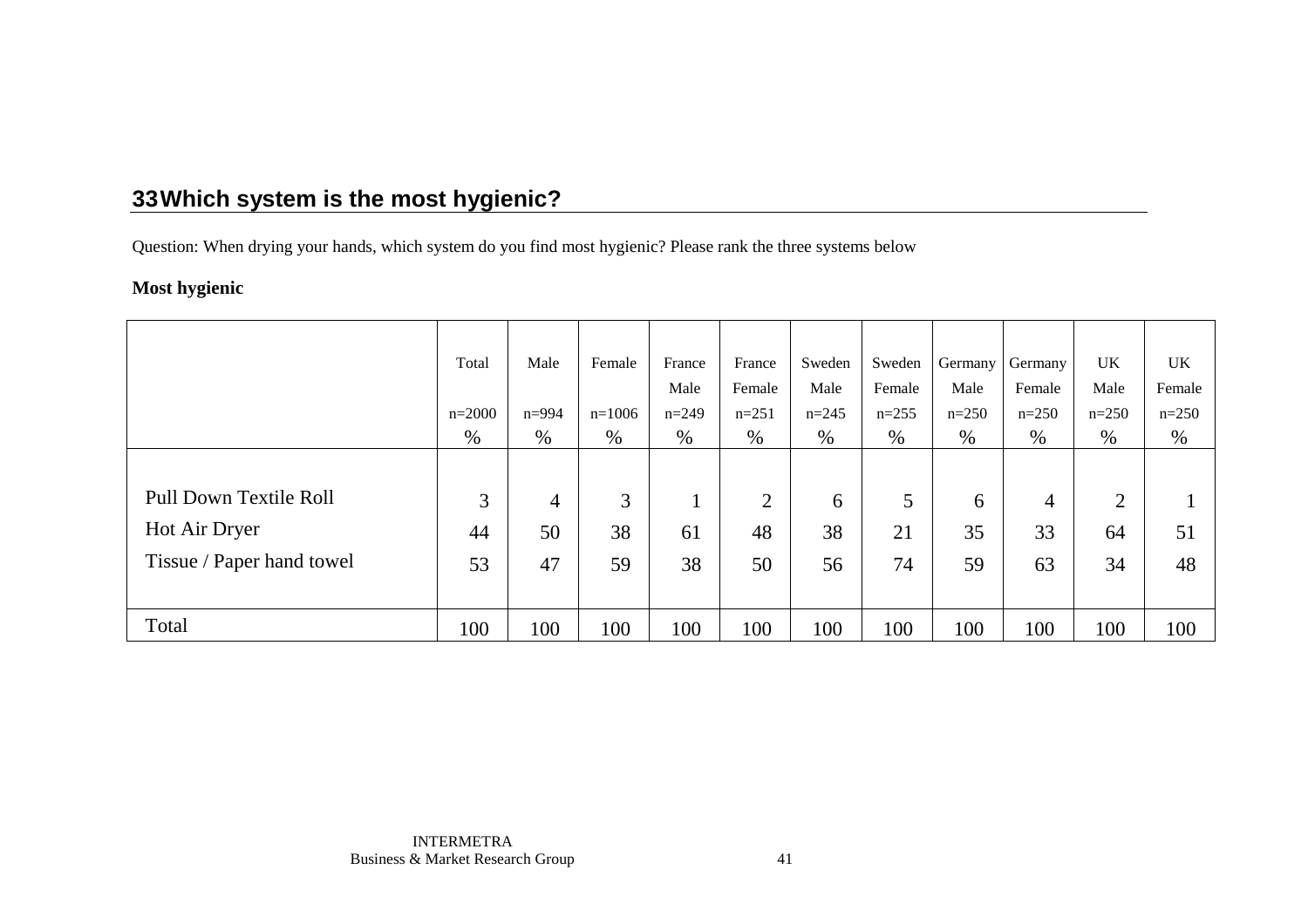Question: When drying your hands, which system do you find most hygienic? Please rank the three systems below

### **Most hygienic**

|                           | Total    | Male           | Female   | France  | France         | Sweden    | Sweden  | Germany | Germany        | <b>UK</b>      | <b>UK</b> |
|---------------------------|----------|----------------|----------|---------|----------------|-----------|---------|---------|----------------|----------------|-----------|
|                           |          |                |          | Male    | Female         | Male      | Female  | Male    | Female         | Male           | Female    |
|                           | $n=2000$ | $n = 994$      | $n=1006$ | $n=249$ | $n=251$        | $n = 245$ | $n=255$ | $n=250$ | $n=250$        | $n=250$        | $n=250$   |
|                           | $\%$     | %              | $\%$     | $\%$    | $\%$           | %         | $\%$    | $\%$    | $\%$           | $\%$           | %         |
|                           |          |                |          |         |                |           |         |         |                |                |           |
| Pull Down Textile Roll    | 3        | $\overline{4}$ | 3        | л.      | $\overline{2}$ | 6         | 5       | 6       | $\overline{4}$ | $\overline{2}$ |           |
| Hot Air Dryer             | 44       | 50             | 38       | 61      | 48             | 38        | 21      | 35      | 33             | 64             | 51        |
| Tissue / Paper hand towel | 53       | 47             | 59       | 38      | 50             | 56        | 74      | 59      | 63             | 34             | 48        |
|                           |          |                |          |         |                |           |         |         |                |                |           |
| Total                     | 100      | 100            | 100      | 100     | 100            | 100       | 100     | 100     | 100            | 100            | 100       |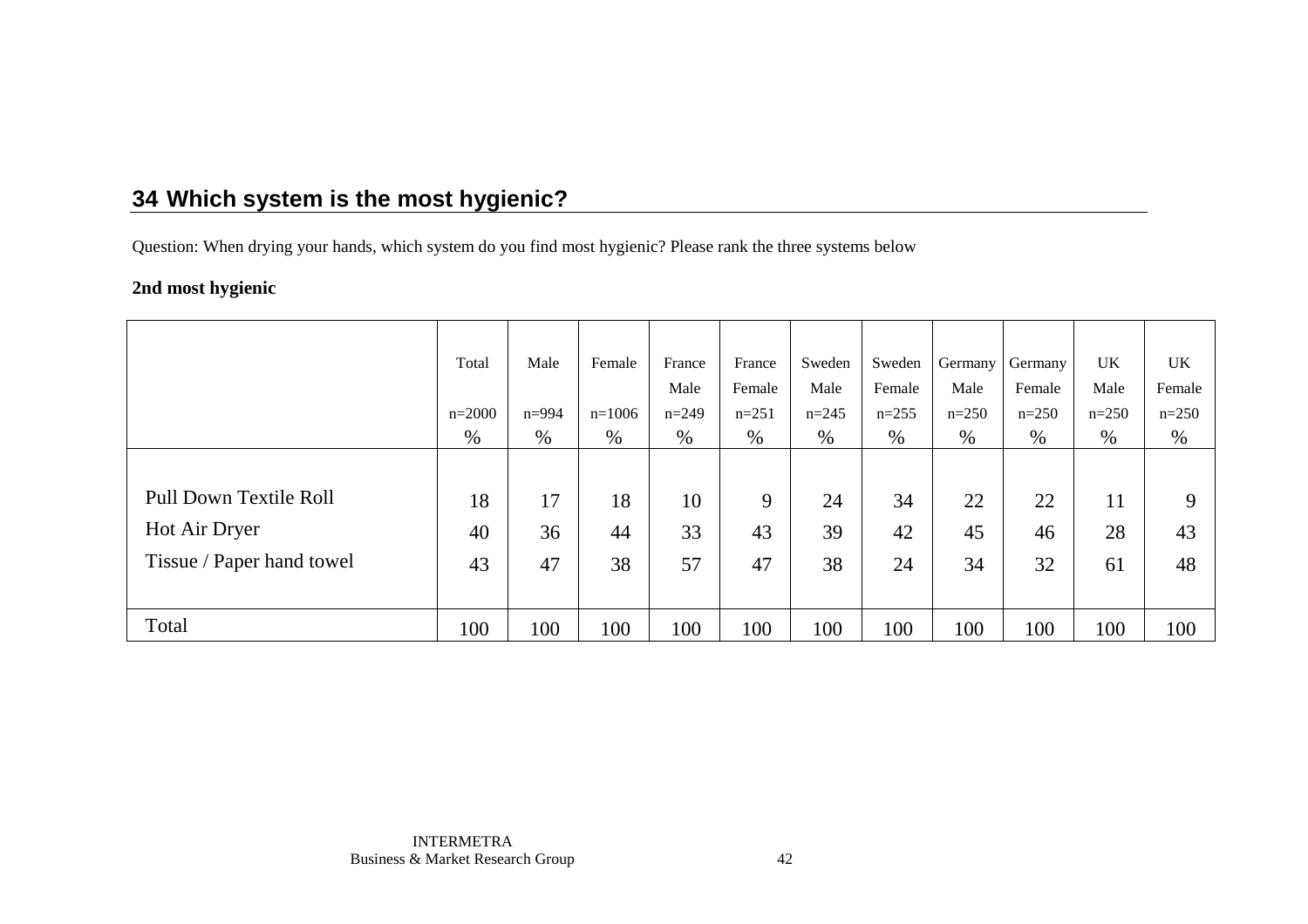Question: When drying your hands, which system do you find most hygienic? Please rank the three systems below

### **2nd most hygienic**

|                           | Total    | Male      | Female   | France  | France  | Sweden    | Sweden  | Germany | Germany | <b>UK</b> | UK.     |
|---------------------------|----------|-----------|----------|---------|---------|-----------|---------|---------|---------|-----------|---------|
|                           |          |           |          | Male    | Female  | Male      | Female  | Male    | Female  | Male      | Female  |
|                           | $n=2000$ | $n = 994$ | $n=1006$ | $n=249$ | $n=251$ | $n = 245$ | $n=255$ | $n=250$ | $n=250$ | $n=250$   | $n=250$ |
|                           | $\%$     | %         | $\%$     | $\%$    | $\%$    | %         | $\%$    | $\%$    | $\%$    | $\%$      | $\%$    |
|                           |          |           |          |         |         |           |         |         |         |           |         |
| Pull Down Textile Roll    | 18       | 17        | 18       | 10      | 9       | 24        | 34      | 22      | 22      | 11        | 9       |
| Hot Air Dryer             | 40       | 36        | 44       | 33      | 43      | 39        | 42      | 45      | 46      | 28        | 43      |
| Tissue / Paper hand towel | 43       | 47        | 38       | 57      | 47      | 38        | 24      | 34      | 32      | 61        | 48      |
|                           |          |           |          |         |         |           |         |         |         |           |         |
| Total                     | 100      | 100       | 100      | 100     | 100     | 100       | 100     | 100     | 100     | 100       | 100     |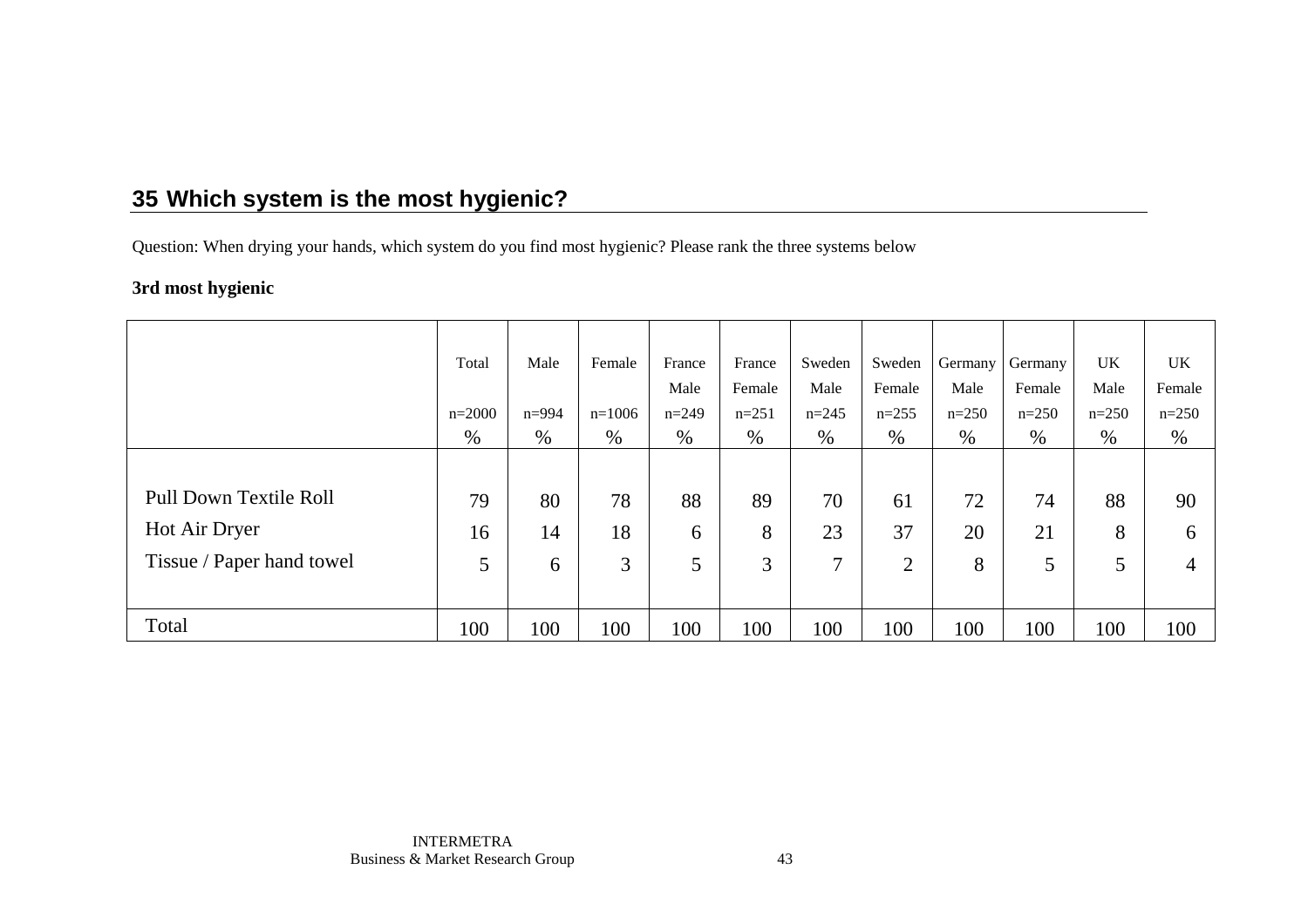Question: When drying your hands, which system do you find most hygienic? Please rank the three systems below

### **3rd most hygienic**

|                           | Total    | Male      | Female   | France  | France  | Sweden  | Sweden  | Germany | Germany | <b>UK</b> | <b>UK</b>    |
|---------------------------|----------|-----------|----------|---------|---------|---------|---------|---------|---------|-----------|--------------|
|                           |          |           |          | Male    | Female  | Male    | Female  | Male    | Female  | Male      | Female       |
|                           | $n=2000$ | $n = 994$ | $n=1006$ | $n=249$ | $n=251$ | $n=245$ | $n=255$ | $n=250$ | $n=250$ | $n=250$   | $n=250$      |
|                           | $\%$     | $\%$      | $\%$     | $\%$    | $\%$    | %       | $\%$    | $\%$    | $\%$    | $\%$      | $\%$         |
|                           |          |           |          |         |         |         |         |         |         |           |              |
| Pull Down Textile Roll    | 79       | 80        | 78       | 88      | 89      | 70      | 61      | 72      | 74      | 88        | 90           |
| Hot Air Dryer             | 16       | 14        | 18       | 6       | 8       | 23      | 37      | 20      | 21      | 8         | <sub>b</sub> |
| Tissue / Paper hand towel | 5        | 6         | 3        | 5       | 3       | 7       | 2       | 8       | 5       | 5         | 4            |
|                           |          |           |          |         |         |         |         |         |         |           |              |
| Total                     | 100      | 100       | 100      | 100     | 100     | 100     | 100     | 100     | 100     | 100       | 100          |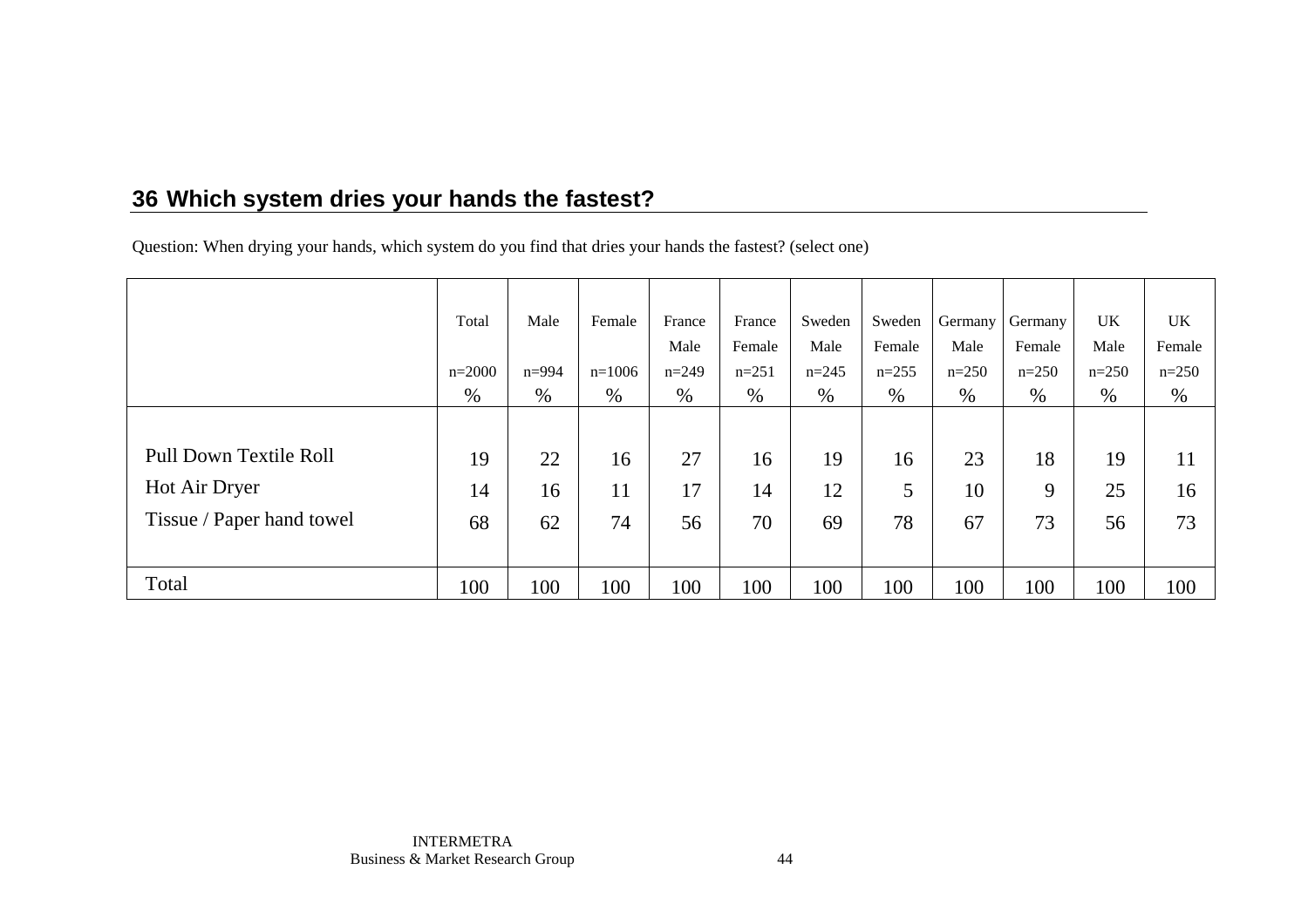# **36 Which system dries your hands the fastest?**

Question: When drying your hands, which system do you find that dries your hands the fastest? (select one)

|                               | Total    | Male      | Female   | France  | France  | Sweden    | Sweden  | Germany | Germany | UK      | <b>UK</b> |
|-------------------------------|----------|-----------|----------|---------|---------|-----------|---------|---------|---------|---------|-----------|
|                               |          |           |          | Male    | Female  | Male      | Female  | Male    | Female  | Male    | Female    |
|                               | $n=2000$ | $n = 994$ | $n=1006$ | $n=249$ | $n=251$ | $n = 245$ | $n=255$ | $n=250$ | $n=250$ | $n=250$ | $n=250$   |
|                               | $\%$     | %         | %        | $\%$    | %       | %         | %       | $\%$    | $\%$    | $\%$    | %         |
|                               |          |           |          |         |         |           |         |         |         |         |           |
| <b>Pull Down Textile Roll</b> | 19       | 22        | 16       | 27      | 16      | 19        | 16      | 23      | 18      | 19      | 11        |
| Hot Air Dryer                 | 14       | 16        | 11       | 17      | 14      | 12        | 5       | 10      | 9       | 25      | 16        |
| Tissue / Paper hand towel     | 68       | 62        | 74       | 56      | 70      | 69        | 78      | 67      | 73      | 56      | 73        |
|                               |          |           |          |         |         |           |         |         |         |         |           |
| Total                         | 100      | 100       | 100      | 100     | 100     | 100       | 100     | 100     | 100     | 100     | 100       |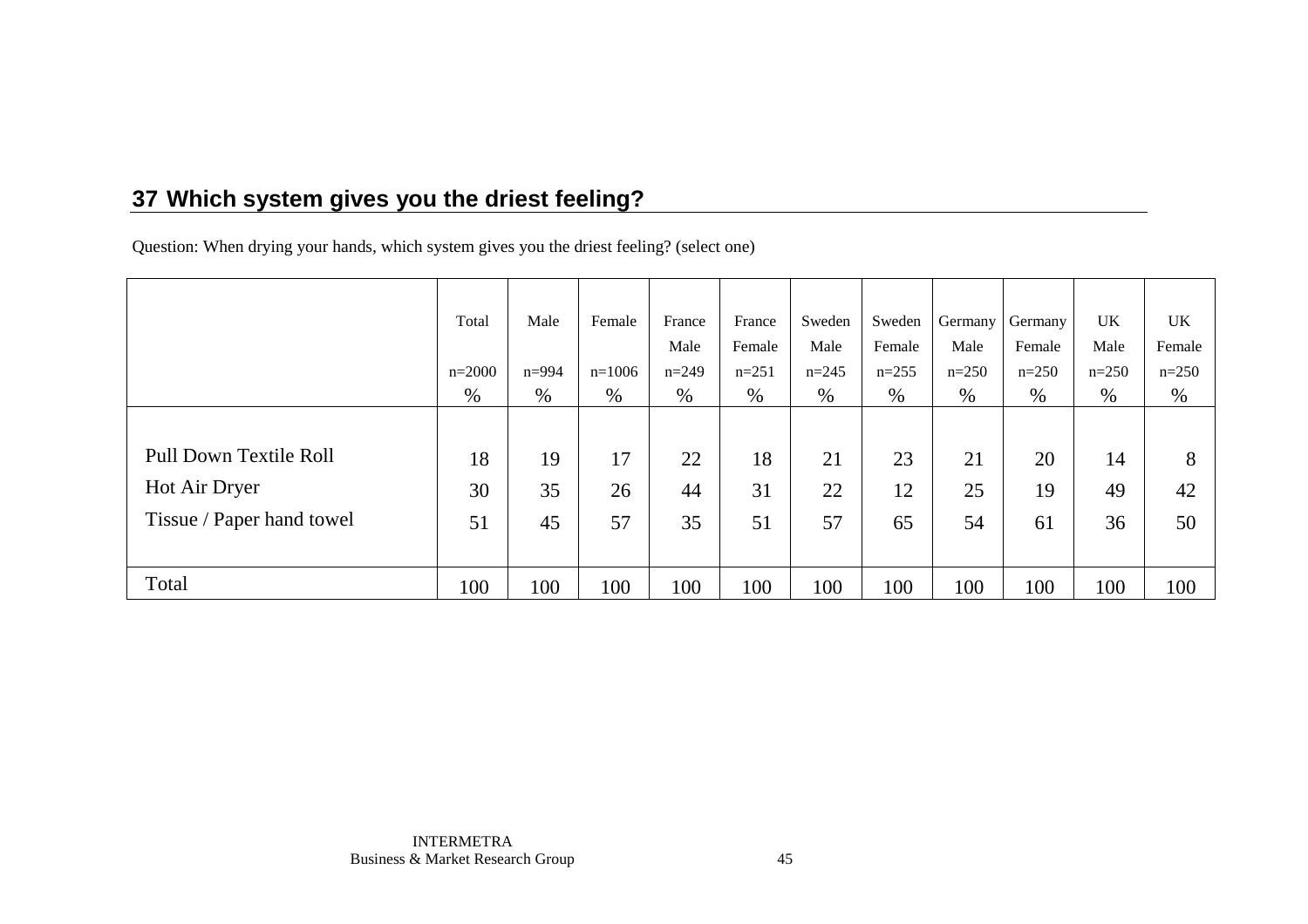# **37 Which system gives you the driest feeling?**

Question: When drying your hands, which system gives you the driest feeling? (select one)

|                               | Total    | Male      | Female   | France  | France  | Sweden    | Sweden  | Germany | Germany | <b>UK</b> | UK.     |
|-------------------------------|----------|-----------|----------|---------|---------|-----------|---------|---------|---------|-----------|---------|
|                               |          |           |          | Male    | Female  | Male      | Female  | Male    | Female  | Male      | Female  |
|                               | $n=2000$ | $n = 994$ | $n=1006$ | $n=249$ | $n=251$ | $n = 245$ | $n=255$ | $n=250$ | $n=250$ | $n=250$   | $n=250$ |
|                               | %        | %         | $\%$     | $\%$    | $\%$    | %         | $\%$    | $\%$    | %       | %         | %       |
|                               |          |           |          |         |         |           |         |         |         |           |         |
| <b>Pull Down Textile Roll</b> | 18       | 19        | 17       | 22      | 18      | 21        | 23      | 21      | 20      | 14        | 8       |
| Hot Air Dryer                 | 30       | 35        | 26       | 44      | 31      | 22        | 12      | 25      | 19      | 49        | 42      |
| Tissue / Paper hand towel     | 51       | 45        | 57       | 35      | 51      | 57        | 65      | 54      | 61      | 36        | 50      |
|                               |          |           |          |         |         |           |         |         |         |           |         |
| Total                         | 100      | 100       | 100      | 100     | 100     | 100       | 100     | 100     | 100     | 100       | 100     |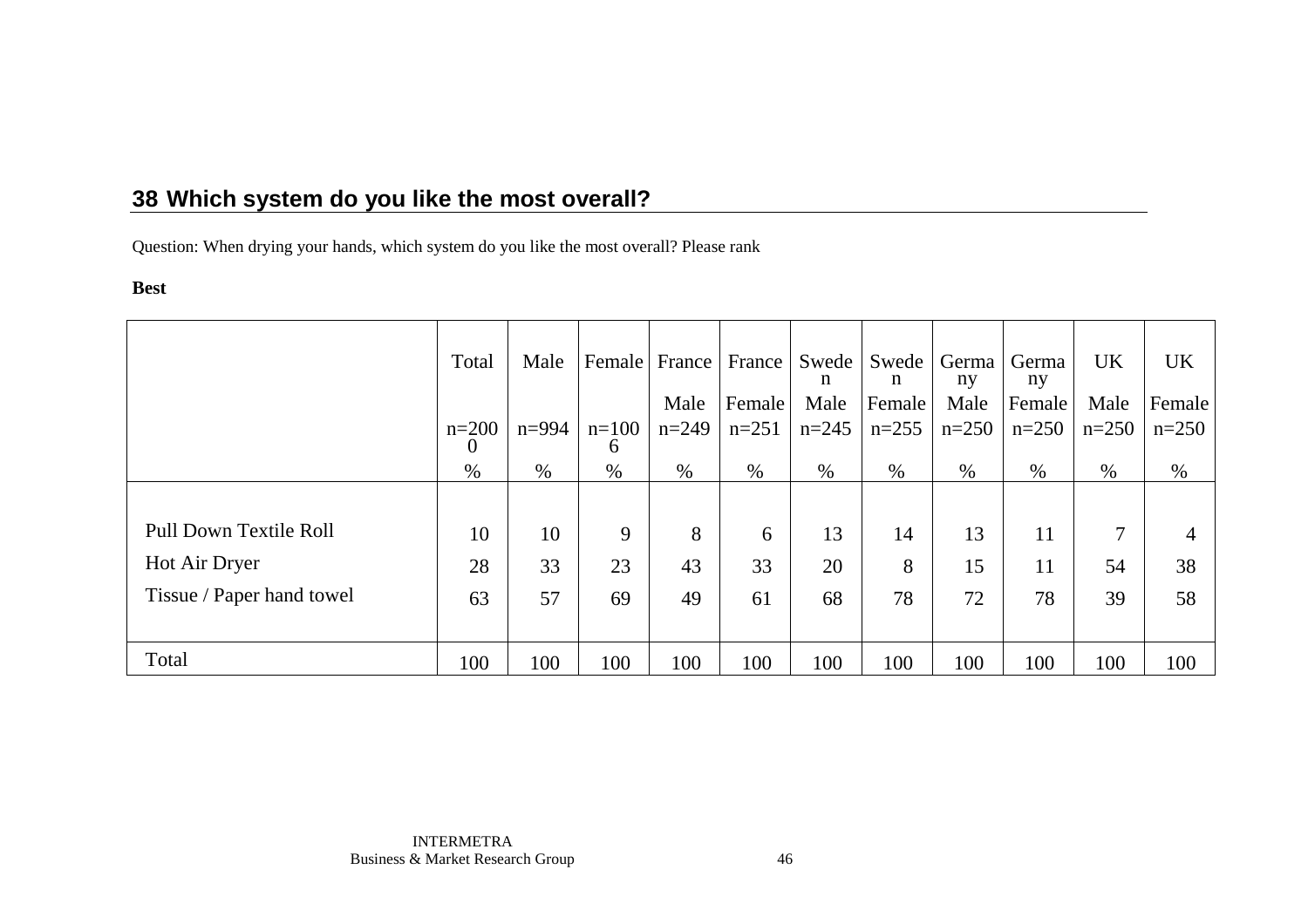Question: When drying your hands, which system do you like the most overall? Please rank

#### **Best**

|                           | Total            | Male      |                      |         | Female France France | Swede<br>n | Swede Germa<br>n | ny      | Germa<br>ny | UK      | <b>UK</b> |
|---------------------------|------------------|-----------|----------------------|---------|----------------------|------------|------------------|---------|-------------|---------|-----------|
|                           |                  |           |                      | Male    | Female               | Male       | Female           | Male    | Female      | Male    | Female    |
|                           | $n=200$          | $n = 994$ | $n=100$              | $n=249$ | $n=251$              | $n=245$    | $n=255$          | $n=250$ | $n=250$     | $n=250$ | $n=250$   |
|                           | $\theta$<br>$\%$ | $\%$      | <sub>0</sub><br>$\%$ | $\%$    | $\%$                 | $\%$       | $\%$             | $\%$    | $\%$        | $\%$    | $\%$      |
|                           |                  |           |                      |         |                      |            |                  |         |             |         |           |
| Pull Down Textile Roll    | 10               | 10        | 9                    | 8       | 6                    | 13         | 14               | 13      | 11          | $\tau$  |           |
| Hot Air Dryer             | 28               | 33        | 23                   | 43      | 33                   | 20         | 8                | 15      | 11          | 54      | 38        |
| Tissue / Paper hand towel | 63               | 57        | 69                   | 49      | 61                   | 68         | 78               | 72      | 78          | 39      | 58        |
|                           |                  |           |                      |         |                      |            |                  |         |             |         |           |
| Total                     | 100              | 100       | 100                  | 100     | 100                  | 100        | 100              | 100     | 100         | 100     | 100       |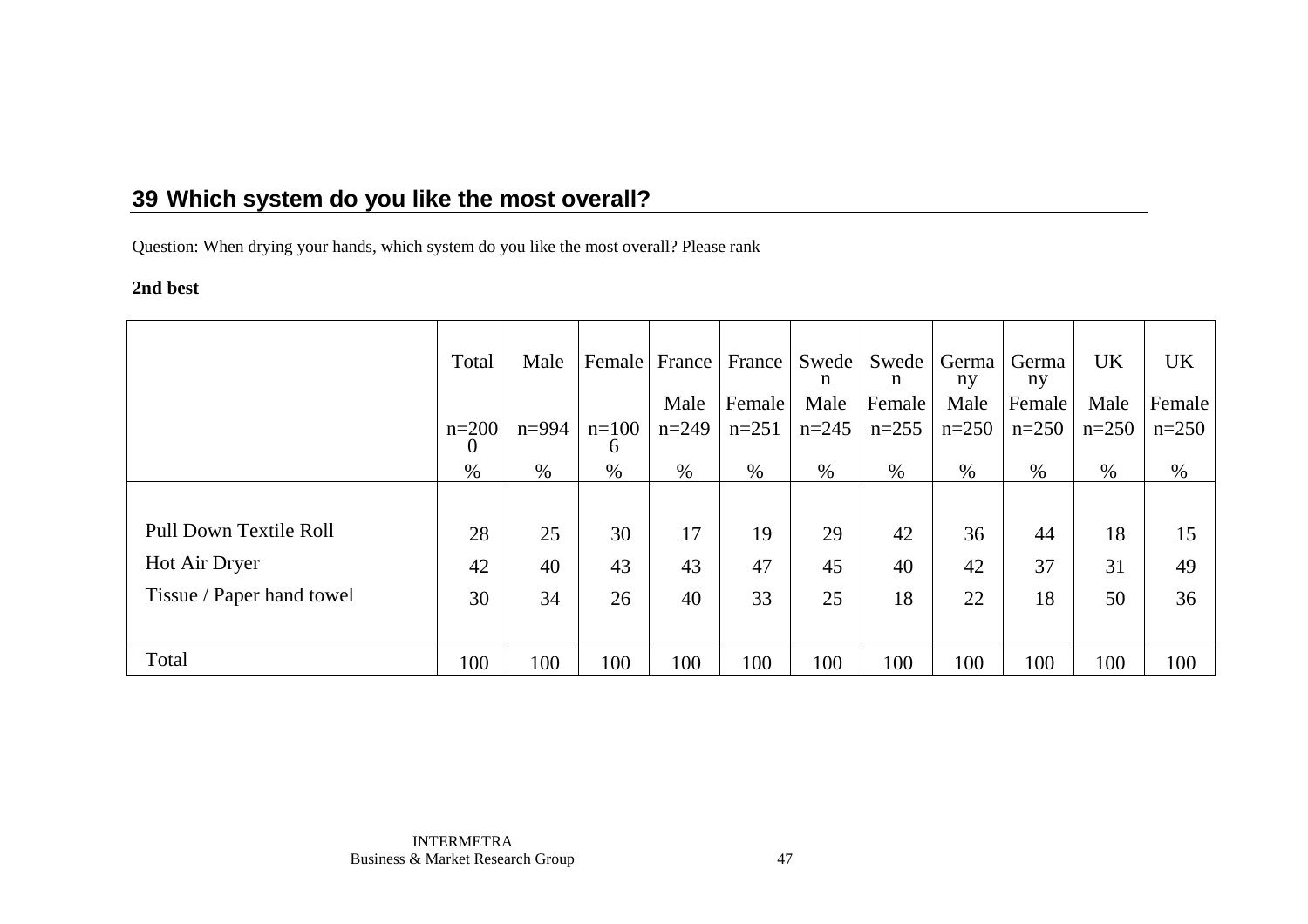Question: When drying your hands, which system do you like the most overall? Please rank

### **2nd best**

|                           | Total               | Male      | Female       |         | France France | Swede<br>n | Swede<br>n | Germa<br>ny | Germa<br>ny | UK      | <b>UK</b> |
|---------------------------|---------------------|-----------|--------------|---------|---------------|------------|------------|-------------|-------------|---------|-----------|
|                           |                     |           |              | Male    | Female        | Male       | Female     | Male        | Female      | Male    | Female    |
|                           | $n=200$<br>$\theta$ | $n = 994$ | $n=100$<br>6 | $n=249$ | $n=251$       | $n=245$    | $n=255$    | $n=250$     | $n=250$     | $n=250$ | $n=250$   |
|                           | $\%$                | $\%$      | $\%$         | $\%$    | %             | %          | $\%$       | $\%$        | $\%$        | $\%$    | $\%$      |
|                           |                     |           |              |         |               |            |            |             |             |         |           |
| Pull Down Textile Roll    | 28                  | 25        | 30           | 17      | 19            | 29         | 42         | 36          | 44          | 18      | 15        |
| Hot Air Dryer             | 42                  | 40        | 43           | 43      | 47            | 45         | 40         | 42          | 37          | 31      | 49        |
| Tissue / Paper hand towel | 30                  | 34        | 26           | 40      | 33            | 25         | 18         | 22          | 18          | 50      | 36        |
|                           |                     |           |              |         |               |            |            |             |             |         |           |
| Total                     | 100                 | 100       | 100          | 100     | 100           | 100        | 100        | 100         | 100         | 100     | 100       |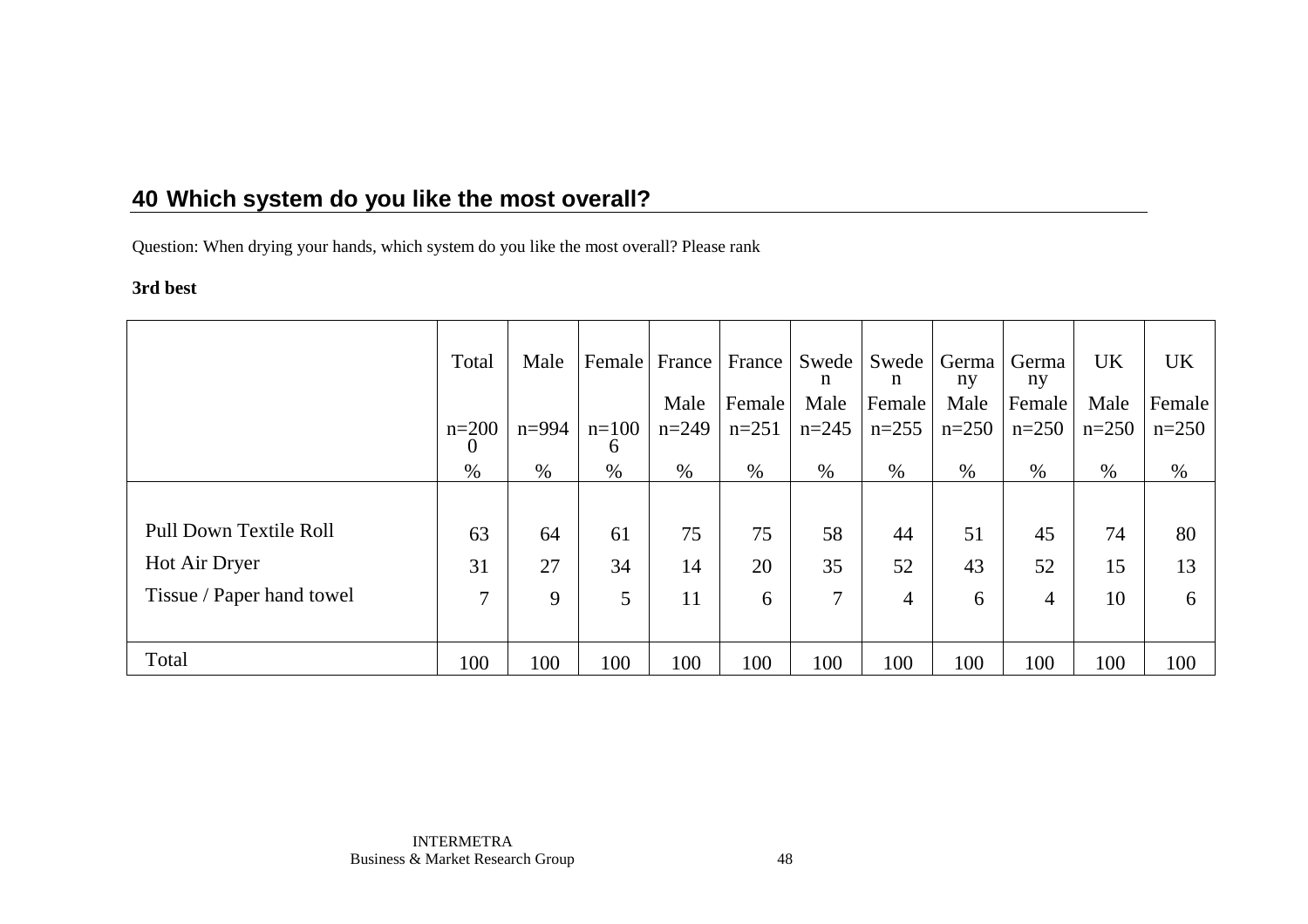Question: When drying your hands, which system do you like the most overall? Please rank

### **3rd best**

|                           | Total               | Male      |                  |         | Female France France | Swede<br>n | Swede<br>n     | Germa<br>ny | Germa<br>ny | <b>UK</b> | <b>UK</b> |
|---------------------------|---------------------|-----------|------------------|---------|----------------------|------------|----------------|-------------|-------------|-----------|-----------|
|                           |                     |           |                  | Male    | Female               | Male       | Female         | Male        | Female      | Male      | Female    |
|                           | $n=200$<br>$\theta$ | $n = 994$ | $n=100$          | $n=249$ | $n=251$              | $n=245$    | $n=255$        | $n=250$     | $n=250$     | $n=250$   | $n=250$   |
|                           | $\%$                | $\%$      | $\sigma$<br>$\%$ | $\%$    | $\%$                 | $\%$       | $\%$           | $\%$        | $\%$        | $\%$      | $\%$      |
|                           |                     |           |                  |         |                      |            |                |             |             |           |           |
| Pull Down Textile Roll    | 63                  | 64        | 61               | 75      | 75                   | 58         | 44             | 51          | 45          | 74        | 80        |
| Hot Air Dryer             | 31                  | 27        | 34               | 14      | 20                   | 35         | 52             | 43          | 52          | 15        | 13        |
| Tissue / Paper hand towel | $\tau$              | 9         | 5                | 11      | 6                    | $\tau$     | $\overline{4}$ | 6           | 4           | 10        | 6         |
|                           |                     |           |                  |         |                      |            |                |             |             |           |           |
| Total                     | 100                 | 100       | 100              | 100     | 100                  | 100        | 100            | 100         | 100         | 100       | 100       |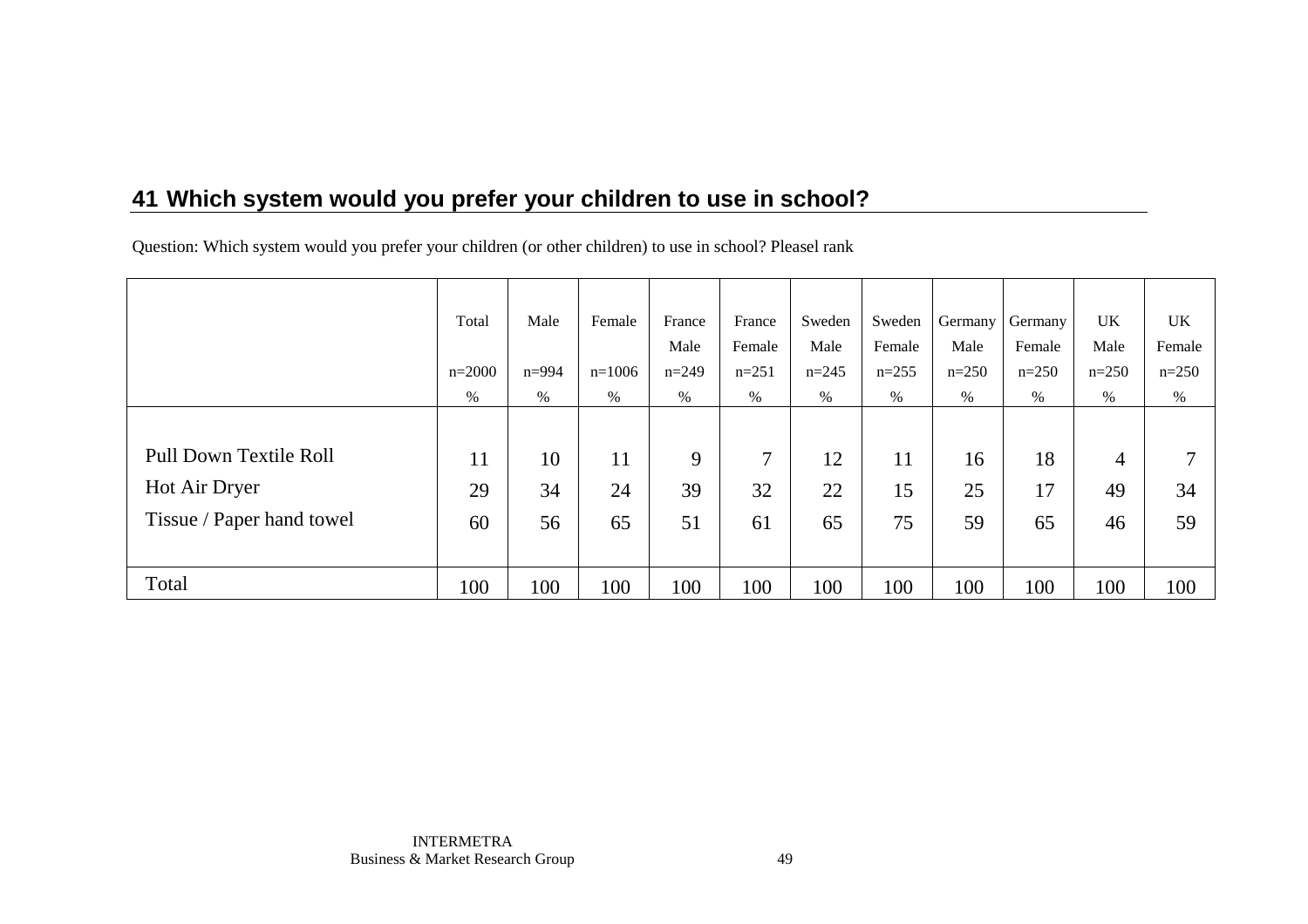Question: Which system would you prefer your children (or other children) to use in school? Pleasel rank

|                           | Total    | Male      | Female   | France  | France  | Sweden  | Sweden  | Germany | Germany | <b>UK</b>      | <b>UK</b> |
|---------------------------|----------|-----------|----------|---------|---------|---------|---------|---------|---------|----------------|-----------|
|                           |          |           |          | Male    | Female  | Male    | Female  | Male    | Female  | Male           | Female    |
|                           | $n=2000$ | $n = 994$ | $n=1006$ | $n=249$ | $n=251$ | $n=245$ | $n=255$ | $n=250$ | $n=250$ | $n=250$        | $n=250$   |
|                           | $\%$     | %         | $\%$     | $\%$    | $\%$    | $\%$    | $\%$    | $\%$    | $\%$    | $\%$           | %         |
|                           |          |           |          |         |         |         |         |         |         |                |           |
| Pull Down Textile Roll    | 11       | 10        | 11       | 9       | 7       | 12      | 11      | 16      | 18      | $\overline{4}$ | ⇁         |
| Hot Air Dryer             | 29       | 34        | 24       | 39      | 32      | 22      | 15      | 25      | 17      | 49             | 34        |
| Tissue / Paper hand towel | 60       | 56        | 65       | 51      | 61      | 65      | 75      | 59      | 65      | 46             | 59        |
|                           |          |           |          |         |         |         |         |         |         |                |           |
| Total                     | 100      | 100       | 100      | 100     | 100     | 100     | 100     | 100     | 100     | 100            | 100       |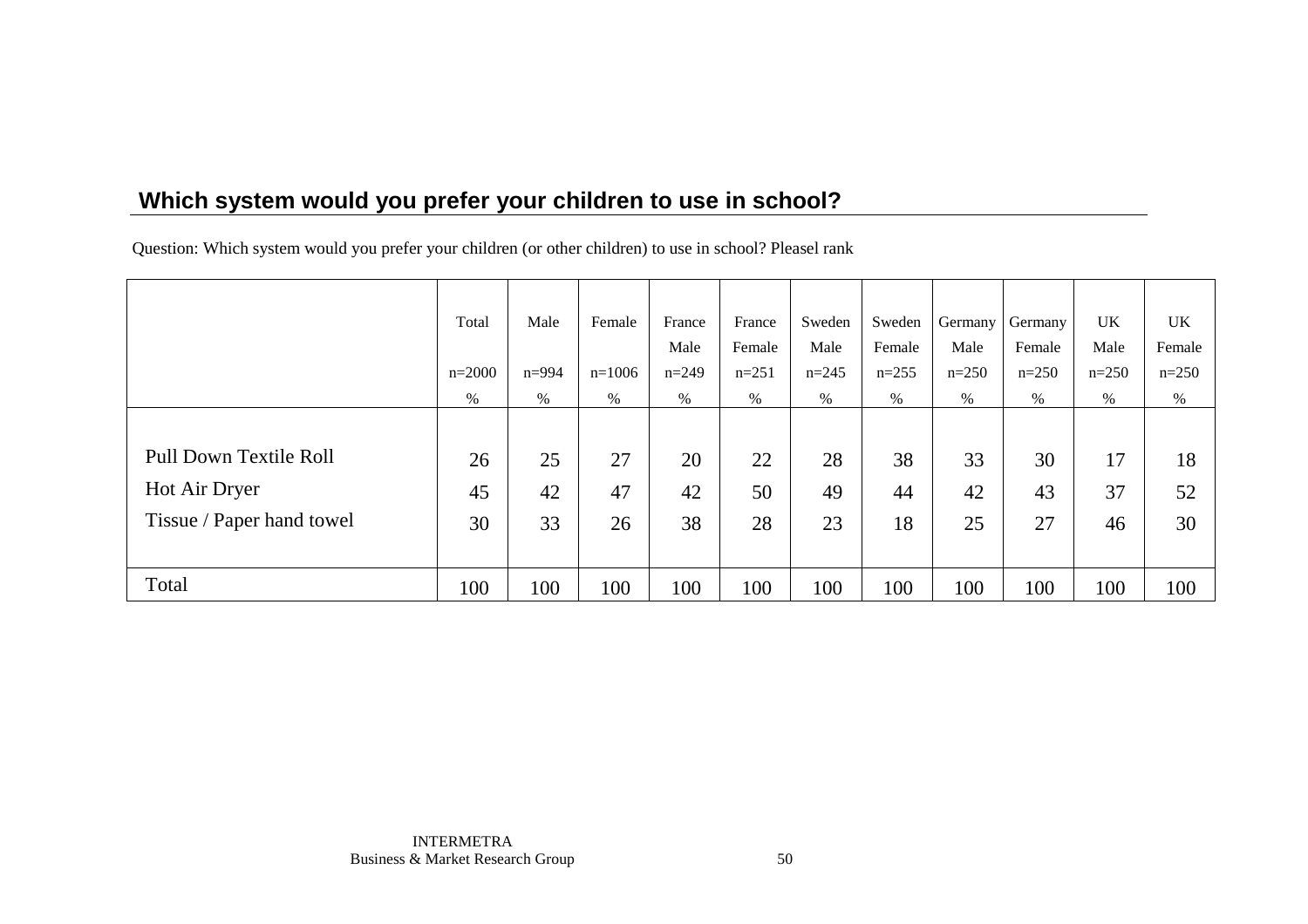Question: Which system would you prefer your children (or other children) to use in school? Pleasel rank

|                           | Total    | Male      | Female   | France  | France  | Sweden  | Sweden  | Germany | Germany | <b>UK</b> | UK      |
|---------------------------|----------|-----------|----------|---------|---------|---------|---------|---------|---------|-----------|---------|
|                           |          |           |          | Male    | Female  | Male    | Female  | Male    | Female  | Male      | Female  |
|                           | $n=2000$ | $n = 994$ | $n=1006$ | $n=249$ | $n=251$ | $n=245$ | $n=255$ | $n=250$ | $n=250$ | $n=250$   | $n=250$ |
|                           | $\%$     | %         | $\%$     | $\%$    | $\%$    | %       | %       | $\%$    | $\%$    | %         | $\%$    |
|                           |          |           |          |         |         |         |         |         |         |           |         |
| Pull Down Textile Roll    | 26       | 25        | 27       | 20      | 22      | 28      | 38      | 33      | 30      | 17        | 18      |
| Hot Air Dryer             | 45       | 42        | 47       | 42      | 50      | 49      | 44      | 42      | 43      | 37        | 52      |
| Tissue / Paper hand towel | 30       | 33        | 26       | 38      | 28      | 23      | 18      | 25      | 27      | 46        | 30      |
|                           |          |           |          |         |         |         |         |         |         |           |         |
| Total                     | 100      | 100       | 100      | 100     | 100     | 100     | 100     | 100     | 100     | 100       | 100     |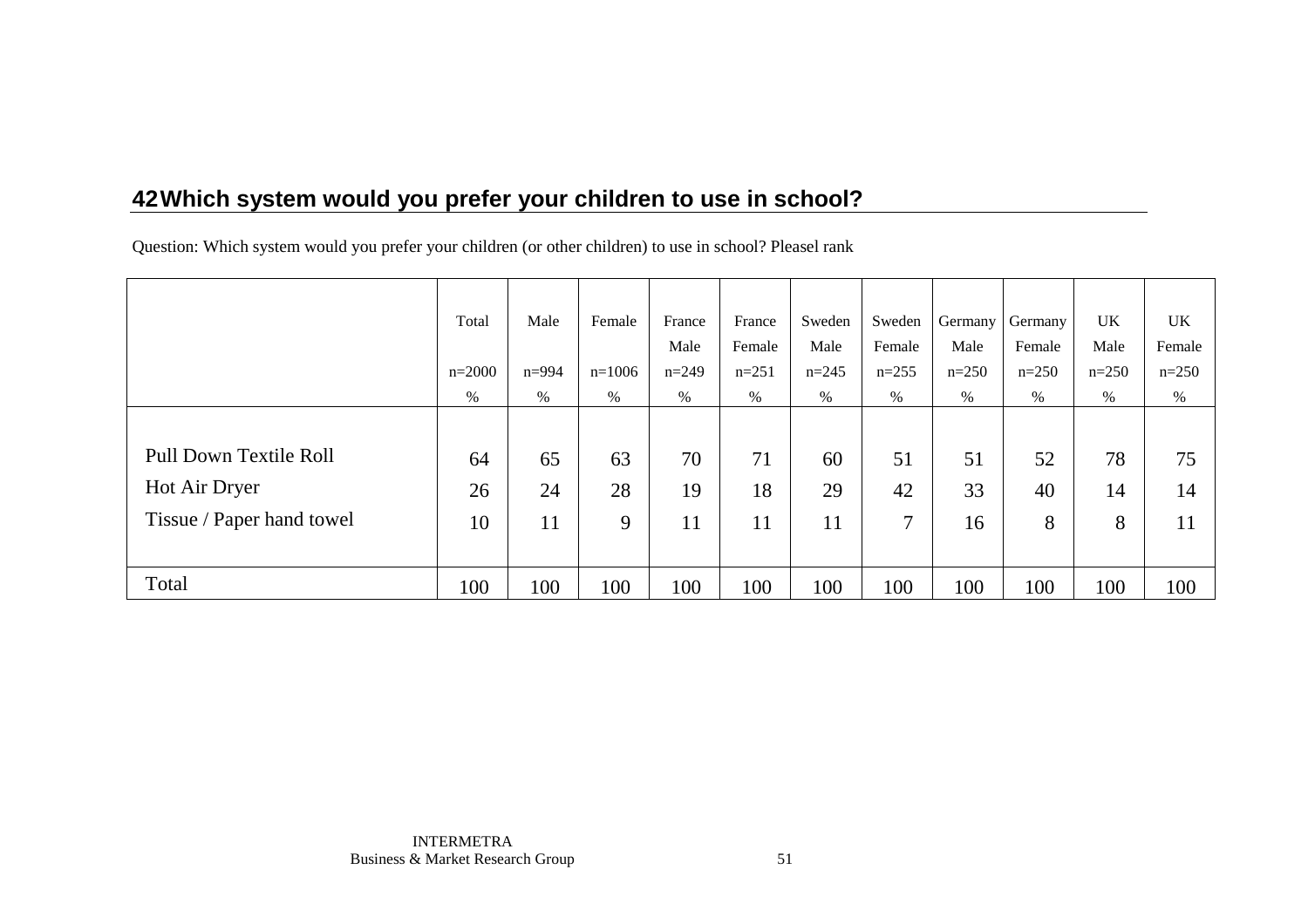Question: Which system would you prefer your children (or other children) to use in school? Pleasel rank

|                           | Total    | Male      | Female   | France  | France  | Sweden  | Sweden  | Germany | Germany | <b>UK</b> | <b>UK</b> |
|---------------------------|----------|-----------|----------|---------|---------|---------|---------|---------|---------|-----------|-----------|
|                           |          |           |          | Male    | Female  | Male    | Female  | Male    | Female  | Male      | Female    |
|                           | $n=2000$ | $n = 994$ | $n=1006$ | $n=249$ | $n=251$ | $n=245$ | $n=255$ | $n=250$ | $n=250$ | $n=250$   | $n=250$   |
|                           | $\%$     | %         | $\%$     | $\%$    | $\%$    | $\%$    | $\%$    | $\%$    | $\%$    | $\%$      | %         |
|                           |          |           |          |         |         |         |         |         |         |           |           |
| Pull Down Textile Roll    | 64       | 65        | 63       | 70      | 71      | 60      | 51      | 51      | 52      | 78        | 75        |
| Hot Air Dryer             | 26       | 24        | 28       | 19      | 18      | 29      | 42      | 33      | 40      | 14        | 14        |
| Tissue / Paper hand towel | 10       | 11        | 9        | 11      | 11      | 11      | 7       | 16      | 8       | 8         | 11        |
|                           |          |           |          |         |         |         |         |         |         |           |           |
| Total                     | 100      | 100       | 100      | 100     | 100     | 100     | 100     | 100     | 100     | 100       | 100       |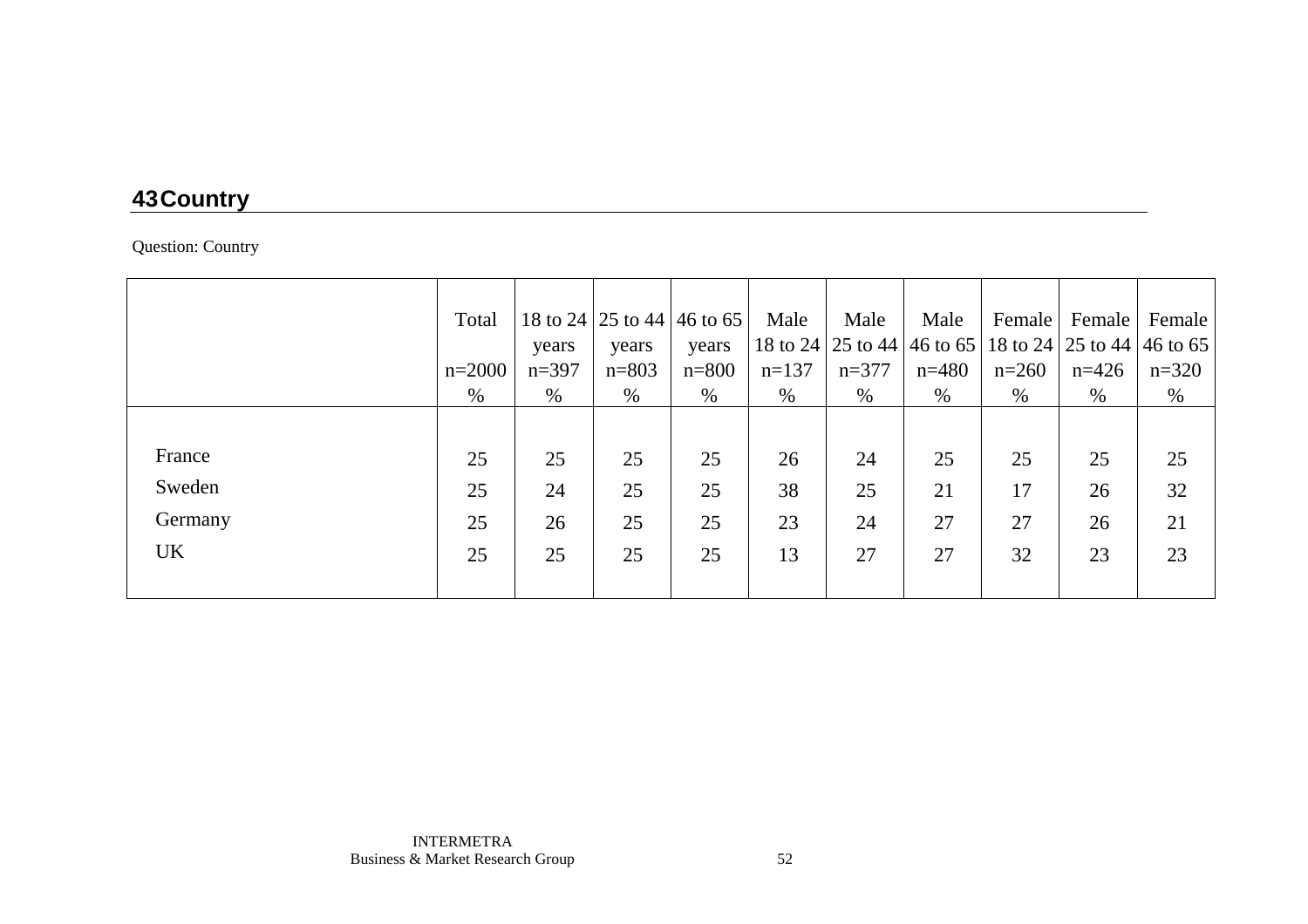# **43 Country**

Question: Country

|           | Total    |         | 18 to 24   25 to 44   46 to 65 |           | Male    | Male    | Male                                                  | Female  | Female  | Female  |
|-----------|----------|---------|--------------------------------|-----------|---------|---------|-------------------------------------------------------|---------|---------|---------|
|           |          | years   | years                          | years     |         |         | 18 to 24 25 to 44 46 to 65 18 to 24 25 to 44 46 to 65 |         |         |         |
|           | $n=2000$ | $n=397$ | $n = 803$                      | $n = 800$ | $n=137$ | $n=377$ | $n=480$                                               | $n=260$ | $n=426$ | $n=320$ |
|           | $\%$     | $\%$    | %                              | %         | $\%$    | $\%$    | %                                                     | $\%$    | $\%$    | %       |
|           |          |         |                                |           |         |         |                                                       |         |         |         |
| France    | 25       | 25      | 25                             | 25        | 26      | 24      | 25                                                    | 25      | 25      | 25      |
| Sweden    | 25       | 24      | 25                             | 25        | 38      | 25      | 21                                                    | 17      | 26      | 32      |
| Germany   | 25       | 26      | 25                             | 25        | 23      | 24      | 27                                                    | 27      | 26      | 21      |
| <b>UK</b> | 25       | 25      | 25                             | 25        | 13      | 27      | 27                                                    | 32      | 23      | 23      |
|           |          |         |                                |           |         |         |                                                       |         |         |         |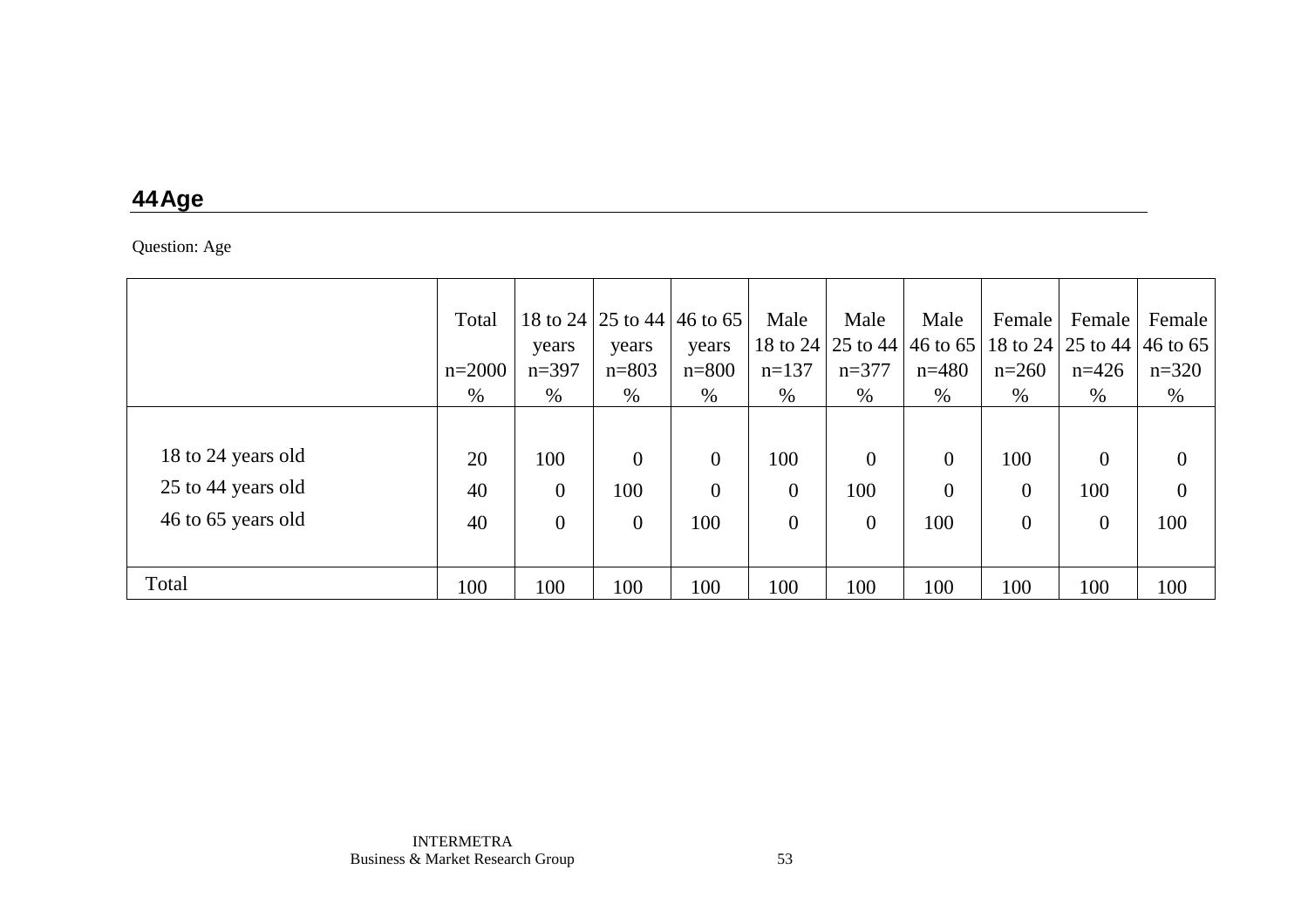### **44 Age**

Question: Age

|                    | Total    |                |                | 18 to 24 25 to 44 46 to 65 | Male         | Male           | Male                                                         | Female         | Female         | Female         |
|--------------------|----------|----------------|----------------|----------------------------|--------------|----------------|--------------------------------------------------------------|----------------|----------------|----------------|
|                    |          | years          | years          | years                      | 18 to 24     |                | $\vert$ 25 to 44   46 to 65   18 to 24   25 to 44   46 to 65 |                |                |                |
|                    | $n=2000$ | $n=397$        | $n = 803$      | $n = 800$                  | $n=137$      | $n=377$        | $n=480$                                                      | $n=260$        | $n=426$        | $n=320$        |
|                    | %        | $\%$           | %              | $\%$                       | $\%$         | $\%$           | %                                                            | $\%$           | $\%$           | $\%$           |
|                    |          |                |                |                            |              |                |                                                              |                |                |                |
| 18 to 24 years old | 20       | 100            | $\overline{0}$ | $\boldsymbol{0}$           | 100          | $\overline{0}$ | $\overline{0}$                                               | 100            | $\overline{0}$ | $\theta$       |
| 25 to 44 years old | 40       | $\overline{0}$ | 100            | $\theta$                   | $\theta$     | 100            | $\theta$                                                     | $\overline{0}$ | 100            | $\overline{0}$ |
| 46 to 65 years old | 40       | $\overline{0}$ | $\overline{0}$ | 100                        | $\mathbf{0}$ | $\overline{0}$ | 100                                                          | $\overline{0}$ | $\overline{0}$ | 100            |
|                    |          |                |                |                            |              |                |                                                              |                |                |                |
| Total              | 100      | 100            | 100            | 100                        | 100          | 100            | 100                                                          | 100            | 100            | 100            |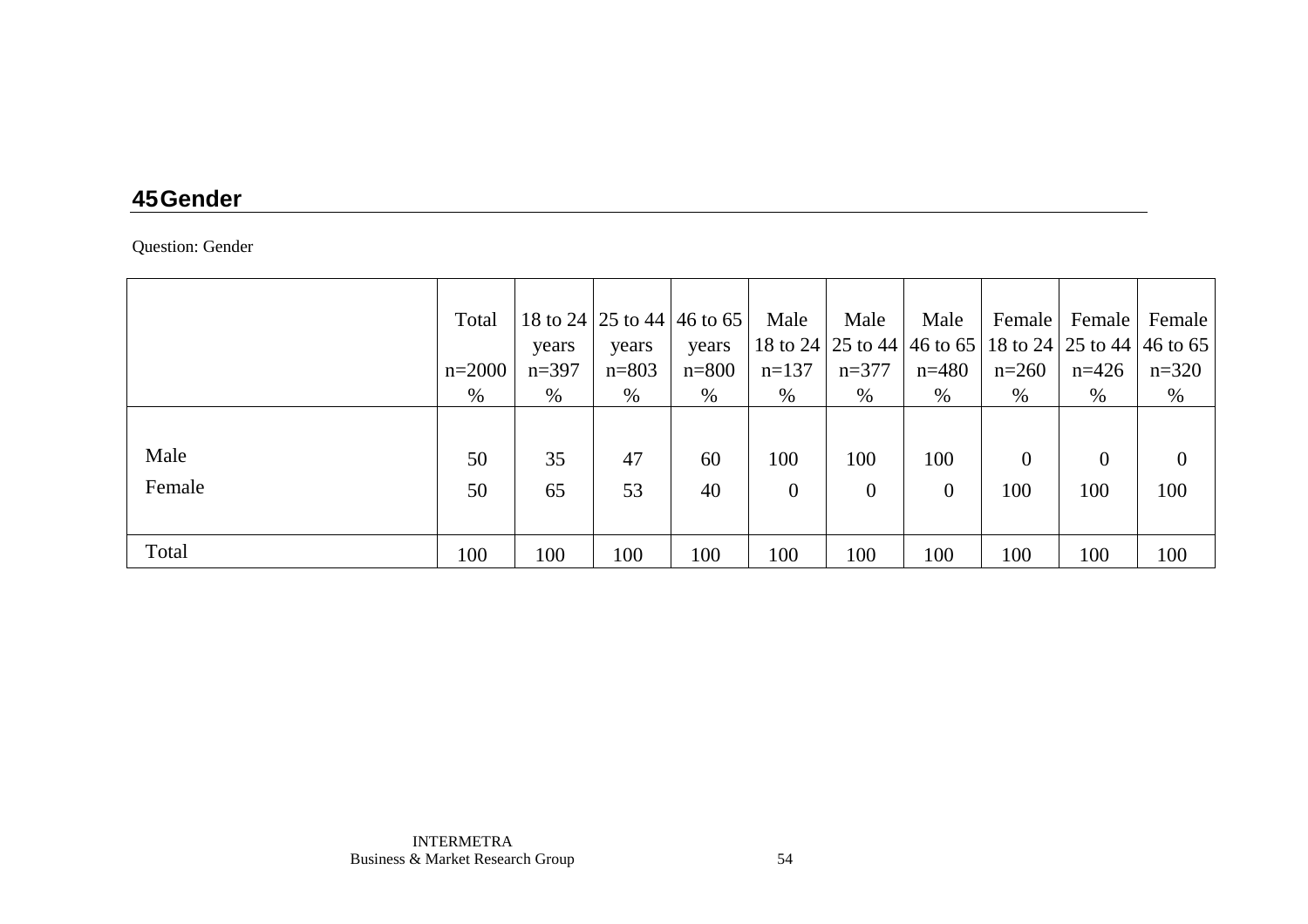### **45 Gender**

Question: Gender

|        | Total    |         |           | 18 to 24 25 to 44 46 to 65 | Male         | Male           | Male           | Female       |                                                                 | Female   Female |
|--------|----------|---------|-----------|----------------------------|--------------|----------------|----------------|--------------|-----------------------------------------------------------------|-----------------|
|        |          | years   | years     | years                      |              |                |                |              | 18 to 24   25 to 44   46 to 65   18 to 24   25 to 44   46 to 65 |                 |
|        | $n=2000$ | $n=397$ | $n = 803$ | $n = 800$                  | $n=137$      | $n=377$        | $n = 480$      | $n=260$      | $n=426$                                                         | $n=320$         |
|        | %        | $\%$    | $\%$      | %                          | %            | $\%$           | %              | %            | $\%$                                                            | $\%$            |
|        |          |         |           |                            |              |                |                |              |                                                                 |                 |
| Male   | 50       | 35      | 47        | 60                         | 100          | 100            | 100            | $\mathbf{0}$ | $\overline{0}$                                                  | $\theta$        |
| Female | 50       | 65      | 53        | 40                         | $\mathbf{0}$ | $\overline{0}$ | $\overline{0}$ | 100          | 100                                                             | 100             |
|        |          |         |           |                            |              |                |                |              |                                                                 |                 |
| Total  | 100      | 100     | 100       | 100                        | 100          | 100            | 100            | 100          | 100                                                             | 100             |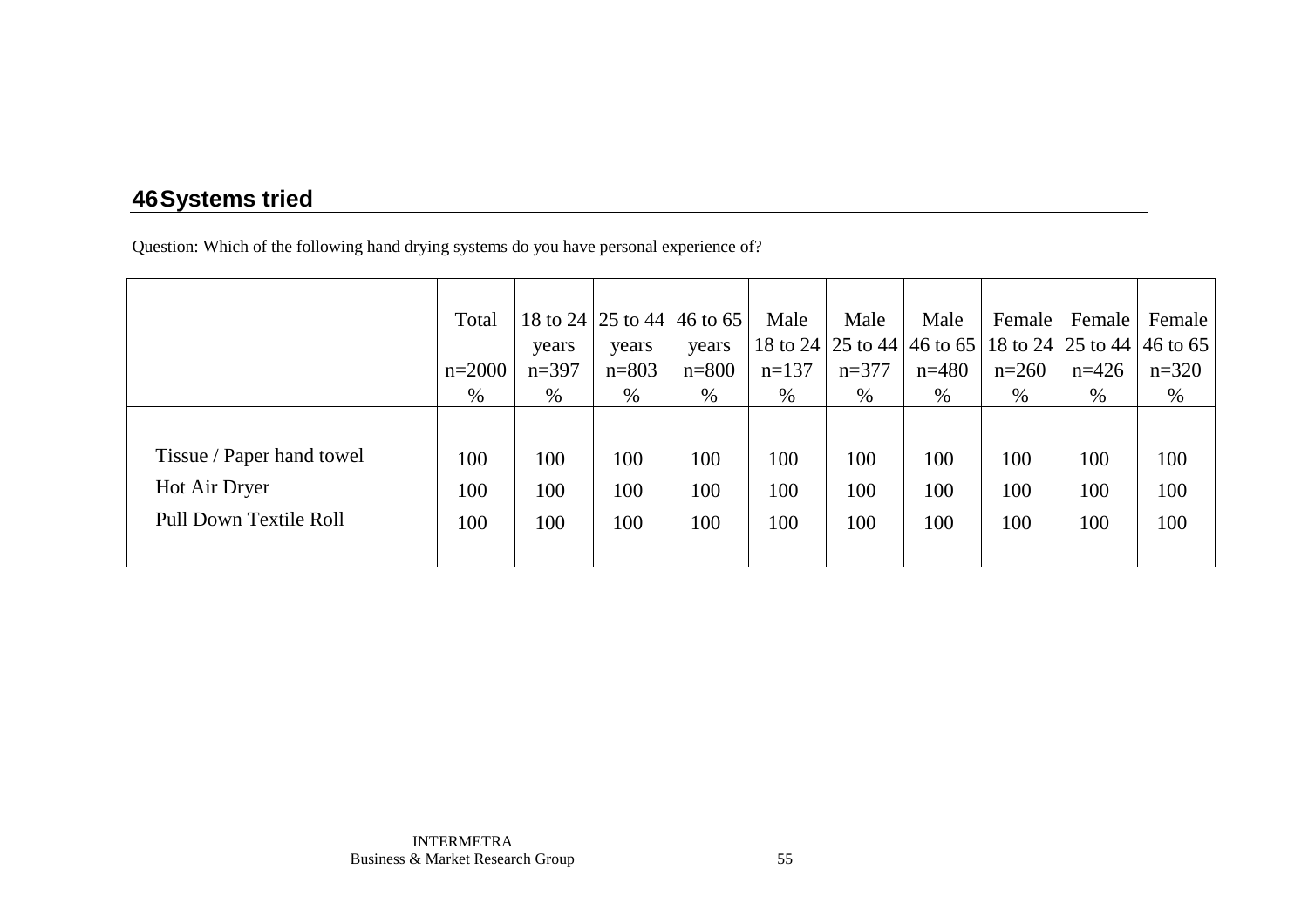## **46 Systems tried**

Question: Which of the following hand drying systems do you have personal experience of?

|                               | Total    |         | 18 to 24   25 to 44   46 to 65 |           | Male    | Male    | Male                                                            | Female  | Female  | Female  |
|-------------------------------|----------|---------|--------------------------------|-----------|---------|---------|-----------------------------------------------------------------|---------|---------|---------|
|                               |          | years   | years                          | years     |         |         | 18 to 24   25 to 44   46 to 65   18 to 24   25 to 44   46 to 65 |         |         |         |
|                               | $n=2000$ | $n=397$ | $n = 803$                      | $n = 800$ | $n=137$ | $n=377$ | $n=480$                                                         | $n=260$ | $n=426$ | $n=320$ |
|                               | %        | $\%$    | $\%$                           | %         | $\%$    | $\%$    | %                                                               | $\%$    | %       | $\%$    |
|                               |          |         |                                |           |         |         |                                                                 |         |         |         |
| Tissue / Paper hand towel     | 100      | 100     | 100                            | 100       | 100     | 100     | 100                                                             | 100     | 100     | 100     |
| Hot Air Dryer                 | 100      | 100     | 100                            | 100       | 100     | 100     | 100                                                             | 100     | 100     | 100     |
| <b>Pull Down Textile Roll</b> | 100      | 100     | 100                            | 100       | 100     | 100     | 100                                                             | 100     | 100     | 100     |
|                               |          |         |                                |           |         |         |                                                                 |         |         |         |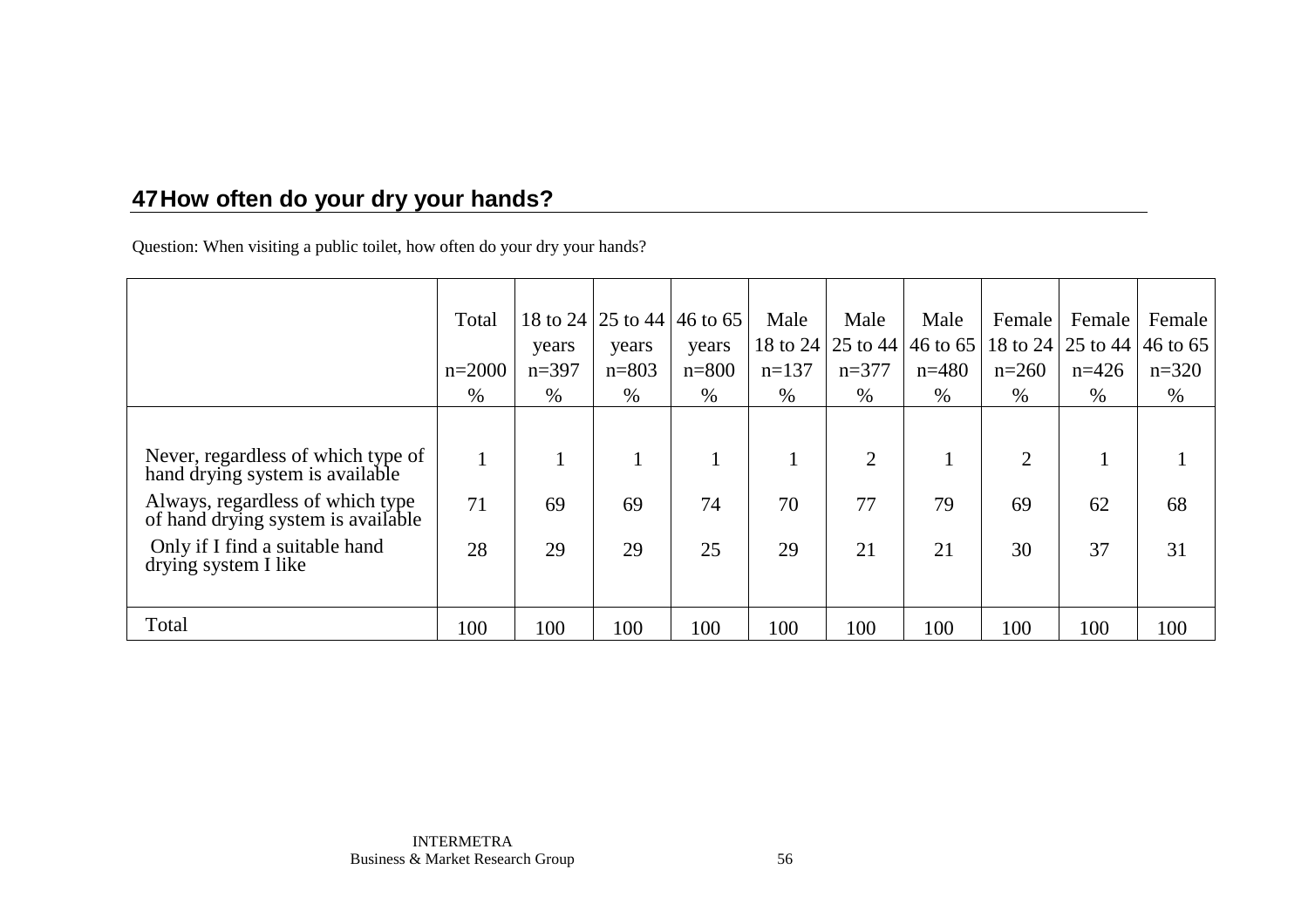# **47 How often do your dry your hands?**

Question: When visiting a public toilet, how often do your dry your hands?

|                                                                        | Total    |         |           | 18 to 24 25 to 44 46 to 65 | Male    | Male           | Male    | Female         | Female                                                | Female  |
|------------------------------------------------------------------------|----------|---------|-----------|----------------------------|---------|----------------|---------|----------------|-------------------------------------------------------|---------|
|                                                                        |          | years   | years     | years                      |         |                |         |                | 18 to 24 25 to 44 46 to 65 18 to 24 25 to 44 46 to 65 |         |
|                                                                        | $n=2000$ | $n=397$ | $n = 803$ | $n = 800$                  | $n=137$ | $n=377$        | $n=480$ | $n=260$        | $n=426$                                               | $n=320$ |
|                                                                        | $\%$     | $\%$    | $\%$      | $\%$                       | $\%$    | $\%$           | $\%$    | $\%$           | $\%$                                                  | $\%$    |
|                                                                        |          |         |           |                            |         |                |         |                |                                                       |         |
| Never, regardless of which type of<br>hand drying system is available  |          |         |           |                            |         | $\overline{2}$ |         | $\overline{2}$ |                                                       |         |
| Always, regardless of which type<br>of hand drying system is available | 71       | 69      | 69        | 74                         | 70      | 77             | 79      | 69             | 62                                                    | 68      |
| Only if I find a suitable hand<br>drying system I like                 | 28       | 29      | 29        | 25                         | 29      | 21             | 21      | 30             | 37                                                    | 31      |
|                                                                        |          |         |           |                            |         |                |         |                |                                                       |         |
| Total                                                                  | 100      | 100     | 100       | 100                        | 100     | 100            | 100     | 100            | 100                                                   | 100     |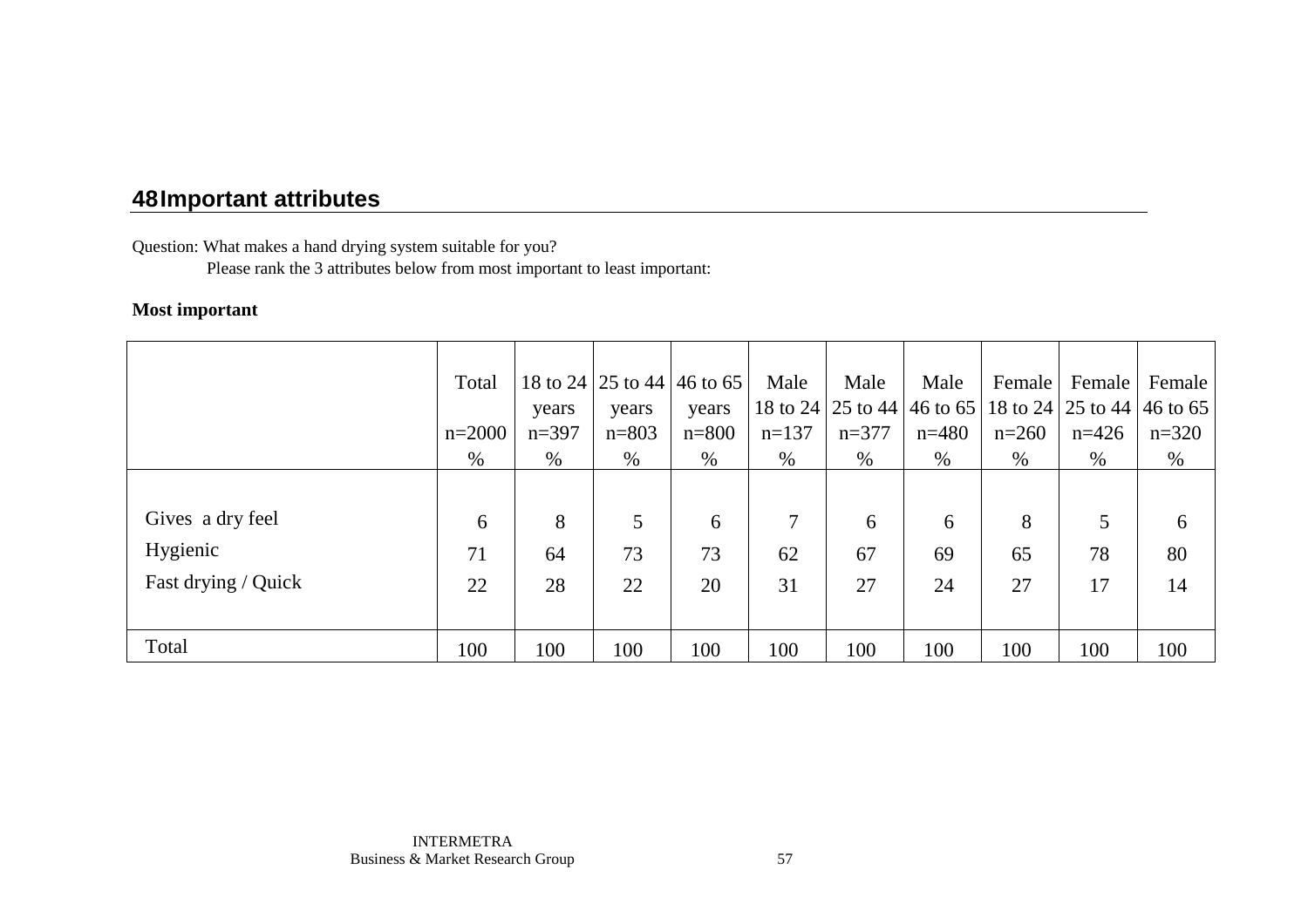Question: What makes a hand drying system suitable for you?

Please rank the 3 attributes below from most important to least important:

#### **Most important**

|                     | Total    |         | 18 to 24   25 to 44   46 to 65 |           | Male    | Male    | Male    | Female  | Female                                                          | Female  |
|---------------------|----------|---------|--------------------------------|-----------|---------|---------|---------|---------|-----------------------------------------------------------------|---------|
|                     |          | years   | years                          | years     |         |         |         |         | 18 to 24   25 to 44   46 to 65   18 to 24   25 to 44   46 to 65 |         |
|                     | $n=2000$ | $n=397$ | $n = 803$                      | $n = 800$ | $n=137$ | $n=377$ | $n=480$ | $n=260$ | $n=426$                                                         | $n=320$ |
|                     | %        | $\%$    | $\%$                           | %         | $\%$    | $\%$    | %       | $\%$    | $\%$                                                            | $\%$    |
|                     |          |         |                                |           |         |         |         |         |                                                                 |         |
| Gives a dry feel    | 6        | 8       | 5                              | 6         | 7       | 6       | 6       | 8       | 5                                                               | 6       |
| Hygienic            | 71       | 64      | 73                             | 73        | 62      | 67      | 69      | 65      | 78                                                              | 80      |
| Fast drying / Quick | 22       | 28      | 22                             | 20        | 31      | 27      | 24      | 27      | 17                                                              | 14      |
|                     |          |         |                                |           |         |         |         |         |                                                                 |         |
| Total               | 100      | 100     | 100                            | 100       | 100     | 100     | 100     | 100     | 100                                                             | 100     |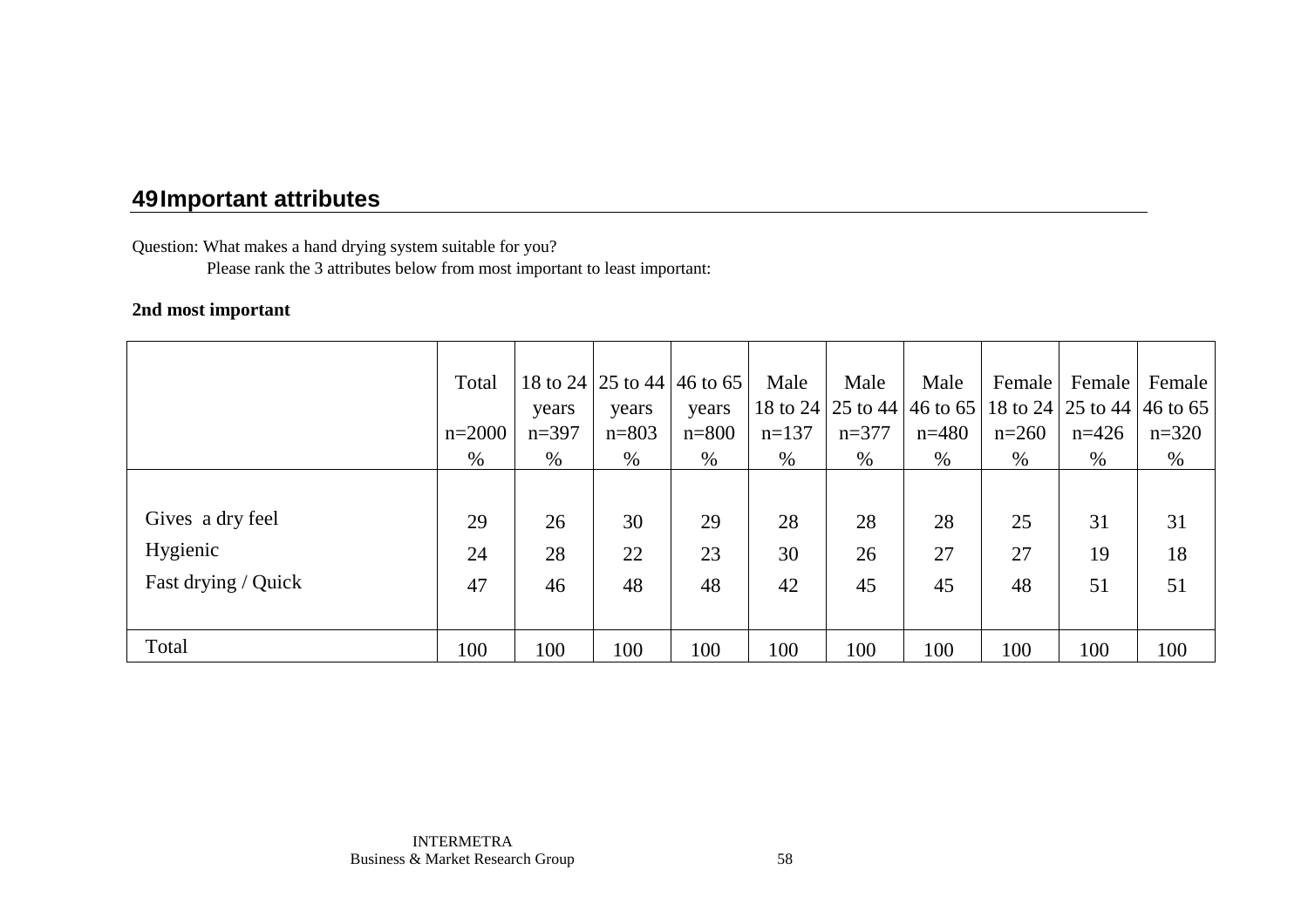Question: What makes a hand drying system suitable for you?

Please rank the 3 attributes below from most important to least important:

#### **2nd most important**

|                     | Total    |         | 18 to 24 25 to 44 46 to 65 |           | Male    | Male    | Male    | Female  | Female                                                | Female  |
|---------------------|----------|---------|----------------------------|-----------|---------|---------|---------|---------|-------------------------------------------------------|---------|
|                     |          | years   | years                      | years     |         |         |         |         | 18 to 24 25 to 44 46 to 65 18 to 24 25 to 44 46 to 65 |         |
|                     | $n=2000$ | $n=397$ | $n = 803$                  | $n = 800$ | $n=137$ | $n=377$ | $n=480$ | $n=260$ | $n=426$                                               | $n=320$ |
|                     | $\%$     | $\%$    | $\%$                       | $\%$      | $\%$    | $\%$    | $\%$    | $\%$    | $\%$                                                  | $\%$    |
|                     |          |         |                            |           |         |         |         |         |                                                       |         |
| Gives a dry feel    | 29       | 26      | 30                         | 29        | 28      | 28      | 28      | 25      | 31                                                    | 31      |
| Hygienic            | 24       | 28      | 22                         | 23        | 30      | 26      | 27      | 27      | 19                                                    | 18      |
| Fast drying / Quick | 47       | 46      | 48                         | 48        | 42      | 45      | 45      | 48      | 51                                                    | 51      |
|                     |          |         |                            |           |         |         |         |         |                                                       |         |
| Total               | 100      | 100     | 100                        | 100       | 100     | 100     | 100     | 100     | 100                                                   | 100     |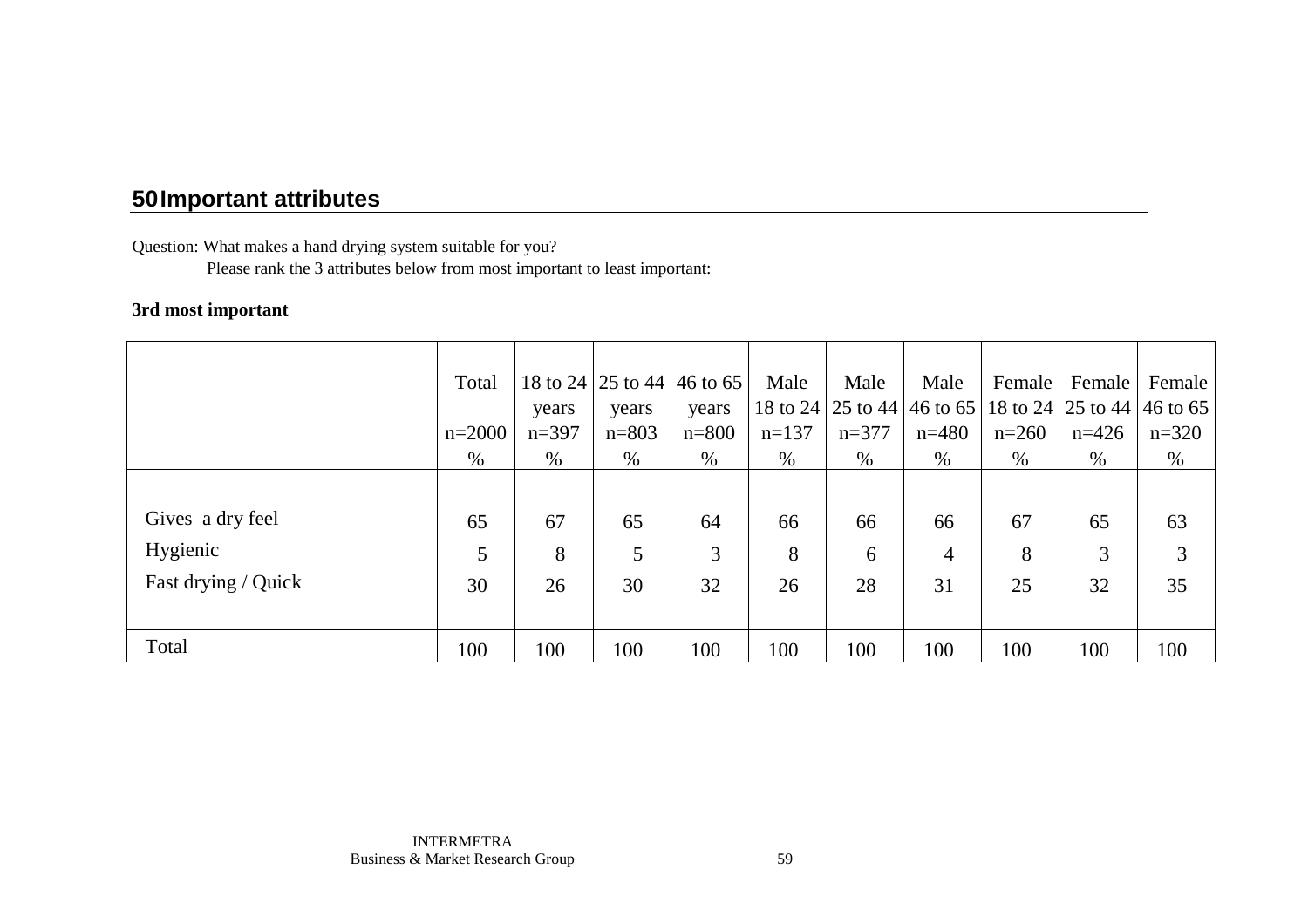Question: What makes a hand drying system suitable for you?

Please rank the 3 attributes below from most important to least important:

#### **3rd most important**

|                     | Total    |         | 18 to 24   25 to 44   46 to 65 |           | Male    | Male    | Male           | Female  | Female                                                          | Female  |
|---------------------|----------|---------|--------------------------------|-----------|---------|---------|----------------|---------|-----------------------------------------------------------------|---------|
|                     |          | years   | years                          | years     |         |         |                |         | 18 to 24   25 to 44   46 to 65   18 to 24   25 to 44   46 to 65 |         |
|                     | $n=2000$ | $n=397$ | $n = 803$                      | $n = 800$ | $n=137$ | $n=377$ | $n=480$        | $n=260$ | $n=426$                                                         | $n=320$ |
|                     | %        | $\%$    | $\%$                           | $\%$      | $\%$    | $\%$    | %              | $\%$    | $\%$                                                            | $\%$    |
|                     |          |         |                                |           |         |         |                |         |                                                                 |         |
| Gives a dry feel    | 65       | 67      | 65                             | 64        | 66      | 66      | 66             | 67      | 65                                                              | 63      |
| Hygienic            | 5        | 8       | 5                              | 3         | 8       | 6       | $\overline{4}$ | 8       | 3                                                               | 3       |
| Fast drying / Quick | 30       | 26      | 30                             | 32        | 26      | 28      | 31             | 25      | 32                                                              | 35      |
|                     |          |         |                                |           |         |         |                |         |                                                                 |         |
| Total               | 100      | 100     | 100                            | 100       | 100     | 100     | 100            | 100     | 100                                                             | 100     |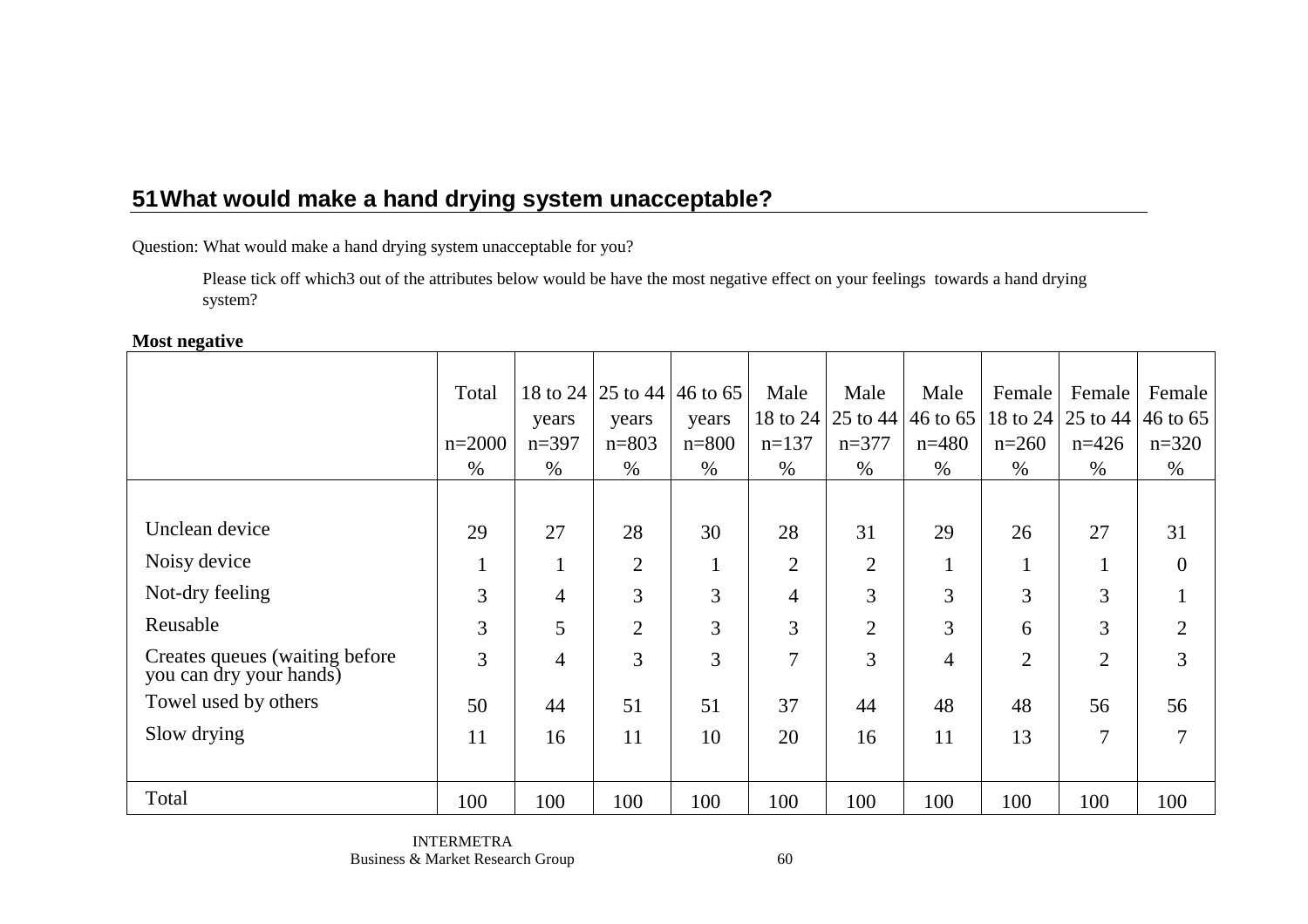Question: What would make a hand drying system unacceptable for you?

 Please tick off which3 out of the attributes below would be have the most negative effect on your feelings towards a hand drying system?

#### **Most negative**

|                                                            | Total    |                | 18 to 24   25 to 44   46 to 65 |           | Male           | Male           | Male           | Female         | Female                         | Female         |
|------------------------------------------------------------|----------|----------------|--------------------------------|-----------|----------------|----------------|----------------|----------------|--------------------------------|----------------|
|                                                            |          | years          | years                          | years     | 18 to 24       | 25 to 44       | 46 to 65       |                | 18 to 24   25 to 44   46 to 65 |                |
|                                                            | $n=2000$ | $n=397$        | $n = 803$                      | $n = 800$ | $n=137$        | $n=377$        | $n=480$        | $n=260$        | $n=426$                        | $n=320$        |
|                                                            | $\%$     | $\%$           | $\%$                           | $\%$      | $\%$           | $\%$           | $\%$           | $\%$           | $\%$                           | $\%$           |
|                                                            |          |                |                                |           |                |                |                |                |                                |                |
| Unclean device                                             | 29       | 27             | 28                             | 30        | 28             | 31             | 29             | 26             | 27                             | 31             |
| Noisy device                                               | $\perp$  | $\perp$        | $\overline{2}$                 | $\bf{I}$  | 2              | $\overline{2}$ | $\bf{1}$       | -1             |                                | $\overline{0}$ |
| Not-dry feeling                                            | 3        | $\overline{4}$ | $\overline{3}$                 | 3         | $\overline{4}$ | 3              | 3              | $\overline{3}$ | 3                              | $\mathbf{1}$   |
| Reusable                                                   | 3        | 5              | $\overline{2}$                 | 3         | 3              | $\overline{2}$ | 3              | 6              | 3                              | $\overline{2}$ |
| Creates queues (waiting before)<br>you can dry your hands) | 3        | $\overline{4}$ | 3                              | 3         | 7              | 3              | $\overline{4}$ | $\overline{2}$ | $\overline{2}$                 | 3              |
| Towel used by others                                       | 50       | 44             | 51                             | 51        | 37             | 44             | 48             | 48             | 56                             | 56             |
| Slow drying                                                | 11       | 16             | 11                             | 10        | 20             | 16             | 11             | 13             | 7                              | 7              |
|                                                            |          |                |                                |           |                |                |                |                |                                |                |
| Total                                                      | 100      | 100            | 100                            | 100       | 100            | 100            | 100            | 100            | 100                            | 100            |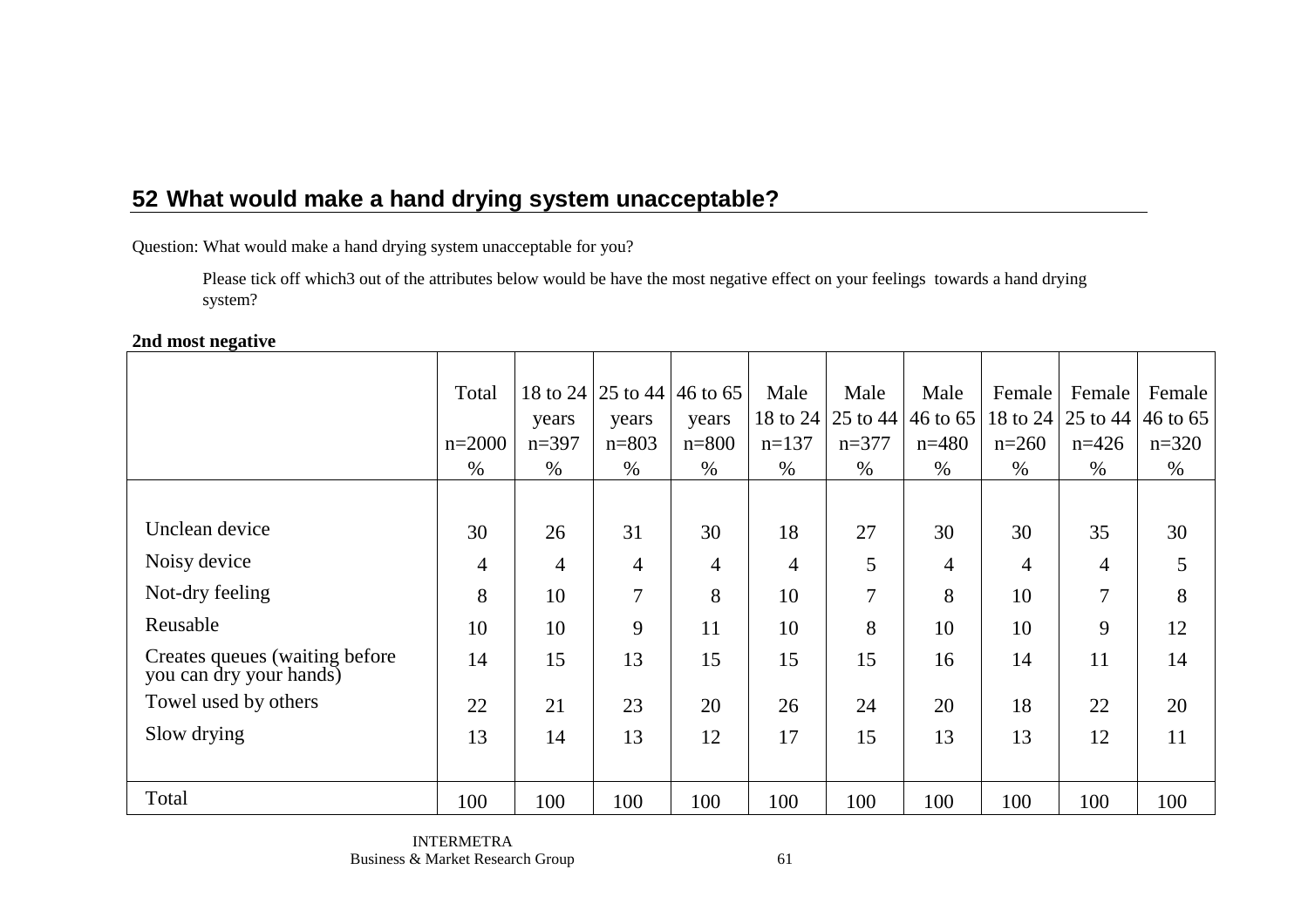Question: What would make a hand drying system unacceptable for you?

 Please tick off which3 out of the attributes below would be have the most negative effect on your feelings towards a hand drying system?

### **2nd most negative**

|                                                            | Total          |                | 18 to 24   25 to 44   46 to 65 |                | Male           | Male     | Male           | Female         | Female                         | Female  |
|------------------------------------------------------------|----------------|----------------|--------------------------------|----------------|----------------|----------|----------------|----------------|--------------------------------|---------|
|                                                            |                | years          | years                          | years          | 18 to 24       | 25 to 44 | 46 to 65       |                | 18 to 24   25 to 44   46 to 65 |         |
|                                                            | $n=2000$       | $n=397$        | $n = 803$                      | $n = 800$      | $n=137$        | $n=377$  | $n=480$        | $n=260$        | $n=426$                        | $n=320$ |
|                                                            | $\%$           | $\%$           | $\%$                           | $\%$           | $\%$           | $\%$     | $\%$           | $\%$           | $\%$                           | $\%$    |
|                                                            |                |                |                                |                |                |          |                |                |                                |         |
| Unclean device                                             | 30             | 26             | 31                             | 30             | 18             | 27       | 30             | 30             | 35                             | 30      |
| Noisy device                                               | $\overline{4}$ | $\overline{4}$ | $\overline{4}$                 | $\overline{4}$ | $\overline{4}$ | 5        | $\overline{4}$ | $\overline{4}$ | $\overline{4}$                 | 5       |
| Not-dry feeling                                            | 8              | 10             | 7                              | 8              | 10             | 7        | 8              | 10             | 7                              | 8       |
| Reusable                                                   | 10             | 10             | 9                              | 11             | 10             | 8        | 10             | 10             | 9                              | 12      |
| Creates queues (waiting before)<br>you can dry your hands) | 14             | 15             | 13                             | 15             | 15             | 15       | 16             | 14             | 11                             | 14      |
| Towel used by others                                       | 22             | 21             | 23                             | 20             | 26             | 24       | 20             | 18             | 22                             | 20      |
| Slow drying                                                | 13             | 14             | 13                             | 12             | 17             | 15       | 13             | 13             | 12                             | 11      |
|                                                            |                |                |                                |                |                |          |                |                |                                |         |
| Total                                                      | 100            | 100            | 100                            | 100            | 100            | 100      | 100            | 100            | 100                            | 100     |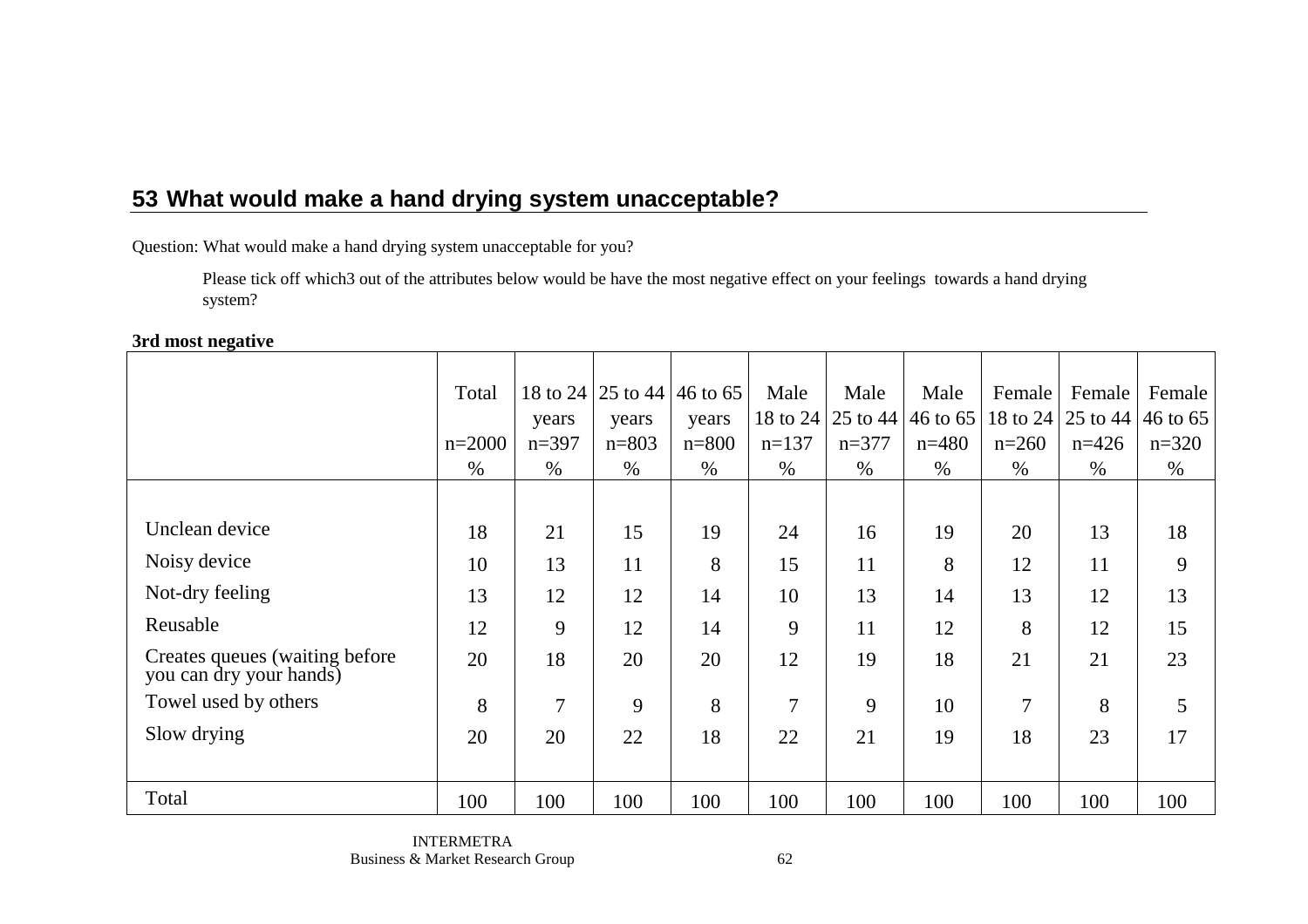Question: What would make a hand drying system unacceptable for you?

 Please tick off which3 out of the attributes below would be have the most negative effect on your feelings towards a hand drying system?

#### **3rd most negative**

|                                                            | Total    | 18 to 24       |           | 25 to 44 46 to 65 | Male           | Male     | Male     | Female         | Female            | Female   |
|------------------------------------------------------------|----------|----------------|-----------|-------------------|----------------|----------|----------|----------------|-------------------|----------|
|                                                            |          | years          | years     | years             | 18 to 24       | 25 to 44 | 46 to 65 |                | 18 to 24 25 to 44 | 46 to 65 |
|                                                            | $n=2000$ | $n=397$        | $n = 803$ | $n = 800$         | $n=137$        | $n=377$  | $n=480$  | $n=260$        | $n=426$           | $n=320$  |
|                                                            | $\%$     | $\%$           | $\%$      | $\%$              | $\%$           | $\%$     | $\%$     | $\%$           | $\%$              | $\%$     |
|                                                            |          |                |           |                   |                |          |          |                |                   |          |
| Unclean device                                             | 18       | 21             | 15        | 19                | 24             | 16       | 19       | 20             | 13                | 18       |
| Noisy device                                               | 10       | 13             | 11        | 8                 | 15             | 11       | 8        | 12             | 11                | 9        |
| Not-dry feeling                                            | 13       | 12             | 12        | 14                | 10             | 13       | 14       | 13             | 12                | 13       |
| Reusable                                                   | 12       | 9              | 12        | 14                | 9              | 11       | 12       | 8              | 12                | 15       |
| Creates queues (waiting before)<br>you can dry your hands) | 20       | 18             | 20        | 20                | 12             | 19       | 18       | 21             | 21                | 23       |
| Towel used by others                                       | 8        | $\overline{7}$ | 9         | 8                 | $\overline{7}$ | 9        | 10       | $\overline{7}$ | 8                 | 5        |
| Slow drying                                                | 20       | 20             | 22        | 18                | 22             | 21       | 19       | 18             | 23                | 17       |
|                                                            |          |                |           |                   |                |          |          |                |                   |          |
| Total                                                      | 100      | 100            | 100       | 100               | 100            | 100      | 100      | 100            | 100               | 100      |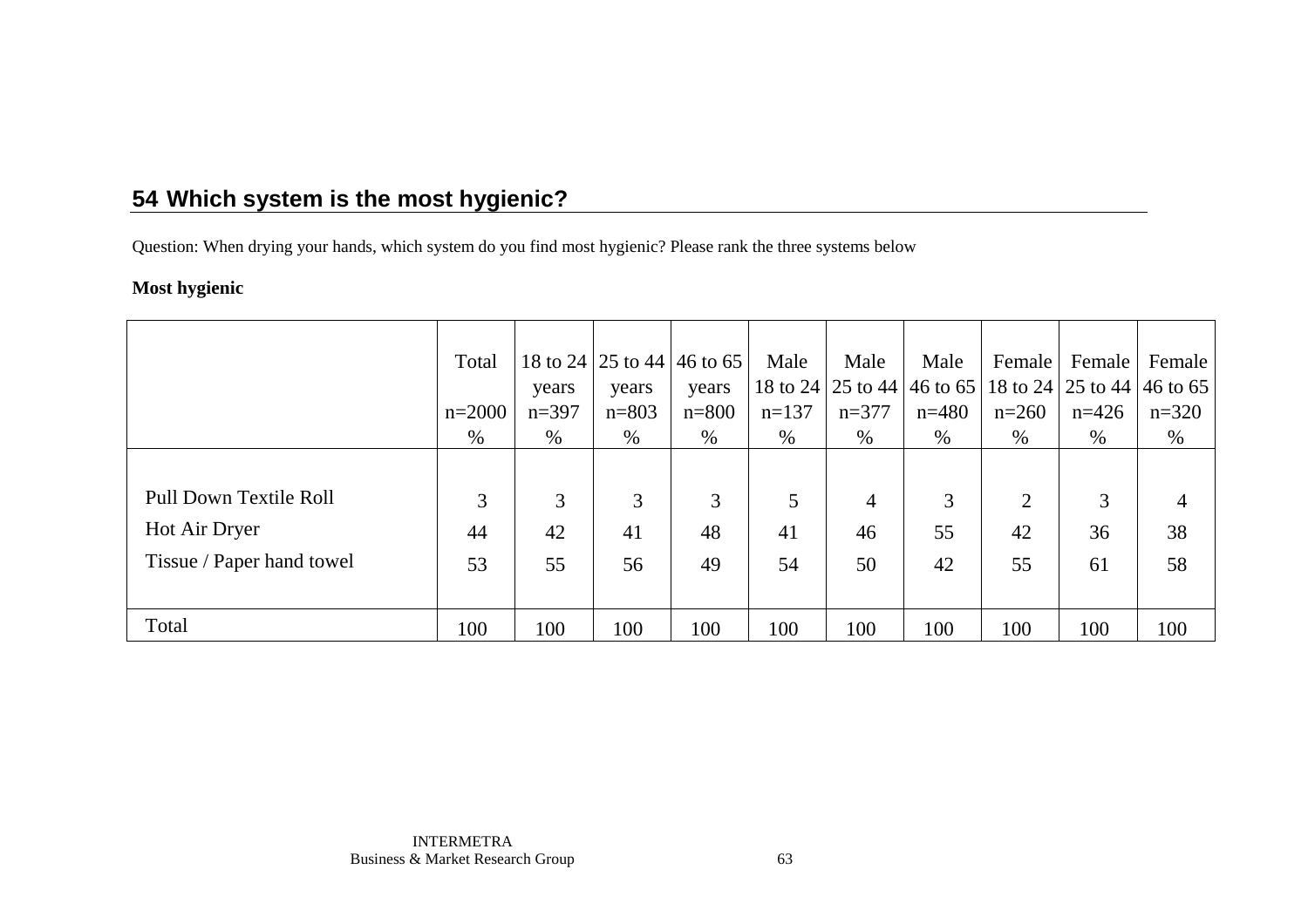Question: When drying your hands, which system do you find most hygienic? Please rank the three systems below

### **Most hygienic**

|                           | Total    |         |           | 18 to 24 25 to 44 46 to 65 | Male    | Male           | Male    | Female  | Female                                                | Female         |
|---------------------------|----------|---------|-----------|----------------------------|---------|----------------|---------|---------|-------------------------------------------------------|----------------|
|                           |          | years   | years     | years                      |         |                |         |         | 18 to 24 25 to 44 46 to 65 18 to 24 25 to 44 46 to 65 |                |
|                           | $n=2000$ | $n=397$ | $n = 803$ | $n = 800$                  | $n=137$ | $n=377$        | $n=480$ | $n=260$ | $n=426$                                               | $n=320$        |
|                           | %        | $\%$    | $\%$      | $\%$                       | $\%$    | $\%$           | %       | $\%$    | $\%$                                                  | %              |
|                           |          |         |           |                            |         |                |         |         |                                                       |                |
| Pull Down Textile Roll    | 3        | 3       | 3         | 3                          | 5       | $\overline{4}$ | 3       | 2       | 3                                                     | $\overline{4}$ |
| Hot Air Dryer             | 44       | 42      | 41        | 48                         | 41      | 46             | 55      | 42      | 36                                                    | 38             |
| Tissue / Paper hand towel | 53       | 55      | 56        | 49                         | 54      | 50             | 42      | 55      | 61                                                    | 58             |
|                           |          |         |           |                            |         |                |         |         |                                                       |                |
| Total                     | 100      | 100     | 100       | 100                        | 100     | 100            | 100     | 100     | 100                                                   | 100            |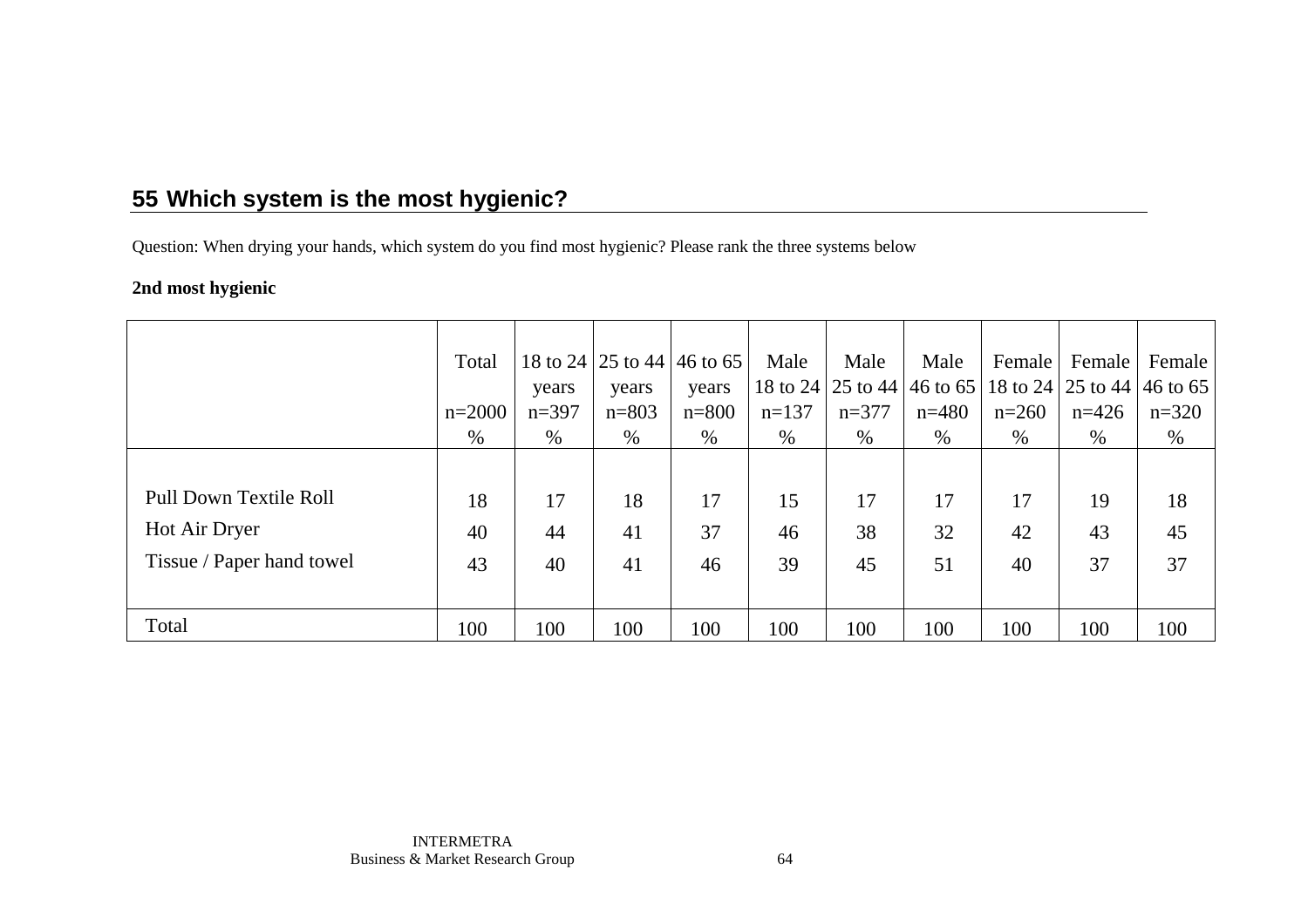Question: When drying your hands, which system do you find most hygienic? Please rank the three systems below

### **2nd most hygienic**

|                           | Total    |         | 18 to 24 25 to 44 46 to 65 |           | Male    | Male    | Male                                                  | Female  | Female  | Female  |
|---------------------------|----------|---------|----------------------------|-----------|---------|---------|-------------------------------------------------------|---------|---------|---------|
|                           |          | years   | years                      | years     |         |         | 18 to 24 25 to 44 46 to 65 18 to 24 25 to 44 46 to 65 |         |         |         |
|                           | $n=2000$ | $n=397$ | $n = 803$                  | $n = 800$ | $n=137$ | $n=377$ | $n=480$                                               | $n=260$ | $n=426$ | $n=320$ |
|                           | %        | %       | $\%$                       | $\%$      | $\%$    | $\%$    | $\%$                                                  | $\%$    | $\%$    | %       |
|                           |          |         |                            |           |         |         |                                                       |         |         |         |
| Pull Down Textile Roll    | 18       | 17      | 18                         | 17        | 15      | 17      | 17                                                    | 17      | 19      | 18      |
| Hot Air Dryer             | 40       | 44      | 41                         | 37        | 46      | 38      | 32                                                    | 42      | 43      | 45      |
| Tissue / Paper hand towel | 43       | 40      | 41                         | 46        | 39      | 45      | 51                                                    | 40      | 37      | 37      |
|                           |          |         |                            |           |         |         |                                                       |         |         |         |
| Total                     | 100      | 100     | 100                        | 100       | 100     | 100     | 100                                                   | 100     | 100     | 100     |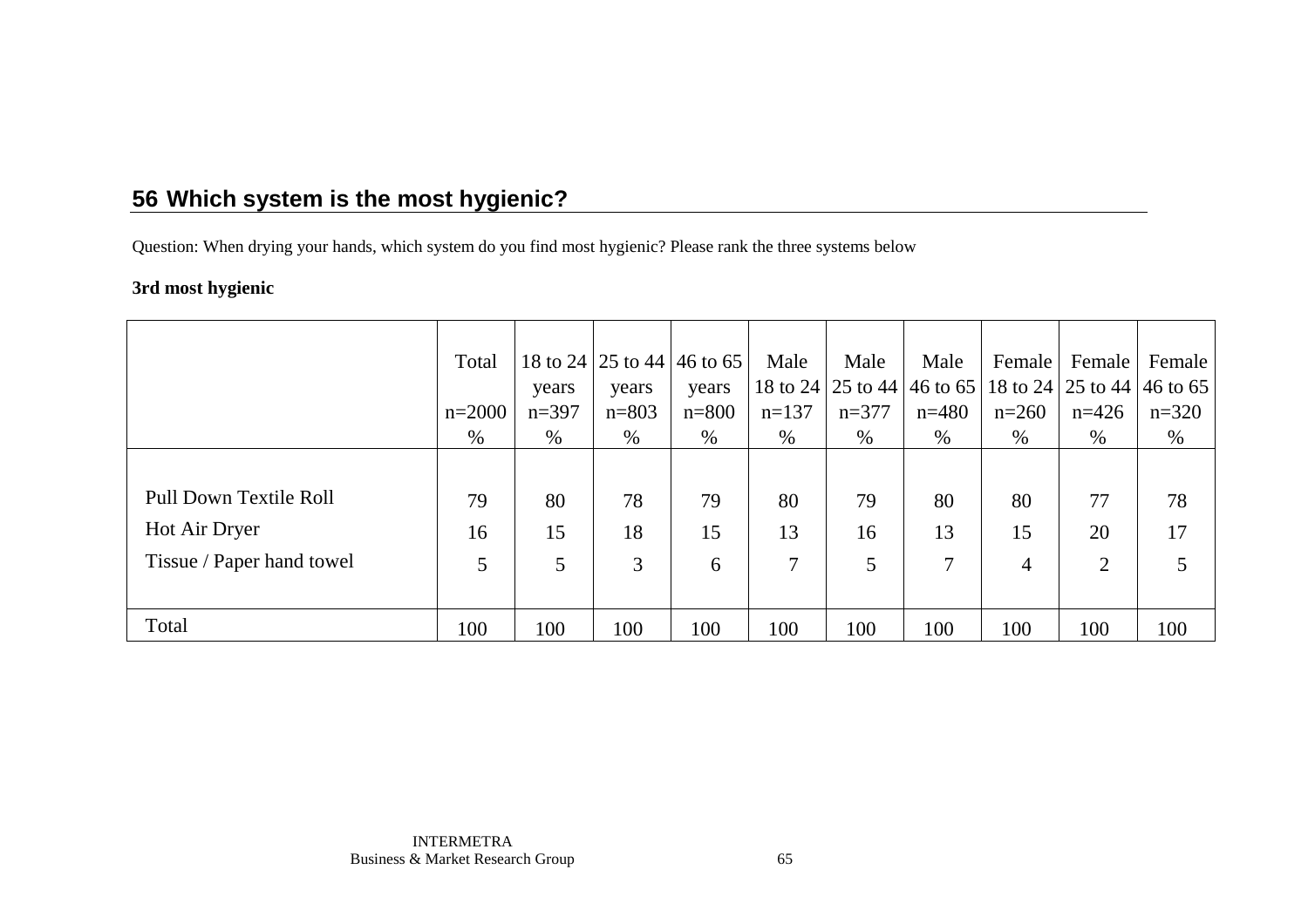Question: When drying your hands, which system do you find most hygienic? Please rank the three systems below

### **3rd most hygienic**

|                               | Total    |         | 18 to 24 25 to 44 46 to 65 |           | Male    | Male    | Male                                                            | Female  | Female         | Female  |
|-------------------------------|----------|---------|----------------------------|-----------|---------|---------|-----------------------------------------------------------------|---------|----------------|---------|
|                               |          | years   | years                      | years     |         |         | 18 to 24   25 to 44   46 to 65   18 to 24   25 to 44   46 to 65 |         |                |         |
|                               | $n=2000$ | $n=397$ | $n = 803$                  | $n = 800$ | $n=137$ | $n=377$ | $n=480$                                                         | $n=260$ | $n=426$        | $n=320$ |
|                               | %        | $\%$    | $\%$                       | %         | $\%$    | $\%$    | %                                                               | $\%$    | $\%$           | $\%$    |
|                               |          |         |                            |           |         |         |                                                                 |         |                |         |
| <b>Pull Down Textile Roll</b> | 79       | 80      | 78                         | 79        | 80      | 79      | 80                                                              | 80      | 77             | 78      |
| Hot Air Dryer                 | 16       | 15      | 18                         | 15        | 13      | 16      | 13                                                              | 15      | 20             | 17      |
| Tissue / Paper hand towel     | 5        | 5       | 3                          | 6         | 7       | 5       | 7                                                               | 4       | $\overline{2}$ | 5       |
|                               |          |         |                            |           |         |         |                                                                 |         |                |         |
| Total                         | 100      | 100     | 100                        | 100       | 100     | 100     | 100                                                             | 100     | 100            | 100     |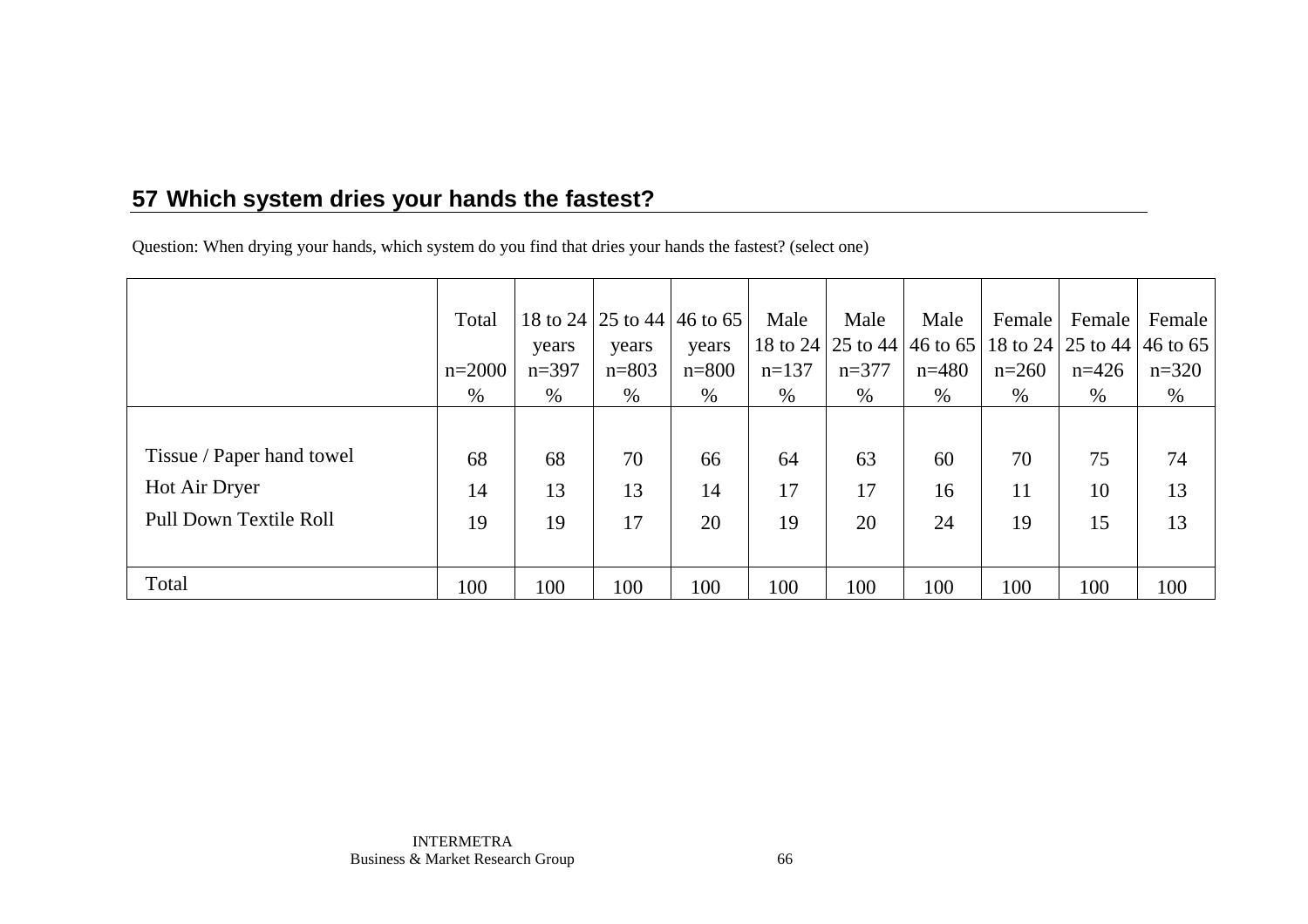# **57 Which system dries your hands the fastest?**

Question: When drying your hands, which system do you find that dries your hands the fastest? (select one)

|                               | Total    | years   | years     | 18 to 24 25 to 44 46 to 65<br>years | Male    | Male    | Male<br>18 to 24 25 to 44 46 to 65 18 to 24 25 to 44 46 to 65 | Female  | Female  | Female  |
|-------------------------------|----------|---------|-----------|-------------------------------------|---------|---------|---------------------------------------------------------------|---------|---------|---------|
|                               | $n=2000$ | $n=397$ | $n = 803$ | $n = 800$                           | $n=137$ | $n=377$ | $n=480$                                                       | $n=260$ | $n=426$ | $n=320$ |
|                               | $\%$     | $\%$    | %         | %                                   | %       | %       | $\%$                                                          | $\%$    | %       | %       |
|                               |          |         |           |                                     |         |         |                                                               |         |         |         |
| Tissue / Paper hand towel     | 68       | 68      | 70        | 66                                  | 64      | 63      | 60                                                            | 70      | 75      | 74      |
| Hot Air Dryer                 | 14       | 13      | 13        | 14                                  | 17      | 17      | 16                                                            | 11      | 10      | 13      |
| <b>Pull Down Textile Roll</b> | 19       | 19      | 17        | 20                                  | 19      | 20      | 24                                                            | 19      | 15      | 13      |
|                               |          |         |           |                                     |         |         |                                                               |         |         |         |
| Total                         | 100      | 100     | 100       | 100                                 | 100     | 100     | 100                                                           | 100     | 100     | 100     |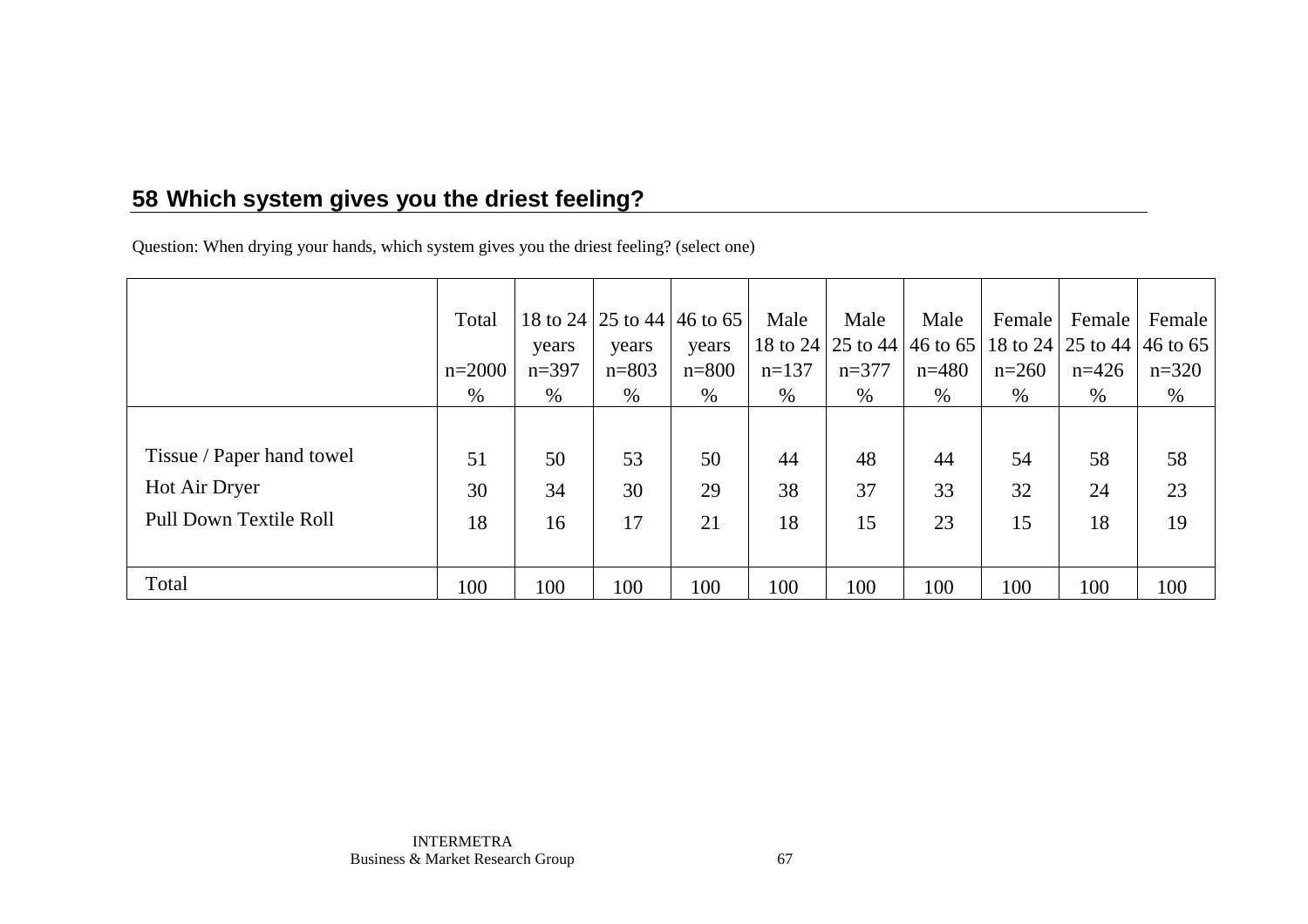# **58 Which system gives you the driest feeling?**

Question: When drying your hands, which system gives you the driest feeling? (select one)

|                               | Total    |         | 18 to 24 25 to 44 46 to 65 |           | Male    | Male    | Male                                                            | Female  | Female  | Female  |
|-------------------------------|----------|---------|----------------------------|-----------|---------|---------|-----------------------------------------------------------------|---------|---------|---------|
|                               |          | years   | years                      | years     |         |         | 18 to 24   25 to 44   46 to 65   18 to 24   25 to 44   46 to 65 |         |         |         |
|                               | $n=2000$ | $n=397$ | $n = 803$                  | $n = 800$ | $n=137$ | $n=377$ | $n=480$                                                         | $n=260$ | $n=426$ | $n=320$ |
|                               | $\%$     | $\%$    | %                          | %         | $\%$    | $\%$    | %                                                               | $\%$    | $\%$    | %       |
|                               |          |         |                            |           |         |         |                                                                 |         |         |         |
| Tissue / Paper hand towel     | 51       | 50      | 53                         | 50        | 44      | 48      | 44                                                              | 54      | 58      | 58      |
| Hot Air Dryer                 | 30       | 34      | 30                         | 29        | 38      | 37      | 33                                                              | 32      | 24      | 23      |
| <b>Pull Down Textile Roll</b> | 18       | 16      | 17                         | 21        | 18      | 15      | 23                                                              | 15      | 18      | 19      |
|                               |          |         |                            |           |         |         |                                                                 |         |         |         |
| Total                         | 100      | 100     | 100                        | 100       | 100     | 100     | 100                                                             | 100     | 100     | 100     |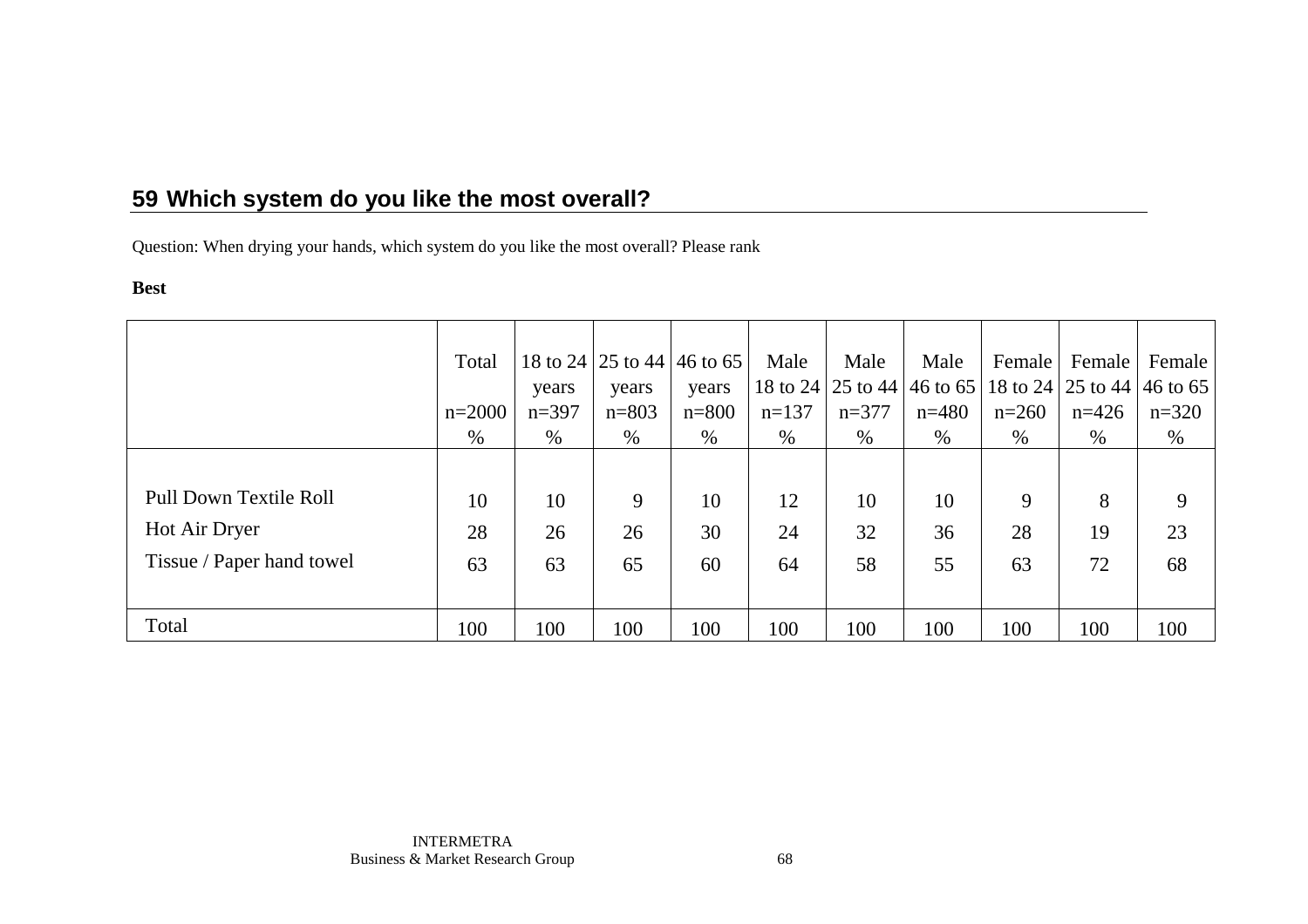Question: When drying your hands, which system do you like the most overall? Please rank

#### **Best**

|                           | Total    |         |           | 18 to 24 25 to 44 46 to 65 | Male    | Male                                                  | Male      | Female  | Female  | Female  |
|---------------------------|----------|---------|-----------|----------------------------|---------|-------------------------------------------------------|-----------|---------|---------|---------|
|                           |          | years   | years     | years                      |         | 18 to 24 25 to 44 46 to 65 18 to 24 25 to 44 46 to 65 |           |         |         |         |
|                           | $n=2000$ | $n=397$ | $n = 803$ | $n = 800$                  | $n=137$ | $n=377$                                               | $n = 480$ | $n=260$ | $n=426$ | $n=320$ |
|                           | $\%$     | $\%$    | $\%$      | $\%$                       | $\%$    | $\%$                                                  | $\%$      | $\%$    | $\%$    | %       |
|                           |          |         |           |                            |         |                                                       |           |         |         |         |
| Pull Down Textile Roll    | 10       | 10      | 9         | 10                         | 12      | 10                                                    | 10        | 9       | 8       | 9       |
| Hot Air Dryer             | 28       | 26      | 26        | 30                         | 24      | 32                                                    | 36        | 28      | 19      | 23      |
| Tissue / Paper hand towel | 63       | 63      | 65        | 60                         | 64      | 58                                                    | 55        | 63      | 72      | 68      |
|                           |          |         |           |                            |         |                                                       |           |         |         |         |
| Total                     | 100      | 100     | 100       | 100                        | 100     | 100                                                   | 100       | 100     | 100     | 100     |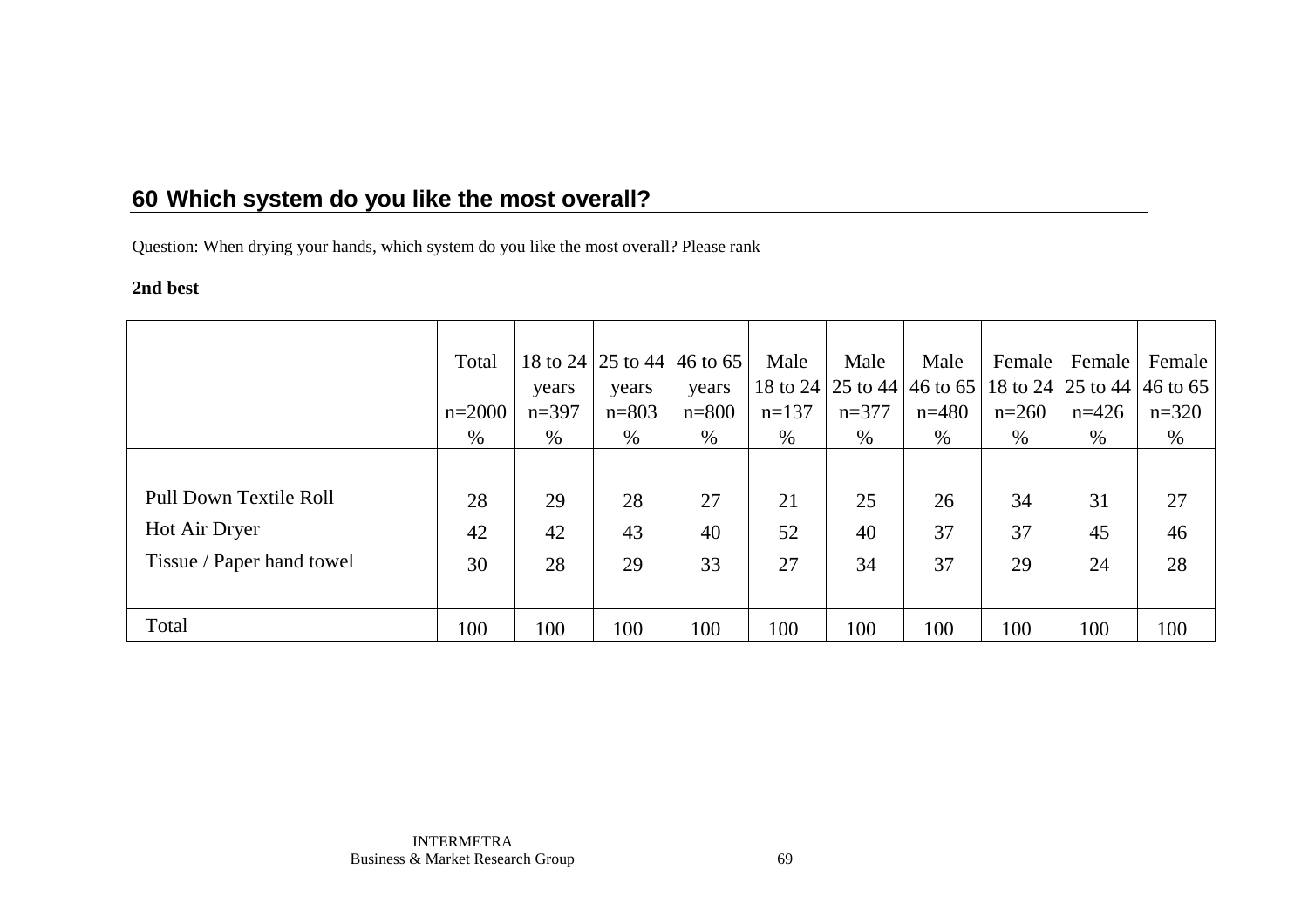Question: When drying your hands, which system do you like the most overall? Please rank

### **2nd best**

|                               | Total    |         |           | 18 to 24 25 to 44 46 to 65 | Male    | Male    | Male                                                  | Female  | Female  | Female  |
|-------------------------------|----------|---------|-----------|----------------------------|---------|---------|-------------------------------------------------------|---------|---------|---------|
|                               |          | years   | years     | years                      |         |         | 18 to 24 25 to 44 46 to 65 18 to 24 25 to 44 46 to 65 |         |         |         |
|                               | $n=2000$ | $n=397$ | $n = 803$ | $n = 800$                  | $n=137$ | $n=377$ | $n = 480$                                             | $n=260$ | $n=426$ | $n=320$ |
|                               | $\%$     | $\%$    | $\%$      | $\%$                       | $\%$    | $\%$    | $\%$                                                  | $\%$    | $\%$    | %       |
|                               |          |         |           |                            |         |         |                                                       |         |         |         |
| <b>Pull Down Textile Roll</b> | 28       | 29      | 28        | 27                         | 21      | 25      | 26                                                    | 34      | 31      | 27      |
| Hot Air Dryer                 | 42       | 42      | 43        | 40                         | 52      | 40      | 37                                                    | 37      | 45      | 46      |
| Tissue / Paper hand towel     | 30       | 28      | 29        | 33                         | 27      | 34      | 37                                                    | 29      | 24      | 28      |
|                               |          |         |           |                            |         |         |                                                       |         |         |         |
| Total                         | 100      | 100     | 100       | 100                        | 100     | 100     | 100                                                   | 100     | 100     | 100     |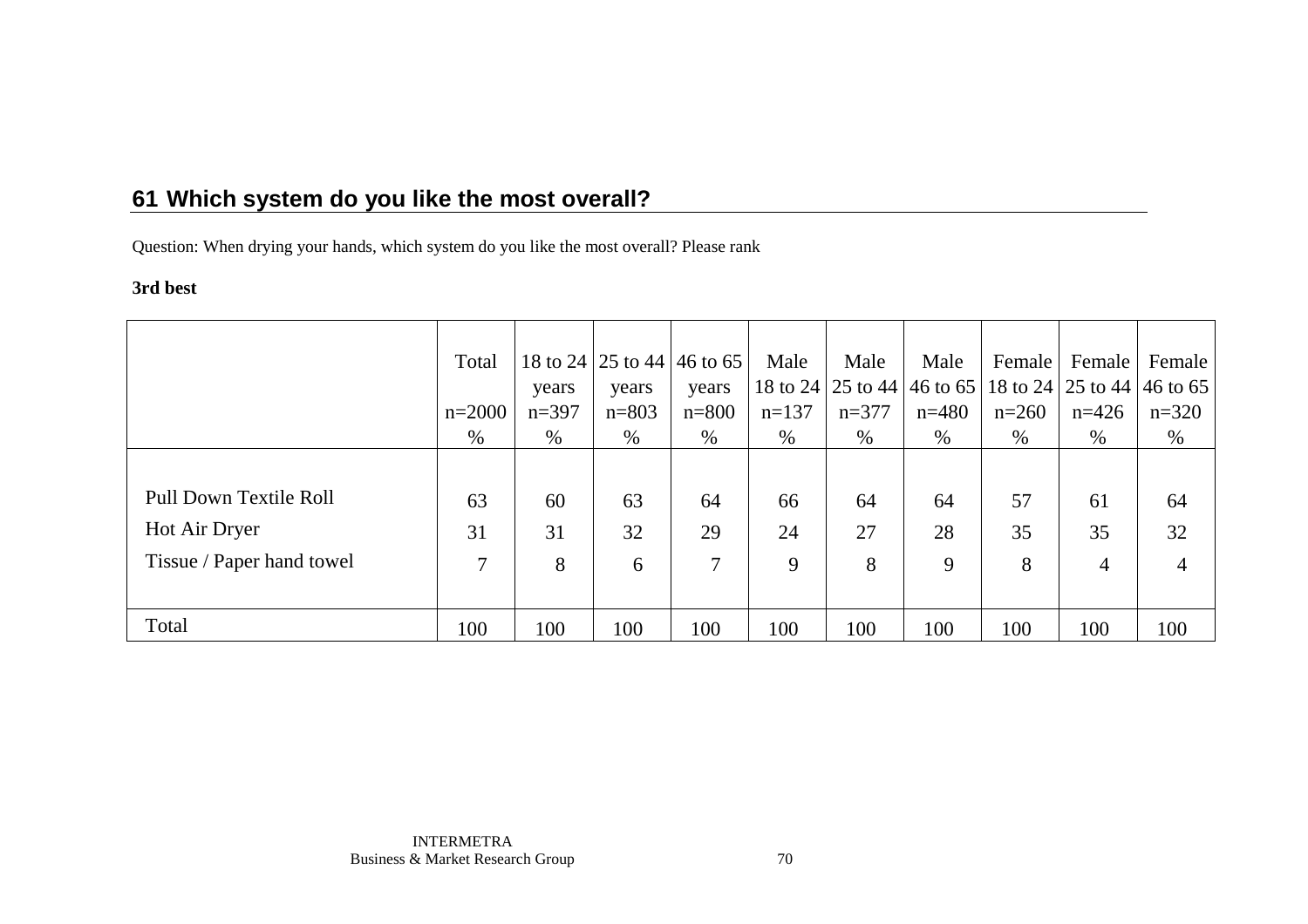Question: When drying your hands, which system do you like the most overall? Please rank

### **3rd best**

|                               | Total    |         | 18 to 24 25 to 44 46 to 65 |           | Male    | Male    | Male                                                  | Female  | Female         | Female         |
|-------------------------------|----------|---------|----------------------------|-----------|---------|---------|-------------------------------------------------------|---------|----------------|----------------|
|                               |          | years   | years                      | years     |         |         | 18 to 24 25 to 44 46 to 65 18 to 24 25 to 44 46 to 65 |         |                |                |
|                               | $n=2000$ | $n=397$ | $n = 803$                  | $n = 800$ | $n=137$ | $n=377$ | $n=480$                                               | $n=260$ | $n=426$        | $n=320$        |
|                               | $\%$     | $\%$    | $\%$                       | $\%$      | $\%$    | $\%$    | %                                                     | $\%$    | $\%$           | %              |
|                               |          |         |                            |           |         |         |                                                       |         |                |                |
| <b>Pull Down Textile Roll</b> | 63       | 60      | 63                         | 64        | 66      | 64      | 64                                                    | 57      | 61             | 64             |
| Hot Air Dryer                 | 31       | 31      | 32                         | 29        | 24      | 27      | 28                                                    | 35      | 35             | 32             |
| Tissue / Paper hand towel     | 7        | 8       | 6                          | 7         | 9       | 8       | 9                                                     | 8       | $\overline{4}$ | $\overline{4}$ |
|                               |          |         |                            |           |         |         |                                                       |         |                |                |
| Total                         | 100      | 100     | 100                        | 100       | 100     | 100     | 100                                                   | 100     | 100            | 100            |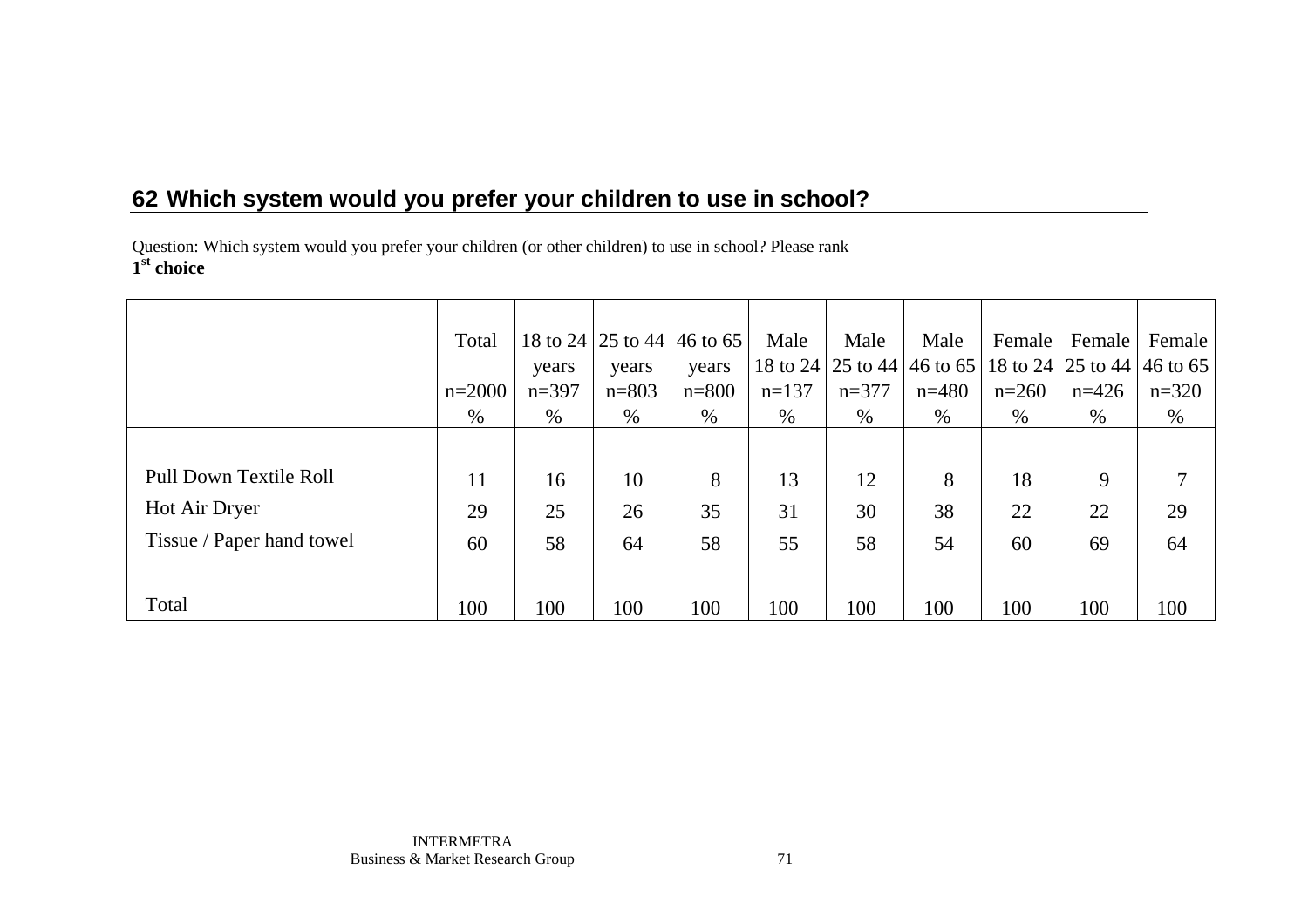Question: Which system would you prefer your children (or other children) to use in school? Please rank **1st choice** 

|                           | Total    |         |           | 18 to 24   25 to 44   46 to 65 | Male     | Male    | Male                                         | Female  | Female  | Female  |
|---------------------------|----------|---------|-----------|--------------------------------|----------|---------|----------------------------------------------|---------|---------|---------|
|                           |          | years   | years     | years                          | 18 to 24 |         | 25 to 44 46 to 65 18 to 24 25 to 44 46 to 65 |         |         |         |
|                           | $n=2000$ | $n=397$ | $n = 803$ | $n = 800$                      | $n=137$  | $n=377$ | $n=480$                                      | $n=260$ | $n=426$ | $n=320$ |
|                           | $\%$     | $\%$    | $\%$      | $\%$                           | $\%$     | $\%$    | $\%$                                         | $\%$    | $\%$    | $\%$    |
|                           |          |         |           |                                |          |         |                                              |         |         |         |
| Pull Down Textile Roll    | 11       | 16      | 10        | 8                              | 13       | 12      | 8                                            | 18      | 9       |         |
| Hot Air Dryer             | 29       | 25      | 26        | 35                             | 31       | 30      | 38                                           | 22      | 22      | 29      |
| Tissue / Paper hand towel | 60       | 58      | 64        | 58                             | 55       | 58      | 54                                           | 60      | 69      | 64      |
|                           |          |         |           |                                |          |         |                                              |         |         |         |
| Total                     | 100      | 100     | 100       | 100                            | 100      | 100     | 100                                          | 100     | 100     | 100     |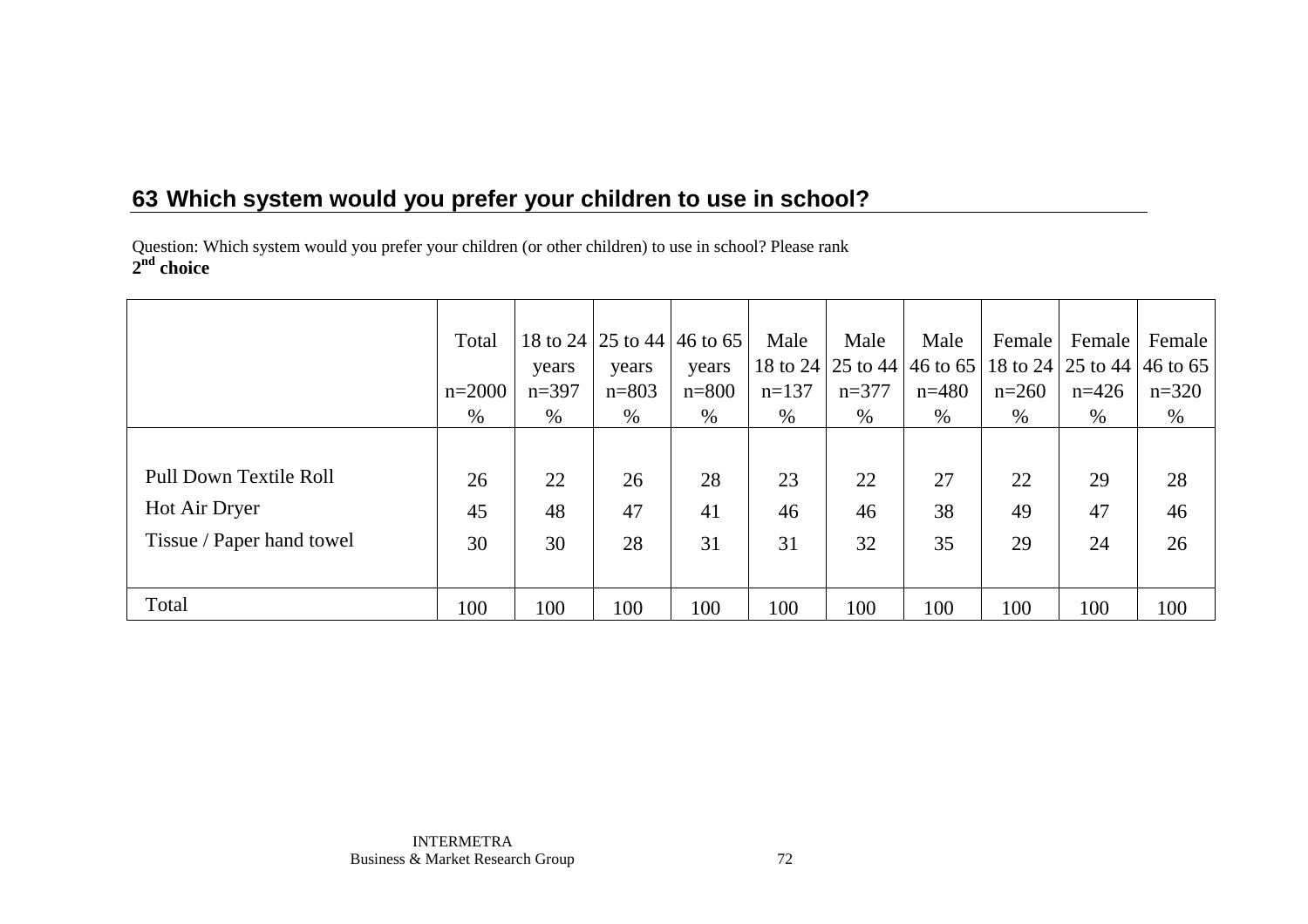## **63 Which system would you prefer your children to use in school?**

Question: Which system would you prefer your children (or other children) to use in school? Please rank **2nd choice** 

|                           | Total    |         | 18 to 24 25 to 44 46 to 65 |           | Male     | Male    | Male                                         | Female  | Female  | Female  |
|---------------------------|----------|---------|----------------------------|-----------|----------|---------|----------------------------------------------|---------|---------|---------|
|                           |          | years   | years                      | years     | 18 to 24 |         | 25 to 44 46 to 65 18 to 24 25 to 44 46 to 65 |         |         |         |
|                           | $n=2000$ | $n=397$ | $n = 803$                  | $n = 800$ | $n=137$  | $n=377$ | $n=480$                                      | $n=260$ | $n=426$ | $n=320$ |
|                           | $\%$     | $\%$    | $\%$                       | $\%$      | $\%$     | $\%$    | $\%$                                         | $\%$    | $\%$    | $\%$    |
|                           |          |         |                            |           |          |         |                                              |         |         |         |
| Pull Down Textile Roll    | 26       | 22      | 26                         | 28        | 23       | 22      | 27                                           | 22      | 29      | 28      |
| Hot Air Dryer             | 45       | 48      | 47                         | 41        | 46       | 46      | 38                                           | 49      | 47      | 46      |
| Tissue / Paper hand towel | 30       | 30      | 28                         | 31        | 31       | 32      | 35                                           | 29      | 24      | 26      |
|                           |          |         |                            |           |          |         |                                              |         |         |         |
| Total                     | 100      | 100     | 100                        | 100       | 100      | 100     | 100                                          | 100     | 100     | 100     |